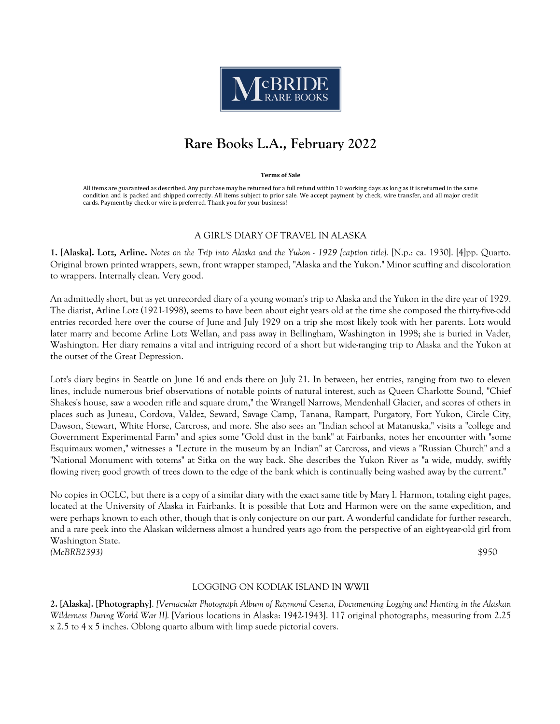

# **Rare Books L.A., February 2022**

#### **Terms of Sale**

All items are guaranteed as described. Any purchase may be returned for a full refund within 10 working days as long as it is returned in the same condition and is packed and shipped correctly. All items subject to prior sale. We accept payment by check, wire transfer, and all major credit cards. Payment by check or wire is preferred. Thank you for your business!

## A GIRL'S DIARY OF TRAVEL IN ALASKA

**1. [Alaska]. Lotz, Arline.** *Notes on the Trip into Alaska and the Yukon - 1929 [caption title].* [N.p.: ca. 1930]. [4]pp. Quarto. Original brown printed wrappers, sewn, front wrapper stamped, "Alaska and the Yukon." Minor scuffing and discoloration to wrappers. Internally clean. Very good.

An admittedly short, but as yet unrecorded diary of a young woman's trip to Alaska and the Yukon in the dire year of 1929. The diarist, Arline Lotz (1921-1998), seems to have been about eight years old at the time she composed the thirty-five-odd entries recorded here over the course of June and July 1929 on a trip she most likely took with her parents. Lotz would later marry and become Arline Lotz Wellan, and pass away in Bellingham, Washington in 1998; she is buried in Vader, Washington. Her diary remains a vital and intriguing record of a short but wide-ranging trip to Alaska and the Yukon at the outset of the Great Depression.

Lotz's diary begins in Seattle on June 16 and ends there on July 21. In between, her entries, ranging from two to eleven lines, include numerous brief observations of notable points of natural interest, such as Queen Charlotte Sound, "Chief Shakes's house, saw a wooden rifle and square drum," the Wrangell Narrows, Mendenhall Glacier, and scores of others in places such as Juneau, Cordova, Valdez, Seward, Savage Camp, Tanana, Rampart, Purgatory, Fort Yukon, Circle City, Dawson, Stewart, White Horse, Carcross, and more. She also sees an "Indian school at Matanuska," visits a "college and Government Experimental Farm" and spies some "Gold dust in the bank" at Fairbanks, notes her encounter with "some Esquimaux women," witnesses a "Lecture in the museum by an Indian" at Carcross, and views a "Russian Church" and a "National Monument with totems" at Sitka on the way back. She describes the Yukon River as "a wide, muddy, swiftly flowing river; good growth of trees down to the edge of the bank which is continually being washed away by the current."

No copies in OCLC, but there is a copy of a similar diary with the exact same title by Mary I. Harmon, totaling eight pages, located at the University of Alaska in Fairbanks. It is possible that Lotz and Harmon were on the same expedition, and were perhaps known to each other, though that is only conjecture on our part. A wonderful candidate for further research, and a rare peek into the Alaskan wilderness almost a hundred years ago from the perspective of an eight-year-old girl from Washington State. *(McBRB2393)* \$950

## LOGGING ON KODIAK ISLAND IN WWII

**2. [Alaska]. [Photography]**. *[Vernacular Photograph Album of Raymond Cesena, Documenting Logging and Hunting in the Alaskan Wilderness During World War II].* [Various locations in Alaska: 1942-1943]. 117 original photographs, measuring from 2.25 x 2.5 to 4 x 5 inches. Oblong quarto album with limp suede pictorial covers.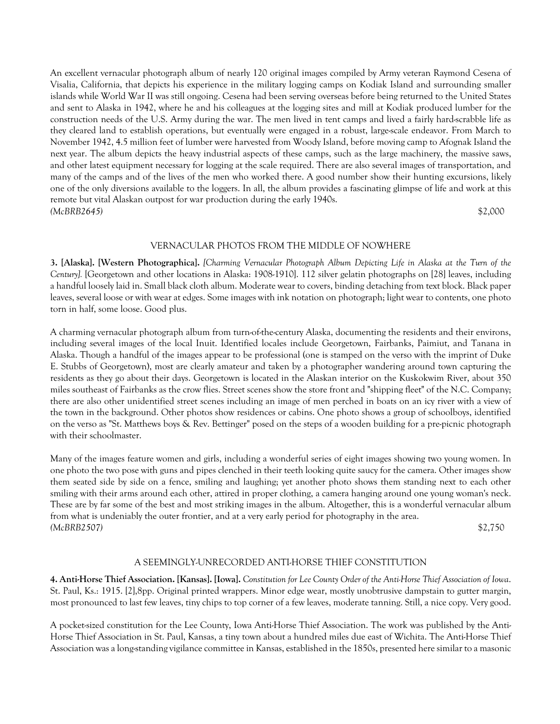An excellent vernacular photograph album of nearly 120 original images compiled by Army veteran Raymond Cesena of Visalia, California, that depicts his experience in the military logging camps on Kodiak Island and surrounding smaller islands while World War II was still ongoing. Cesena had been serving overseas before being returned to the United States and sent to Alaska in 1942, where he and his colleagues at the logging sites and mill at Kodiak produced lumber for the construction needs of the U.S. Army during the war. The men lived in tent camps and lived a fairly hard-scrabble life as they cleared land to establish operations, but eventually were engaged in a robust, large-scale endeavor. From March to November 1942, 4.5 million feet of lumber were harvested from Woody Island, before moving camp to Afognak Island the next year. The album depicts the heavy industrial aspects of these camps, such as the large machinery, the massive saws, and other latest equipment necessary for logging at the scale required. There are also several images of transportation, and many of the camps and of the lives of the men who worked there. A good number show their hunting excursions, likely one of the only diversions available to the loggers. In all, the album provides a fascinating glimpse of life and work at this remote but vital Alaskan outpost for war production during the early 1940s. *(McBRB2645)* \$2,000

## VERNACULAR PHOTOS FROM THE MIDDLE OF NOWHERE

**3. [Alaska]. [Western Photographica].** *[Charming Vernacular Photograph Album Depicting Life in Alaska at the Turn of the Century].* [Georgetown and other locations in Alaska: 1908-1910]. 112 silver gelatin photographs on [28] leaves, including a handful loosely laid in. Small black cloth album. Moderate wear to covers, binding detaching from text block. Black paper leaves, several loose or with wear at edges. Some images with ink notation on photograph; light wear to contents, one photo torn in half, some loose. Good plus.

A charming vernacular photograph album from turn-of-the-century Alaska, documenting the residents and their environs, including several images of the local Inuit. Identified locales include Georgetown, Fairbanks, Paimiut, and Tanana in Alaska. Though a handful of the images appear to be professional (one is stamped on the verso with the imprint of Duke E. Stubbs of Georgetown), most are clearly amateur and taken by a photographer wandering around town capturing the residents as they go about their days. Georgetown is located in the Alaskan interior on the Kuskokwim River, about 350 miles southeast of Fairbanks as the crow flies. Street scenes show the store front and "shipping fleet" of the N.C. Company; there are also other unidentified street scenes including an image of men perched in boats on an icy river with a view of the town in the background. Other photos show residences or cabins. One photo shows a group of schoolboys, identified on the verso as "St. Matthews boys & Rev. Bettinger" posed on the steps of a wooden building for a pre-picnic photograph with their schoolmaster.

Many of the images feature women and girls, including a wonderful series of eight images showing two young women. In one photo the two pose with guns and pipes clenched in their teeth looking quite saucy for the camera. Other images show them seated side by side on a fence, smiling and laughing; yet another photo shows them standing next to each other smiling with their arms around each other, attired in proper clothing, a camera hanging around one young woman's neck. These are by far some of the best and most striking images in the album. Altogether, this is a wonderful vernacular album from what is undeniably the outer frontier, and at a very early period for photography in the area. *(McBRB2507)* \$2,750

## A SEEMINGLY-UNRECORDED ANTI-HORSE THIEF CONSTITUTION

**4. Anti-Horse Thief Association. [Kansas]. [Iowa].** *Constitution for Lee County Order of the Anti-Horse Thief Association of Iowa*. St. Paul, Ks.: 1915. [2],8pp. Original printed wrappers. Minor edge wear, mostly unobtrusive dampstain to gutter margin, most pronounced to last few leaves, tiny chips to top corner of a few leaves, moderate tanning. Still, a nice copy. Very good.

A pocket-sized constitution for the Lee County, Iowa Anti-Horse Thief Association. The work was published by the Anti-Horse Thief Association in St. Paul, Kansas, a tiny town about a hundred miles due east of Wichita. The Anti-Horse Thief Association was a long-standing vigilance committee in Kansas, established in the 1850s, presented here similar to a masonic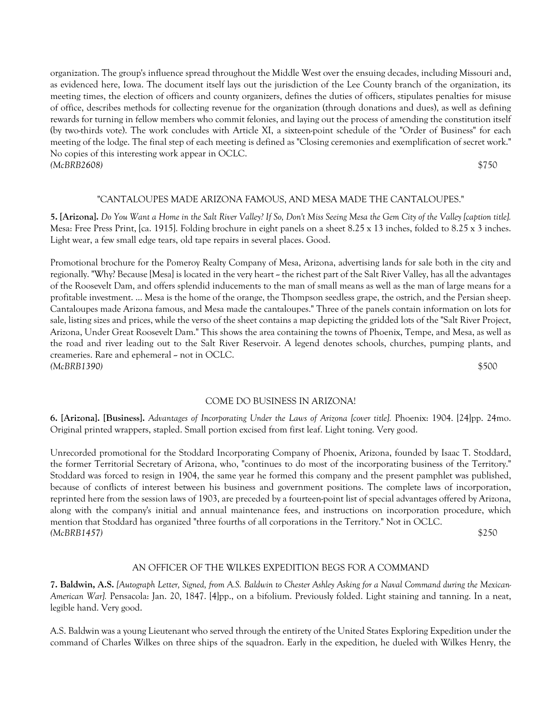organization. The group's influence spread throughout the Middle West over the ensuing decades, including Missouri and, as evidenced here, Iowa. The document itself lays out the jurisdiction of the Lee County branch of the organization, its meeting times, the election of officers and county organizers, defines the duties of officers, stipulates penalties for misuse of office, describes methods for collecting revenue for the organization (through donations and dues), as well as defining rewards for turning in fellow members who commit felonies, and laying out the process of amending the constitution itself (by two-thirds vote). The work concludes with Article XI, a sixteen-point schedule of the "Order of Business" for each meeting of the lodge. The final step of each meeting is defined as "Closing ceremonies and exemplification of secret work." No copies of this interesting work appear in OCLC. *(McBRB2608)* \$750

## "CANTALOUPES MADE ARIZONA FAMOUS, AND MESA MADE THE CANTALOUPES."

**5. [Arizona].** *Do You Want a Home in the Salt River Valley? If So, Don't Miss Seeing Mesa the Gem City of the Valley [caption title].* Mesa: Free Press Print, [ca. 1915]. Folding brochure in eight panels on a sheet 8.25 x 13 inches, folded to 8.25 x 3 inches. Light wear, a few small edge tears, old tape repairs in several places. Good.

Promotional brochure for the Pomeroy Realty Company of Mesa, Arizona, advertising lands for sale both in the city and regionally. "Why? Because [Mesa] is located in the very heart – the richest part of the Salt River Valley, has all the advantages of the Roosevelt Dam, and offers splendid inducements to the man of small means as well as the man of large means for a profitable investment. ... Mesa is the home of the orange, the Thompson seedless grape, the ostrich, and the Persian sheep. Cantaloupes made Arizona famous, and Mesa made the cantaloupes." Three of the panels contain information on lots for sale, listing sizes and prices, while the verso of the sheet contains a map depicting the gridded lots of the "Salt River Project, Arizona, Under Great Roosevelt Dam." This shows the area containing the towns of Phoenix, Tempe, and Mesa, as well as the road and river leading out to the Salt River Reservoir. A legend denotes schools, churches, pumping plants, and creameries. Rare and ephemeral  $\sim$  not in OCLC. *(McBRB1390)* \$500

#### COME DO BUSINESS IN ARIZONA!

**6. [Arizona]. [Business].** *Advantages of Incorporating Under the Laws of Arizona [cover title].* Phoenix: 1904. [24]pp. 24mo. Original printed wrappers, stapled. Small portion excised from first leaf. Light toning. Very good.

Unrecorded promotional for the Stoddard Incorporating Company of Phoenix, Arizona, founded by Isaac T. Stoddard, the former Territorial Secretary of Arizona, who, "continues to do most of the incorporating business of the Territory." Stoddard was forced to resign in 1904, the same year he formed this company and the present pamphlet was published, because of conflicts of interest between his business and government positions. The complete laws of incorporation, reprinted here from the session laws of 1903, are preceded by a fourteen-point list of special advantages offered by Arizona, along with the company's initial and annual maintenance fees, and instructions on incorporation procedure, which mention that Stoddard has organized "three fourths of all corporations in the Territory." Not in OCLC. *(McBRB1457)* \$250

# AN OFFICER OF THE WILKES EXPEDITION BEGS FOR A COMMAND

**7. Baldwin, A.S.** *[Autograph Letter, Signed, from A.S. Baldwin to Chester Ashley Asking for a Naval Command during the Mexican-American War].* Pensacola: Jan. 20, 1847. [4]pp., on a bifolium. Previously folded. Light staining and tanning. In a neat, legible hand. Very good.

A.S. Baldwin was a young Lieutenant who served through the entirety of the United States Exploring Expedition under the command of Charles Wilkes on three ships of the squadron. Early in the expedition, he dueled with Wilkes Henry, the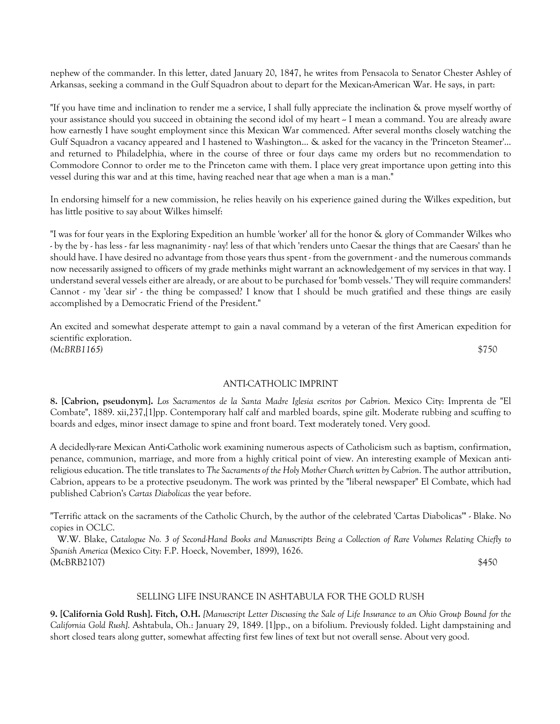nephew of the commander. In this letter, dated January 20, 1847, he writes from Pensacola to Senator Chester Ashley of Arkansas, seeking a command in the Gulf Squadron about to depart for the Mexican-American War. He says, in part:

"If you have time and inclination to render me a service, I shall fully appreciate the inclination & prove myself worthy of your assistance should you succeed in obtaining the second idol of my heart ~ I mean a command. You are already aware how earnestly I have sought employment since this Mexican War commenced. After several months closely watching the Gulf Squadron a vacancy appeared and I hastened to Washington... & asked for the vacancy in the 'Princeton Steamer'... and returned to Philadelphia, where in the course of three or four days came my orders but no recommendation to Commodore Connor to order me to the Princeton came with them. I place very great importance upon getting into this vessel during this war and at this time, having reached near that age when a man is a man."

In endorsing himself for a new commission, he relies heavily on his experience gained during the Wilkes expedition, but has little positive to say about Wilkes himself:

"I was for four years in the Exploring Expedition an humble 'worker' all for the honor & glory of Commander Wilkes who - by the by - has less - far less magnanimity - nay! less of that which 'renders unto Caesar the things that are Caesars' than he should have. I have desired no advantage from those years thus spent - from the government - and the numerous commands now necessarily assigned to officers of my grade methinks might warrant an acknowledgement of my services in that way. I understand several vessels either are already, or are about to be purchased for 'bomb vessels.' They will require commanders! Cannot - my 'dear sir' - the thing be compassed? I know that I should be much gratified and these things are easily accomplished by a Democratic Friend of the President."

An excited and somewhat desperate attempt to gain a naval command by a veteran of the first American expedition for scientific exploration. *(McBRB1165)* \$750

## ANTI-CATHOLIC IMPRINT

**8. [Cabrion, pseudonym].** *Los Sacramentos de la Santa Madre Iglesia escritos por Cabrion*. Mexico City: Imprenta de "El Combate", 1889. xii,237,[1]pp. Contemporary half calf and marbled boards, spine gilt. Moderate rubbing and scuffing to boards and edges, minor insect damage to spine and front board. Text moderately toned. Very good.

A decidedly-rare Mexican Anti-Catholic work examining numerous aspects of Catholicism such as baptism, confirmation, penance, communion, marriage, and more from a highly critical point of view. An interesting example of Mexican antireligious education. The title translates to *The Sacraments of the Holy Mother Church written by Cabrion*. The author attribution, Cabrion, appears to be a protective pseudonym. The work was printed by the "liberal newspaper" El Combate, which had published Cabrion's *Cartas Diabolicas* the year before.

"Terrific attack on the sacraments of the Catholic Church, by the author of the celebrated 'Cartas Diabolicas'" - Blake. No copies in OCLC.

 W.W. Blake, *Catalogue No. 3 of Second-Hand Books and Manuscripts Being a Collection of Rare Volumes Relating Chiefly to Spanish America* (Mexico City: F.P. Hoeck, November, 1899), 1626. (McBRB2107) \$450

## SELLING LIFE INSURANCE IN ASHTABULA FOR THE GOLD RUSH

**9. [California Gold Rush]. Fitch, O.H.** *[Manuscript Letter Discussing the Sale of Life Insurance to an Ohio Group Bound for the California Gold Rush]*. Ashtabula, Oh.: January 29, 1849. [1]pp., on a bifolium. Previously folded. Light dampstaining and short closed tears along gutter, somewhat affecting first few lines of text but not overall sense. About very good.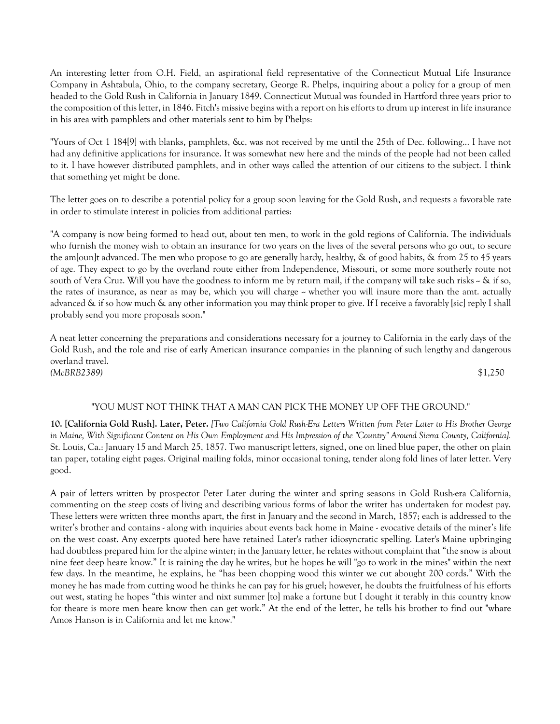An interesting letter from O.H. Field, an aspirational field representative of the Connecticut Mutual Life Insurance Company in Ashtabula, Ohio, to the company secretary, George R. Phelps, inquiring about a policy for a group of men headed to the Gold Rush in California in January 1849. Connecticut Mutual was founded in Hartford three years prior to the composition of this letter, in 1846. Fitch's missive begins with a report on his efforts to drum up interest in life insurance in his area with pamphlets and other materials sent to him by Phelps:

"Yours of Oct 1 184[9] with blanks, pamphlets, &c, was not received by me until the 25th of Dec. following... I have not had any definitive applications for insurance. It was somewhat new here and the minds of the people had not been called to it. I have however distributed pamphlets, and in other ways called the attention of our citizens to the subject. I think that something yet might be done.

The letter goes on to describe a potential policy for a group soon leaving for the Gold Rush, and requests a favorable rate in order to stimulate interest in policies from additional parties:

"A company is now being formed to head out, about ten men, to work in the gold regions of California. The individuals who furnish the money wish to obtain an insurance for two years on the lives of the several persons who go out, to secure the am[oun]t advanced. The men who propose to go are generally hardy, healthy, & of good habits, & from 25 to 45 years of age. They expect to go by the overland route either from Independence, Missouri, or some more southerly route not south of Vera Cruz. Will you have the goodness to inform me by return mail, if the company will take such risks  $\sim \&$  if so, the rates of insurance, as near as may be, which you will charge  $\sim$  whether you will insure more than the amt. actually advanced & if so how much & any other information you may think proper to give. If I receive a favorably [sic] reply I shall probably send you more proposals soon."

A neat letter concerning the preparations and considerations necessary for a journey to California in the early days of the Gold Rush, and the role and rise of early American insurance companies in the planning of such lengthy and dangerous overland travel. *(McBRB2389)* \$1,250

# "YOU MUST NOT THINK THAT A MAN CAN PICK THE MONEY UP OFF THE GROUND."

**10. [California Gold Rush]. Later, Peter.** *[Two California Gold Rush-Era Letters Written from Peter Later to His Brother George in Maine, With Significant Content on His Own Employment and His Impression of the "Country" Around Sierra County, California].*  St. Louis, Ca.: January 15 and March 25, 1857. Two manuscript letters, signed, one on lined blue paper, the other on plain tan paper, totaling eight pages. Original mailing folds, minor occasional toning, tender along fold lines of later letter. Very good.

A pair of letters written by prospector Peter Later during the winter and spring seasons in Gold Rush-era California, commenting on the steep costs of living and describing various forms of labor the writer has undertaken for modest pay. These letters were written three months apart, the first in January and the second in March, 1857; each is addressed to the writer's brother and contains - along with inquiries about events back home in Maine - evocative details of the miner's life on the west coast. Any excerpts quoted here have retained Later's rather idiosyncratic spelling. Later's Maine upbringing had doubtless prepared him for the alpine winter; in the January letter, he relates without complaint that "the snow is about nine feet deep heare know." It is raining the day he writes, but he hopes he will "go to work in the mines" within the next few days. In the meantime, he explains, he "has been chopping wood this winter we cut abought 200 cords." With the money he has made from cutting wood he thinks he can pay for his gruel; however, he doubts the fruitfulness of his efforts out west, stating he hopes "this winter and nixt summer [to] make a fortune but I dought it terably in this country know for theare is more men heare know then can get work." At the end of the letter, he tells his brother to find out "whare Amos Hanson is in California and let me know."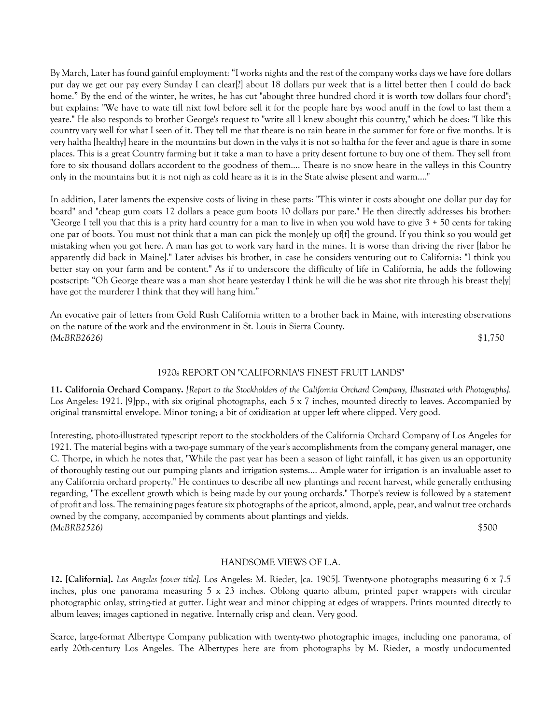By March, Later has found gainful employment: "I works nights and the rest of the company works days we have fore dollars pur day we get our pay every Sunday I can clear[?] about 18 dollars pur week that is a littel better then I could do back home." By the end of the winter, he writes, he has cut "abought three hundred chord it is worth tow dollars four chord"; but explains: "We have to wate till nixt fowl before sell it for the people hare bys wood anuff in the fowl to last them a yeare." He also responds to brother George's request to "write all I knew abought this country," which he does: "I like this country vary well for what I seen of it. They tell me that theare is no rain heare in the summer for fore or five months. It is very haltha [healthy] heare in the mountains but down in the valys it is not so haltha for the fever and ague is thare in some places. This is a great Country farming but it take a man to have a prity desent fortune to buy one of them. They sell from fore to six thousand dollars accordent to the goodness of them.... Theare is no snow heare in the valleys in this Country only in the mountains but it is not nigh as cold heare as it is in the State alwise plesent and warm...."

In addition, Later laments the expensive costs of living in these parts: "This winter it costs abought one dollar pur day for board" and "cheap gum coats 12 dollars a peace gum boots 10 dollars pur pare." He then directly addresses his brother: "George I tell you that this is a prity hard country for a man to live in when you wold have to give  $3 + 50$  cents for taking one par of boots. You must not think that a man can pick the mon[e]y up of[f] the ground. If you think so you would get mistaking when you got here. A man has got to work vary hard in the mines. It is worse than driving the river [labor he apparently did back in Maine]." Later advises his brother, in case he considers venturing out to California: "I think you better stay on your farm and be content." As if to underscore the difficulty of life in California, he adds the following postscript: "Oh George theare was a man shot heare yesterday I think he will die he was shot rite through his breast the[y] have got the murderer I think that they will hang him."

An evocative pair of letters from Gold Rush California written to a brother back in Maine, with interesting observations on the nature of the work and the environment in St. Louis in Sierra County. *(McBRB2626)* \$1,750

## 1920s REPORT ON "CALIFORNIA'S FINEST FRUIT LANDS"

**11. California Orchard Company.** *[Report to the Stockholders of the California Orchard Company, Illustrated with Photographs].* Los Angeles: 1921. [9]pp., with six original photographs, each 5 x 7 inches, mounted directly to leaves. Accompanied by original transmittal envelope. Minor toning; a bit of oxidization at upper left where clipped. Very good.

Interesting, photo-illustrated typescript report to the stockholders of the California Orchard Company of Los Angeles for 1921. The material begins with a two-page summary of the year's accomplishments from the company general manager, one C. Thorpe, in which he notes that, "While the past year has been a season of light rainfall, it has given us an opportunity of thoroughly testing out our pumping plants and irrigation systems.... Ample water for irrigation is an invaluable asset to any California orchard property." He continues to describe all new plantings and recent harvest, while generally enthusing regarding, "The excellent growth which is being made by our young orchards." Thorpe's review is followed by a statement of profit and loss. The remaining pages feature six photographs of the apricot, almond, apple, pear, and walnut tree orchards owned by the company, accompanied by comments about plantings and yields. *(McBRB2526)* \$500

## HANDSOME VIEWS OF L.A.

**12. [California].** *Los Angeles [cover title].* Los Angeles: M. Rieder, [ca. 1905]. Twenty-one photographs measuring 6 x 7.5 inches, plus one panorama measuring 5 x 23 inches. Oblong quarto album, printed paper wrappers with circular photographic onlay, string-tied at gutter. Light wear and minor chipping at edges of wrappers. Prints mounted directly to album leaves; images captioned in negative. Internally crisp and clean. Very good.

Scarce, large-format Albertype Company publication with twenty-two photographic images, including one panorama, of early 20th-century Los Angeles. The Albertypes here are from photographs by M. Rieder, a mostly undocumented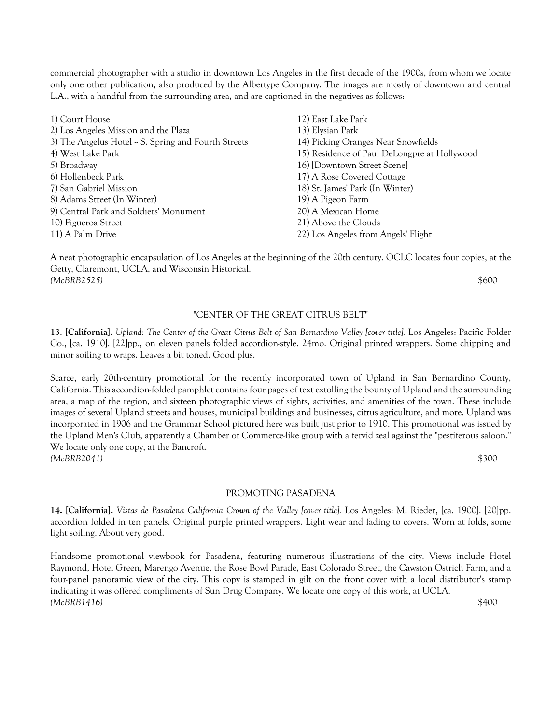commercial photographer with a studio in downtown Los Angeles in the first decade of the 1900s, from whom we locate only one other publication, also produced by the Albertype Company. The images are mostly of downtown and central L.A., with a handful from the surrounding area, and are captioned in the negatives as follows:

| 1) Court House                                      | 12) East Lake Park                           |
|-----------------------------------------------------|----------------------------------------------|
| 2) Los Angeles Mission and the Plaza                | 13) Elysian Park                             |
| 3) The Angelus Hotel ~ S. Spring and Fourth Streets | 14) Picking Oranges Near Snowfields          |
| 4) West Lake Park                                   | 15) Residence of Paul DeLongpre at Hollywood |
| 5) Broadway                                         | 16) [Downtown Street Scene]                  |
| 6) Hollenbeck Park                                  | 17) A Rose Covered Cottage                   |
| 7) San Gabriel Mission                              | 18) St. James' Park (In Winter)              |
| 8) Adams Street (In Winter)                         | 19) A Pigeon Farm                            |
| 9) Central Park and Soldiers' Monument              | 20) A Mexican Home                           |
| 10) Figueroa Street                                 | 21) Above the Clouds                         |
| 11) A Palm Drive                                    | 22) Los Angeles from Angels' Flight          |

A neat photographic encapsulation of Los Angeles at the beginning of the 20th century. OCLC locates four copies, at the Getty, Claremont, UCLA, and Wisconsin Historical. *(McBRB2525)* \$600

# "CENTER OF THE GREAT CITRUS BELT"

**13. [California].** *Upland: The Center of the Great Citrus Belt of San Bernardino Valley [cover title].* Los Angeles: Pacific Folder Co., [ca. 1910]. [22]pp., on eleven panels folded accordion-style. 24mo. Original printed wrappers. Some chipping and minor soiling to wraps. Leaves a bit toned. Good plus.

Scarce, early 20th-century promotional for the recently incorporated town of Upland in San Bernardino County, California. This accordion-folded pamphlet contains four pages of text extolling the bounty of Upland and the surrounding area, a map of the region, and sixteen photographic views of sights, activities, and amenities of the town. These include images of several Upland streets and houses, municipal buildings and businesses, citrus agriculture, and more. Upland was incorporated in 1906 and the Grammar School pictured here was built just prior to 1910. This promotional was issued by the Upland Men's Club, apparently a Chamber of Commerce-like group with a fervid zeal against the "pestiferous saloon." We locate only one copy, at the Bancroft. *(McBRB2041)* \$300

## PROMOTING PASADENA

**14. [California].** *Vistas de Pasadena California Crown of the Valley [cover title].* Los Angeles: M. Rieder, [ca. 1900]. [20]pp. accordion folded in ten panels. Original purple printed wrappers. Light wear and fading to covers. Worn at folds, some light soiling. About very good.

Handsome promotional viewbook for Pasadena, featuring numerous illustrations of the city. Views include Hotel Raymond, Hotel Green, Marengo Avenue, the Rose Bowl Parade, East Colorado Street, the Cawston Ostrich Farm, and a four-panel panoramic view of the city. This copy is stamped in gilt on the front cover with a local distributor's stamp indicating it was offered compliments of Sun Drug Company. We locate one copy of this work, at UCLA. *(McBRB1416)* \$400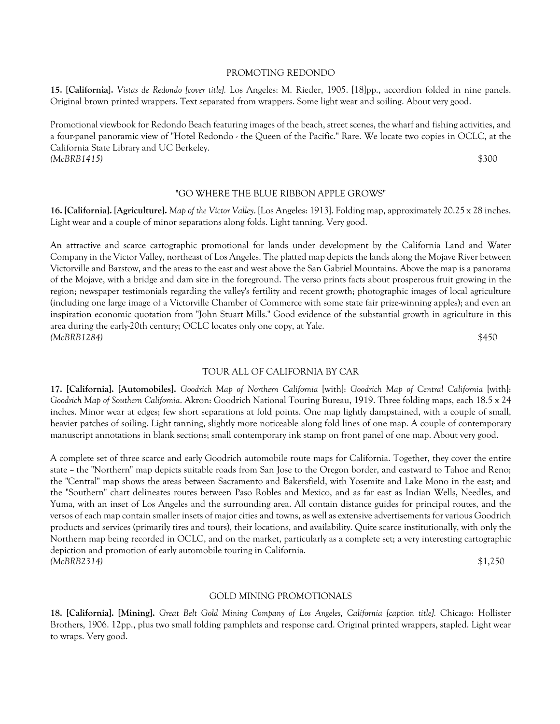#### PROMOTING REDONDO

**15. [California].** *Vistas de Redondo [cover title].* Los Angeles: M. Rieder, 1905. [18]pp., accordion folded in nine panels. Original brown printed wrappers. Text separated from wrappers. Some light wear and soiling. About very good.

Promotional viewbook for Redondo Beach featuring images of the beach, street scenes, the wharf and fishing activities, and a four-panel panoramic view of "Hotel Redondo - the Queen of the Pacific." Rare. We locate two copies in OCLC, at the California State Library and UC Berkeley. *(McBRB1415)* \$300

## "GO WHERE THE BLUE RIBBON APPLE GROWS"

**16. [California]. [Agriculture].** *Map of the Victor Valley*. [Los Angeles: 1913]. Folding map, approximately 20.25 x 28 inches. Light wear and a couple of minor separations along folds. Light tanning. Very good.

An attractive and scarce cartographic promotional for lands under development by the California Land and Water Company in the Victor Valley, northeast of Los Angeles. The platted map depicts the lands along the Mojave River between Victorville and Barstow, and the areas to the east and west above the San Gabriel Mountains. Above the map is a panorama of the Mojave, with a bridge and dam site in the foreground. The verso prints facts about prosperous fruit growing in the region; newspaper testimonials regarding the valley's fertility and recent growth; photographic images of local agriculture (including one large image of a Victorville Chamber of Commerce with some state fair prize-winning apples); and even an inspiration economic quotation from "John Stuart Mills." Good evidence of the substantial growth in agriculture in this area during the early-20th century; OCLC locates only one copy, at Yale. *(McBRB1284)* \$450

## TOUR ALL OF CALIFORNIA BY CAR

**17. [California]. [Automobiles].** *Goodrich Map of Northern California* [with]: *Goodrich Map of Central California* [with]: *Goodrich Map of Southern California*. Akron: Goodrich National Touring Bureau, 1919. Three folding maps, each 18.5 x 24 inches. Minor wear at edges; few short separations at fold points. One map lightly dampstained, with a couple of small, heavier patches of soiling. Light tanning, slightly more noticeable along fold lines of one map. A couple of contemporary manuscript annotations in blank sections; small contemporary ink stamp on front panel of one map. About very good.

A complete set of three scarce and early Goodrich automobile route maps for California. Together, they cover the entire state - the "Northern" map depicts suitable roads from San Jose to the Oregon border, and eastward to Tahoe and Reno; the "Central" map shows the areas between Sacramento and Bakersfield, with Yosemite and Lake Mono in the east; and the "Southern" chart delineates routes between Paso Robles and Mexico, and as far east as Indian Wells, Needles, and Yuma, with an inset of Los Angeles and the surrounding area. All contain distance guides for principal routes, and the versos of each map contain smaller insets of major cities and towns, as well as extensive advertisements for various Goodrich products and services (primarily tires and tours), their locations, and availability. Quite scarce institutionally, with only the Northern map being recorded in OCLC, and on the market, particularly as a complete set; a very interesting cartographic depiction and promotion of early automobile touring in California. *(McBRB2314)* \$1,250

#### GOLD MINING PROMOTIONALS

**18. [California]. [Mining].** *Great Belt Gold Mining Company of Los Angeles, California [caption title].* Chicago: Hollister Brothers, 1906. 12pp., plus two small folding pamphlets and response card. Original printed wrappers, stapled. Light wear to wraps. Very good.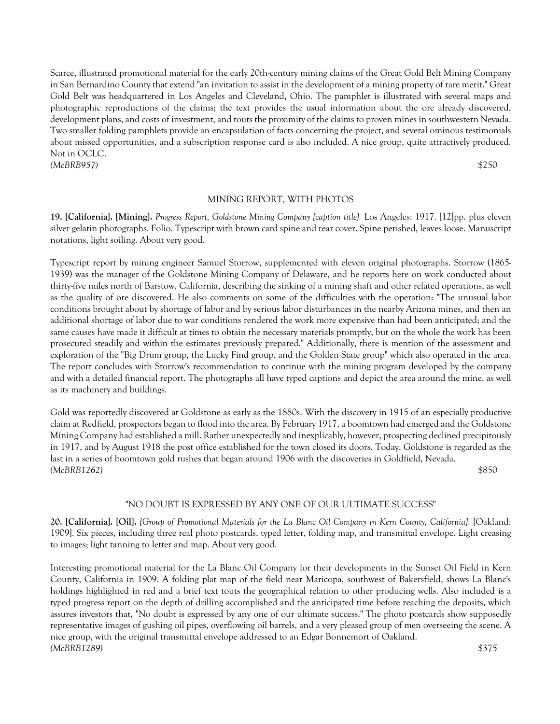Scarce, illustrated promotional material for the early 20th-century mining claims of the Great Gold Belt Mining Company in San Bernardino County that extend "an invitation to assist in the development of a mining property of rare merit." Great Gold Belt was headquartered in Los Angeles and Cleveland, Ohio. The pamphlet is illustrated with several maps and photographic reproductions of the claims; the text provides the usual information about the ore already discovered, development plans, and costs of investment, and touts the proximity of the claims to proven mines in southwestern Nevada. Two smaller folding pamphlets provide an encapsulation of facts concerning the project, and several ominous testimonials about missed opportunities, and a subscription response card is also included. A nice group, quite attractively produced. Not in OCLC.

*(McBRB957)* \$250

## MINING REPORT, WITH PHOTOS

**19. [California]. [Mining].** *Progress Report, Goldstone Mining Company [caption title].* Los Angeles: 1917. [12]pp. plus eleven silver gelatin photographs. Folio. Typescript with brown card spine and rear cover. Spine perished, leaves loose. Manuscript notations, light soiling. About very good.

Typescript report by mining engineer Samuel Storrow, supplemented with eleven original photographs. Storrow (1865- 1939) was the manager of the Goldstone Mining Company of Delaware, and he reports here on work conducted about thirty-five miles north of Barstow, California, describing the sinking of a mining shaft and other related operations, as well as the quality of ore discovered. He also comments on some of the difficulties with the operation: "The unusual labor conditions brought about by shortage of labor and by serious labor disturbances in the nearby Arizona mines, and then an additional shortage of labor due to war conditions rendered the work more expensive than had been anticipated; and the same causes have made it difficult at times to obtain the necessary materials promptly, but on the whole the work has been prosecuted steadily and within the estimates previously prepared." Additionally, there is mention of the assessment and exploration of the "Big Drum group, the Lucky Find group, and the Golden State group" which also operated in the area. The report concludes with Storrow's recommendation to continue with the mining program developed by the company and with a detailed financial report. The photographs all have typed captions and depict the area around the mine, as well as its machinery and buildings.

Gold was reportedly discovered at Goldstone as early as the 1880s. With the discovery in 1915 of an especially productive claim at Redfield, prospectors began to flood into the area. By February 1917, a boomtown had emerged and the Goldstone Mining Company had established a mill. Rather unexpectedly and inexplicably, however, prospecting declined precipitously in 1917, and by August 1918 the post office established for the town closed its doors. Today, Goldstone is regarded as the last in a series of boomtown gold rushes that began around 1906 with the discoveries in Goldfield, Nevada. *(McBRB1262)* \$850

## "NO DOUBT IS EXPRESSED BY ANY ONE OF OUR ULTIMATE SUCCESS"

**20. [California]. [Oil].** *[Group of Promotional Materials for the La Blanc Oil Company in Kern County, California].* [Oakland: 1909]. Six pieces, including three real photo postcards, typed letter, folding map, and transmittal envelope. Light creasing to images; light tanning to letter and map. About very good.

Interesting promotional material for the La Blanc Oil Company for their developments in the Sunset Oil Field in Kern County, California in 1909. A folding plat map of the field near Maricopa, southwest of Bakersfield, shows La Blanc's holdings highlighted in red and a brief text touts the geographical relation to other producing wells. Also included is a typed progress report on the depth of drilling accomplished and the anticipated time before reaching the deposits, which assures investors that, "No doubt is expressed by any one of our ultimate success." The photo postcards show supposedly representative images of gushing oil pipes, overflowing oil barrels, and a very pleased group of men overseeing the scene. A nice group, with the original transmittal envelope addressed to an Edgar Bonnemort of Oakland. *(McBRB1289)* \$375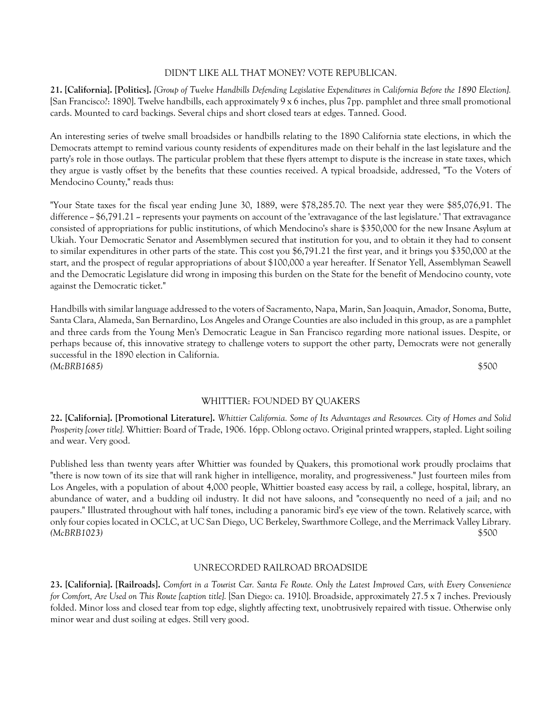## DIDN'T LIKE ALL THAT MONEY? VOTE REPUBLICAN.

**21. [California]. [Politics].** *[Group of Twelve Handbills Defending Legislative Expenditures in California Before the 1890 Election].* [San Francisco?: 1890]. Twelve handbills, each approximately 9 x 6 inches, plus 7pp. pamphlet and three small promotional cards. Mounted to card backings. Several chips and short closed tears at edges. Tanned. Good.

An interesting series of twelve small broadsides or handbills relating to the 1890 California state elections, in which the Democrats attempt to remind various county residents of expenditures made on their behalf in the last legislature and the party's role in those outlays. The particular problem that these flyers attempt to dispute is the increase in state taxes, which they argue is vastly offset by the benefits that these counties received. A typical broadside, addressed, "To the Voters of Mendocino County," reads thus:

"Your State taxes for the fiscal year ending June 30, 1889, were \$78,285.70. The next year they were \$85,076,91. The difference  $\sim$  \$6,791.21  $\sim$  represents your payments on account of the 'extravagance of the last legislature.' That extravagance consisted of appropriations for public institutions, of which Mendocino's share is \$350,000 for the new Insane Asylum at Ukiah. Your Democratic Senator and Assemblymen secured that institution for you, and to obtain it they had to consent to similar expenditures in other parts of the state. This cost you \$6,791.21 the first year, and it brings you \$350,000 at the start, and the prospect of regular appropriations of about \$100,000 a year hereafter. If Senator Yell, Assemblyman Seawell and the Democratic Legislature did wrong in imposing this burden on the State for the benefit of Mendocino county, vote against the Democratic ticket."

Handbills with similar language addressed to the voters of Sacramento, Napa, Marin, San Joaquin, Amador, Sonoma, Butte, Santa Clara, Alameda, San Bernardino, Los Angeles and Orange Counties are also included in this group, as are a pamphlet and three cards from the Young Men's Democratic League in San Francisco regarding more national issues. Despite, or perhaps because of, this innovative strategy to challenge voters to support the other party, Democrats were not generally successful in the 1890 election in California. *(McBRB1685)* \$500

#### WHITTIER: FOUNDED BY QUAKERS

**22. [California]. [Promotional Literature].** *Whittier California. Some of Its Advantages and Resources. City of Homes and Solid Prosperity [cover title].* Whittier: Board of Trade, 1906. 16pp. Oblong octavo. Original printed wrappers, stapled. Light soiling and wear. Very good.

Published less than twenty years after Whittier was founded by Quakers, this promotional work proudly proclaims that "there is now town of its size that will rank higher in intelligence, morality, and progressiveness." Just fourteen miles from Los Angeles, with a population of about 4,000 people, Whittier boasted easy access by rail, a college, hospital, library, an abundance of water, and a budding oil industry. It did not have saloons, and "consequently no need of a jail; and no paupers." Illustrated throughout with half tones, including a panoramic bird's eye view of the town. Relatively scarce, with only four copies located in OCLC, at UC San Diego, UC Berkeley, Swarthmore College, and the Merrimack Valley Library. *(McBRB1023)* \$500

## UNRECORDED RAILROAD BROADSIDE

**23. [California]. [Railroads].** *Comfort in a Tourist Car. Santa Fe Route. Only the Latest Improved Cars, with Every Convenience for Comfort, Are Used on This Route [caption title].* [San Diego: ca. 1910]. Broadside, approximately 27.5 x 7 inches. Previously folded. Minor loss and closed tear from top edge, slightly affecting text, unobtrusively repaired with tissue. Otherwise only minor wear and dust soiling at edges. Still very good.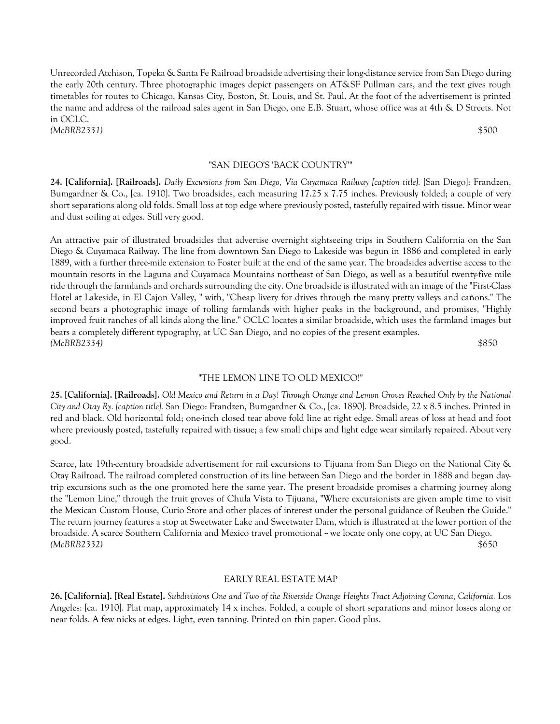Unrecorded Atchison, Topeka & Santa Fe Railroad broadside advertising their long-distance service from San Diego during the early 20th century. Three photographic images depict passengers on AT&SF Pullman cars, and the text gives rough timetables for routes to Chicago, Kansas City, Boston, St. Louis, and St. Paul. At the foot of the advertisement is printed the name and address of the railroad sales agent in San Diego, one E.B. Stuart, whose office was at 4th & D Streets. Not in OCLC. *(McBRB2331)* \$500

"SAN DIEGO'S 'BACK COUNTRY'"

**24. [California]. [Railroads].** *Daily Excursions from San Diego, Via Cuyamaca Railway [caption title].* [San Diego]: Frandzen, Bumgardner & Co., [ca. 1910]. Two broadsides, each measuring 17.25 x 7.75 inches. Previously folded; a couple of very short separations along old folds. Small loss at top edge where previously posted, tastefully repaired with tissue. Minor wear and dust soiling at edges. Still very good.

An attractive pair of illustrated broadsides that advertise overnight sightseeing trips in Southern California on the San Diego & Cuyamaca Railway. The line from downtown San Diego to Lakeside was begun in 1886 and completed in early 1889, with a further three-mile extension to Foster built at the end of the same year. The broadsides advertise access to the mountain resorts in the Laguna and Cuyamaca Mountains northeast of San Diego, as well as a beautiful twenty-five mile ride through the farmlands and orchards surrounding the city. One broadside is illustrated with an image of the "First-Class Hotel at Lakeside, in El Cajon Valley, " with, "Cheap livery for drives through the many pretty valleys and cañons." The second bears a photographic image of rolling farmlands with higher peaks in the background, and promises, "Highly improved fruit ranches of all kinds along the line." OCLC locates a similar broadside, which uses the farmland images but bears a completely different typography, at UC San Diego, and no copies of the present examples. *(McBRB2334)* \$850

#### "THE LEMON LINE TO OLD MEXICO!"

**25. [California]. [Railroads].** *Old Mexico and Return in a Day! Through Orange and Lemon Groves Reached Only by the National City and Otay Ry. [caption title].* San Diego: Frandzen, Bumgardner & Co., [ca. 1890]. Broadside, 22 x 8.5 inches. Printed in red and black. Old horizontal fold; one-inch closed tear above fold line at right edge. Small areas of loss at head and foot where previously posted, tastefully repaired with tissue; a few small chips and light edge wear similarly repaired. About very good.

Scarce, late 19th-century broadside advertisement for rail excursions to Tijuana from San Diego on the National City & Otay Railroad. The railroad completed construction of its line between San Diego and the border in 1888 and began daytrip excursions such as the one promoted here the same year. The present broadside promises a charming journey along the "Lemon Line," through the fruit groves of Chula Vista to Tijuana, "Where excursionists are given ample time to visit the Mexican Custom House, Curio Store and other places of interest under the personal guidance of Reuben the Guide." The return journey features a stop at Sweetwater Lake and Sweetwater Dam, which is illustrated at the lower portion of the broadside. A scarce Southern California and Mexico travel promotional -- we locate only one copy, at UC San Diego. *(McBRB2332)* \$650

## EARLY REAL ESTATE MAP

**26. [California]. [Real Estate].** *Subdivisions One and Two of the Riverside Orange Heights Tract Adjoining Corona, California.* Los Angeles: [ca. 1910]. Plat map, approximately 14 x inches. Folded, a couple of short separations and minor losses along or near folds. A few nicks at edges. Light, even tanning. Printed on thin paper. Good plus.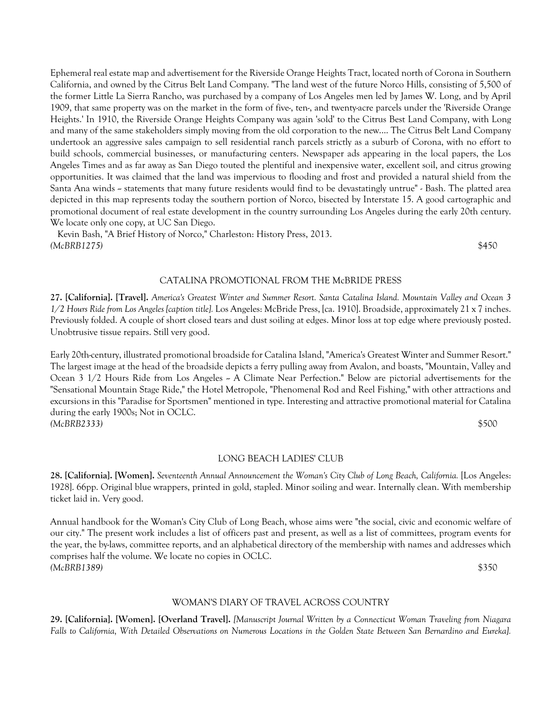Ephemeral real estate map and advertisement for the Riverside Orange Heights Tract, located north of Corona in Southern California, and owned by the Citrus Belt Land Company. "The land west of the future Norco Hills, consisting of 5,500 of the former Little La Sierra Rancho, was purchased by a company of Los Angeles men led by James W. Long, and by April 1909, that same property was on the market in the form of five-, ten-, and twenty-acre parcels under the 'Riverside Orange Heights.' In 1910, the Riverside Orange Heights Company was again 'sold' to the Citrus Best Land Company, with Long and many of the same stakeholders simply moving from the old corporation to the new.... The Citrus Belt Land Company undertook an aggressive sales campaign to sell residential ranch parcels strictly as a suburb of Corona, with no effort to build schools, commercial businesses, or manufacturing centers. Newspaper ads appearing in the local papers, the Los Angeles Times and as far away as San Diego touted the plentiful and inexpensive water, excellent soil, and citrus growing opportunities. It was claimed that the land was impervious to flooding and frost and provided a natural shield from the Santa Ana winds – statements that many future residents would find to be devastatingly untrue" - Bash. The platted area depicted in this map represents today the southern portion of Norco, bisected by Interstate 15. A good cartographic and promotional document of real estate development in the country surrounding Los Angeles during the early 20th century. We locate only one copy, at UC San Diego.

 Kevin Bash, "A Brief History of Norco," Charleston: History Press, 2013. *(McBRB1275)* \$450

#### CATALINA PROMOTIONAL FROM THE McBRIDE PRESS

**27. [California]. [Travel].** *America's Greatest Winter and Summer Resort. Santa Catalina Island. Mountain Valley and Ocean 3 1/2 Hours Ride from Los Angeles [caption title].* Los Angeles: McBride Press, [ca. 1910]. Broadside, approximately 21 x 7 inches. Previously folded. A couple of short closed tears and dust soiling at edges. Minor loss at top edge where previously posted. Unobtrusive tissue repairs. Still very good.

Early 20th-century, illustrated promotional broadside for Catalina Island, "America's Greatest Winter and Summer Resort." The largest image at the head of the broadside depicts a ferry pulling away from Avalon, and boasts, "Mountain, Valley and Ocean 3  $1/2$  Hours Ride from Los Angeles  $\sim A$  Climate Near Perfection." Below are pictorial advertisements for the "Sensational Mountain Stage Ride," the Hotel Metropole, "Phenomenal Rod and Reel Fishing," with other attractions and excursions in this "Paradise for Sportsmen" mentioned in type. Interesting and attractive promotional material for Catalina during the early 1900s; Not in OCLC. *(McBRB2333)* \$500

## LONG BEACH LADIES' CLUB

**28. [California]. [Women].** *Seventeenth Annual Announcement the Woman's City Club of Long Beach, California.* [Los Angeles: 1928]. 66pp. Original blue wrappers, printed in gold, stapled. Minor soiling and wear. Internally clean. With membership ticket laid in. Very good.

Annual handbook for the Woman's City Club of Long Beach, whose aims were "the social, civic and economic welfare of our city." The present work includes a list of officers past and present, as well as a list of committees, program events for the year, the by-laws, committee reports, and an alphabetical directory of the membership with names and addresses which comprises half the volume. We locate no copies in OCLC. *(McBRB1389)* \$350

#### WOMAN'S DIARY OF TRAVEL ACROSS COUNTRY

**29. [California]. [Women]. [Overland Travel].** *[Manuscript Journal Written by a Connecticut Woman Traveling from Niagara Falls to California, With Detailed Observations on Numerous Locations in the Golden State Between San Bernardino and Eureka].*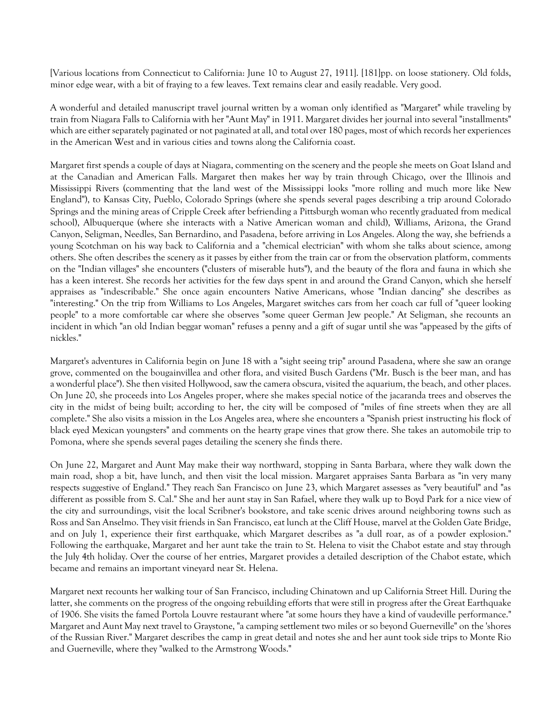[Various locations from Connecticut to California: June 10 to August 27, 1911]. [181]pp. on loose stationery. Old folds, minor edge wear, with a bit of fraying to a few leaves. Text remains clear and easily readable. Very good.

A wonderful and detailed manuscript travel journal written by a woman only identified as "Margaret" while traveling by train from Niagara Falls to California with her "Aunt May" in 1911. Margaret divides her journal into several "installments" which are either separately paginated or not paginated at all, and total over 180 pages, most of which records her experiences in the American West and in various cities and towns along the California coast.

Margaret first spends a couple of days at Niagara, commenting on the scenery and the people she meets on Goat Island and at the Canadian and American Falls. Margaret then makes her way by train through Chicago, over the Illinois and Mississippi Rivers (commenting that the land west of the Mississippi looks "more rolling and much more like New England"), to Kansas City, Pueblo, Colorado Springs (where she spends several pages describing a trip around Colorado Springs and the mining areas of Cripple Creek after befriending a Pittsburgh woman who recently graduated from medical school), Albuquerque (where she interacts with a Native American woman and child), Williams, Arizona, the Grand Canyon, Seligman, Needles, San Bernardino, and Pasadena, before arriving in Los Angeles. Along the way, she befriends a young Scotchman on his way back to California and a "chemical electrician" with whom she talks about science, among others. She often describes the scenery as it passes by either from the train car or from the observation platform, comments on the "Indian villages" she encounters ("clusters of miserable huts"), and the beauty of the flora and fauna in which she has a keen interest. She records her activities for the few days spent in and around the Grand Canyon, which she herself appraises as "indescribable." She once again encounters Native Americans, whose "Indian dancing" she describes as "interesting." On the trip from Williams to Los Angeles, Margaret switches cars from her coach car full of "queer looking people" to a more comfortable car where she observes "some queer German Jew people." At Seligman, she recounts an incident in which "an old Indian beggar woman" refuses a penny and a gift of sugar until she was "appeased by the gifts of nickles."

Margaret's adventures in California begin on June 18 with a "sight seeing trip" around Pasadena, where she saw an orange grove, commented on the bougainvillea and other flora, and visited Busch Gardens ("Mr. Busch is the beer man, and has a wonderful place"). She then visited Hollywood, saw the camera obscura, visited the aquarium, the beach, and other places. On June 20, she proceeds into Los Angeles proper, where she makes special notice of the jacaranda trees and observes the city in the midst of being built; according to her, the city will be composed of "miles of fine streets when they are all complete." She also visits a mission in the Los Angeles area, where she encounters a "Spanish priest instructing his flock of black eyed Mexican youngsters" and comments on the hearty grape vines that grow there. She takes an automobile trip to Pomona, where she spends several pages detailing the scenery she finds there.

On June 22, Margaret and Aunt May make their way northward, stopping in Santa Barbara, where they walk down the main road, shop a bit, have lunch, and then visit the local mission. Margaret appraises Santa Barbara as "in very many respects suggestive of England." They reach San Francisco on June 23, which Margaret assesses as "very beautiful" and "as different as possible from S. Cal." She and her aunt stay in San Rafael, where they walk up to Boyd Park for a nice view of the city and surroundings, visit the local Scribner's bookstore, and take scenic drives around neighboring towns such as Ross and San Anselmo. They visit friends in San Francisco, eat lunch at the Cliff House, marvel at the Golden Gate Bridge, and on July 1, experience their first earthquake, which Margaret describes as "a dull roar, as of a powder explosion." Following the earthquake, Margaret and her aunt take the train to St. Helena to visit the Chabot estate and stay through the July 4th holiday. Over the course of her entries, Margaret provides a detailed description of the Chabot estate, which became and remains an important vineyard near St. Helena.

Margaret next recounts her walking tour of San Francisco, including Chinatown and up California Street Hill. During the latter, she comments on the progress of the ongoing rebuilding efforts that were still in progress after the Great Earthquake of 1906. She visits the famed Portola Louvre restaurant where "at some hours they have a kind of vaudeville performance." Margaret and Aunt May next travel to Graystone, "a camping settlement two miles or so beyond Guerneville" on the 'shores of the Russian River." Margaret describes the camp in great detail and notes she and her aunt took side trips to Monte Rio and Guerneville, where they "walked to the Armstrong Woods."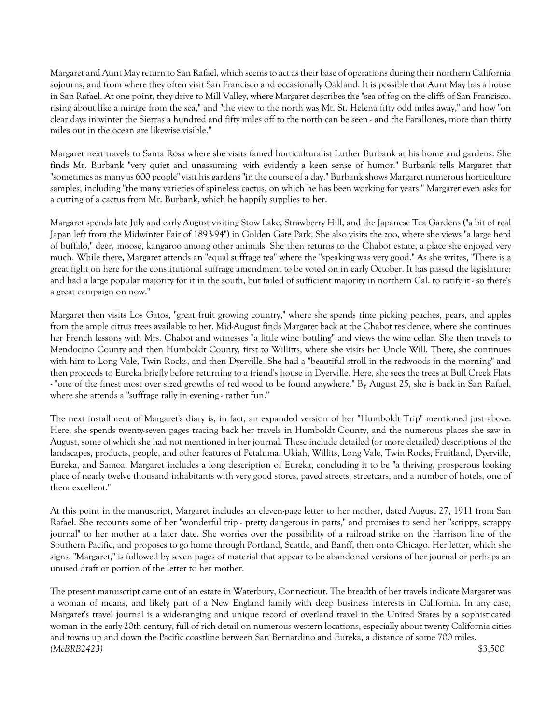Margaret and Aunt May return to San Rafael, which seems to act as their base of operations during their northern California sojourns, and from where they often visit San Francisco and occasionally Oakland. It is possible that Aunt May has a house in San Rafael. At one point, they drive to Mill Valley, where Margaret describes the "sea of fog on the cliffs of San Francisco, rising about like a mirage from the sea," and "the view to the north was Mt. St. Helena fifty odd miles away," and how "on clear days in winter the Sierras a hundred and fifty miles off to the north can be seen - and the Farallones, more than thirty miles out in the ocean are likewise visible."

Margaret next travels to Santa Rosa where she visits famed horticulturalist Luther Burbank at his home and gardens. She finds Mr. Burbank "very quiet and unassuming, with evidently a keen sense of humor." Burbank tells Margaret that "sometimes as many as 600 people" visit his gardens "in the course of a day." Burbank shows Margaret numerous horticulture samples, including "the many varieties of spineless cactus, on which he has been working for years." Margaret even asks for a cutting of a cactus from Mr. Burbank, which he happily supplies to her.

Margaret spends late July and early August visiting Stow Lake, Strawberry Hill, and the Japanese Tea Gardens ("a bit of real Japan left from the Midwinter Fair of 1893-94") in Golden Gate Park. She also visits the zoo, where she views "a large herd of buffalo," deer, moose, kangaroo among other animals. She then returns to the Chabot estate, a place she enjoyed very much. While there, Margaret attends an "equal suffrage tea" where the "speaking was very good." As she writes, "There is a great fight on here for the constitutional suffrage amendment to be voted on in early October. It has passed the legislature; and had a large popular majority for it in the south, but failed of sufficient majority in northern Cal. to ratify it - so there's a great campaign on now."

Margaret then visits Los Gatos, "great fruit growing country," where she spends time picking peaches, pears, and apples from the ample citrus trees available to her. Mid-August finds Margaret back at the Chabot residence, where she continues her French lessons with Mrs. Chabot and witnesses "a little wine bottling" and views the wine cellar. She then travels to Mendocino County and then Humboldt County, first to Willitts, where she visits her Uncle Will. There, she continues with him to Long Vale, Twin Rocks, and then Dyerville. She had a "beautiful stroll in the redwoods in the morning" and then proceeds to Eureka briefly before returning to a friend's house in Dyerville. Here, she sees the trees at Bull Creek Flats - "one of the finest most over sized growths of red wood to be found anywhere." By August 25, she is back in San Rafael, where she attends a "suffrage rally in evening - rather fun."

The next installment of Margaret's diary is, in fact, an expanded version of her "Humboldt Trip" mentioned just above. Here, she spends twenty-seven pages tracing back her travels in Humboldt County, and the numerous places she saw in August, some of which she had not mentioned in her journal. These include detailed (or more detailed) descriptions of the landscapes, products, people, and other features of Petaluma, Ukiah, Willits, Long Vale, Twin Rocks, Fruitland, Dyerville, Eureka, and Samoa. Margaret includes a long description of Eureka, concluding it to be "a thriving, prosperous looking place of nearly twelve thousand inhabitants with very good stores, paved streets, streetcars, and a number of hotels, one of them excellent."

At this point in the manuscript, Margaret includes an eleven-page letter to her mother, dated August 27, 1911 from San Rafael. She recounts some of her "wonderful trip - pretty dangerous in parts," and promises to send her "scrippy, scrappy journal" to her mother at a later date. She worries over the possibility of a railroad strike on the Harrison line of the Southern Pacific, and proposes to go home through Portland, Seattle, and Banff, then onto Chicago. Her letter, which she signs, "Margaret," is followed by seven pages of material that appear to be abandoned versions of her journal or perhaps an unused draft or portion of the letter to her mother.

The present manuscript came out of an estate in Waterbury, Connecticut. The breadth of her travels indicate Margaret was a woman of means, and likely part of a New England family with deep business interests in California. In any case, Margaret's travel journal is a wide-ranging and unique record of overland travel in the United States by a sophisticated woman in the early-20th century, full of rich detail on numerous western locations, especially about twenty California cities and towns up and down the Pacific coastline between San Bernardino and Eureka, a distance of some 700 miles. *(McBRB2423)* \$3,500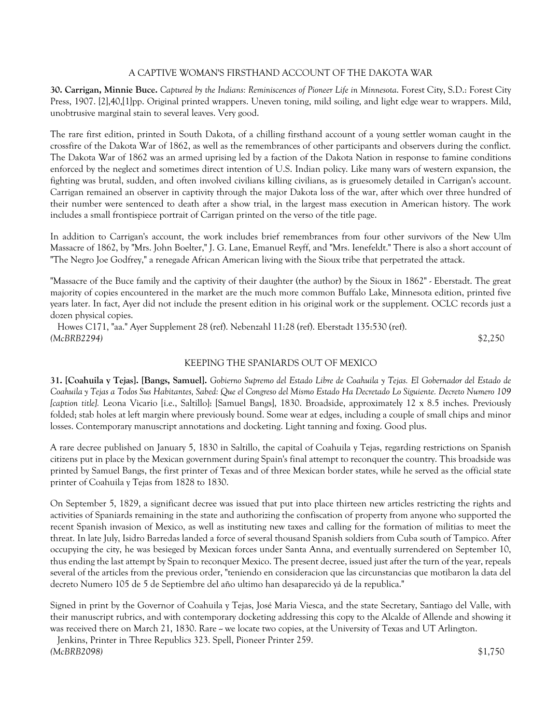# A CAPTIVE WOMAN'S FIRSTHAND ACCOUNT OF THE DAKOTA WAR

**30. Carrigan, Minnie Buce.** *Captured by the Indians: Reminiscences of Pioneer Life in Minnesota*. Forest City, S.D.: Forest City Press, 1907. [2],40,[1]pp. Original printed wrappers. Uneven toning, mild soiling, and light edge wear to wrappers. Mild, unobtrusive marginal stain to several leaves. Very good.

The rare first edition, printed in South Dakota, of a chilling firsthand account of a young settler woman caught in the crossfire of the Dakota War of 1862, as well as the remembrances of other participants and observers during the conflict. The Dakota War of 1862 was an armed uprising led by a faction of the Dakota Nation in response to famine conditions enforced by the neglect and sometimes direct intention of U.S. Indian policy. Like many wars of western expansion, the fighting was brutal, sudden, and often involved civilians killing civilians, as is gruesomely detailed in Carrigan's account. Carrigan remained an observer in captivity through the major Dakota loss of the war, after which over three hundred of their number were sentenced to death after a show trial, in the largest mass execution in American history. The work includes a small frontispiece portrait of Carrigan printed on the verso of the title page.

In addition to Carrigan's account, the work includes brief remembrances from four other survivors of the New Ulm Massacre of 1862, by "Mrs. John Boelter," J. G. Lane, Emanuel Reyff, and "Mrs. Ienefeldt." There is also a short account of "The Negro Joe Godfrey," a renegade African American living with the Sioux tribe that perpetrated the attack.

"Massacre of the Buce family and the captivity of their daughter (the author) by the Sioux in 1862" - Eberstadt. The great majority of copies encountered in the market are the much more common Buffalo Lake, Minnesota edition, printed five years later. In fact, Ayer did not include the present edition in his original work or the supplement. OCLC records just a dozen physical copies.

 Howes C171, "aa." Ayer Supplement 28 (ref). Nebenzahl 11:28 (ref). Eberstadt 135:530 (ref). *(McBRB2294)* \$2,250

# KEEPING THE SPANIARDS OUT OF MEXICO

**31. [Coahuila y Tejas]. [Bangs, Samuel].** *Gobierno Supremo del Estado Libre de Coahuila y Tejas. El Gobernador del Estado de Coahuila y Tejas a Todos Sus Habitantes, Sabed: Que el Congreso del Mismo Estado Ha Decretado Lo Siguiente. Decreto Numero 109 [caption title].* Leona Vicario [i.e., Saltillo]: [Samuel Bangs], 1830. Broadside, approximately 12 x 8.5 inches. Previously folded; stab holes at left margin where previously bound. Some wear at edges, including a couple of small chips and minor losses. Contemporary manuscript annotations and docketing. Light tanning and foxing. Good plus.

A rare decree published on January 5, 1830 in Saltillo, the capital of Coahuila y Tejas, regarding restrictions on Spanish citizens put in place by the Mexican government during Spain's final attempt to reconquer the country. This broadside was printed by Samuel Bangs, the first printer of Texas and of three Mexican border states, while he served as the official state printer of Coahuila y Tejas from 1828 to 1830.

On September 5, 1829, a significant decree was issued that put into place thirteen new articles restricting the rights and activities of Spaniards remaining in the state and authorizing the confiscation of property from anyone who supported the recent Spanish invasion of Mexico, as well as instituting new taxes and calling for the formation of militias to meet the threat. In late July, Isidro Barredas landed a force of several thousand Spanish soldiers from Cuba south of Tampico. After occupying the city, he was besieged by Mexican forces under Santa Anna, and eventually surrendered on September 10, thus ending the last attempt by Spain to reconquer Mexico. The present decree, issued just after the turn of the year, repeals several of the articles from the previous order, "teniendo en consideracion que las circunstancias que motibaron la data del decreto Numero 105 de 5 de Septiembre del año ultimo han desaparecido yá de la republica."

Signed in print by the Governor of Coahuila y Tejas, José Maria Viesca, and the state Secretary, Santiago del Valle, with their manuscript rubrics, and with contemporary docketing addressing this copy to the Alcalde of Allende and showing it was received there on March 21, 1830. Rare - we locate two copies, at the University of Texas and UT Arlington.

 Jenkins, Printer in Three Republics 323. Spell, Pioneer Printer 259. *(McBRB2098)* \$1,750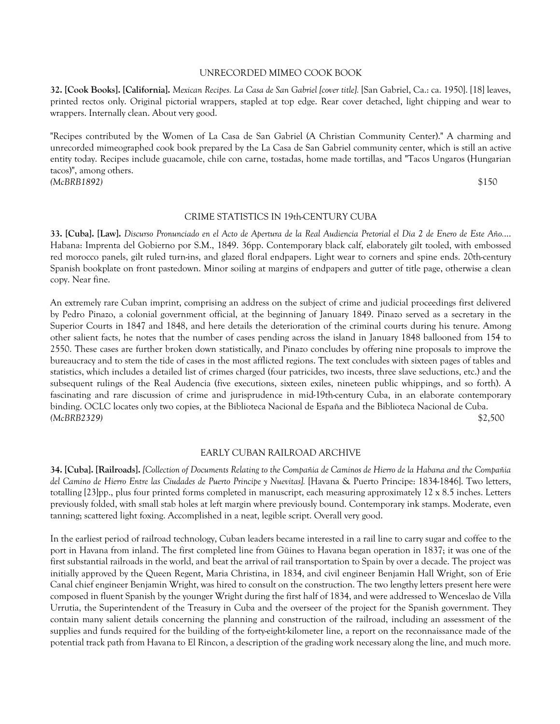#### UNRECORDED MIMEO COOK BOOK

**32. [Cook Books]. [California].** *Mexican Recipes. La Casa de San Gabriel [cover title].* [San Gabriel, Ca.: ca. 1950]. [18] leaves, printed rectos only. Original pictorial wrappers, stapled at top edge. Rear cover detached, light chipping and wear to wrappers. Internally clean. About very good.

"Recipes contributed by the Women of La Casa de San Gabriel (A Christian Community Center)." A charming and unrecorded mimeographed cook book prepared by the La Casa de San Gabriel community center, which is still an active entity today. Recipes include guacamole, chile con carne, tostadas, home made tortillas, and "Tacos Ungaros (Hungarian tacos)", among others. *(McBRB1892)* \$150

## CRIME STATISTICS IN 19th-CENTURY CUBA

**33. [Cuba]. [Law].** *Discurso Pronunciado en el Acto de Apertura de la Real Audiencia Pretorial el Dia 2 de Enero de Este Año.*... Habana: Imprenta del Gobierno por S.M., 1849. 36pp. Contemporary black calf, elaborately gilt tooled, with embossed red morocco panels, gilt ruled turn-ins, and glazed floral endpapers. Light wear to corners and spine ends. 20th-century Spanish bookplate on front pastedown. Minor soiling at margins of endpapers and gutter of title page, otherwise a clean copy. Near fine.

An extremely rare Cuban imprint, comprising an address on the subject of crime and judicial proceedings first delivered by Pedro Pinazo, a colonial government official, at the beginning of January 1849. Pinazo served as a secretary in the Superior Courts in 1847 and 1848, and here details the deterioration of the criminal courts during his tenure. Among other salient facts, he notes that the number of cases pending across the island in January 1848 ballooned from 154 to 2550. These cases are further broken down statistically, and Pinazo concludes by offering nine proposals to improve the bureaucracy and to stem the tide of cases in the most afflicted regions. The text concludes with sixteen pages of tables and statistics, which includes a detailed list of crimes charged (four patricides, two incests, three slave seductions, etc.) and the subsequent rulings of the Real Audencia (five executions, sixteen exiles, nineteen public whippings, and so forth). A fascinating and rare discussion of crime and jurisprudence in mid-19th-century Cuba, in an elaborate contemporary binding. OCLC locates only two copies, at the Biblioteca Nacional de España and the Biblioteca Nacional de Cuba. *(McBRB2329)* \$2,500

# EARLY CUBAN RAILROAD ARCHIVE

**34. [Cuba]. [Railroads].** *[Collection of Documents Relating to the Compañia de Caminos de Hierro de la Habana and the Compañia del Camino de Hierro Entre las Ciudades de Puerto Principe y Nuevitas].* [Havana & Puerto Principe: 1834-1846]. Two letters, totalling [23]pp., plus four printed forms completed in manuscript, each measuring approximately 12 x 8.5 inches. Letters previously folded, with small stab holes at left margin where previously bound. Contemporary ink stamps. Moderate, even tanning; scattered light foxing. Accomplished in a neat, legible script. Overall very good.

In the earliest period of railroad technology, Cuban leaders became interested in a rail line to carry sugar and coffee to the port in Havana from inland. The first completed line from Güines to Havana began operation in 1837; it was one of the first substantial railroads in the world, and beat the arrival of rail transportation to Spain by over a decade. The project was initially approved by the Queen Regent, Maria Christina, in 1834, and civil engineer Benjamin Hall Wright, son of Erie Canal chief engineer Benjamin Wright, was hired to consult on the construction. The two lengthy letters present here were composed in fluent Spanish by the younger Wright during the first half of 1834, and were addressed to Wenceslao de Villa Urrutia, the Superintendent of the Treasury in Cuba and the overseer of the project for the Spanish government. They contain many salient details concerning the planning and construction of the railroad, including an assessment of the supplies and funds required for the building of the forty-eight-kilometer line, a report on the reconnaissance made of the potential track path from Havana to El Rincon, a description of the grading work necessary along the line, and much more.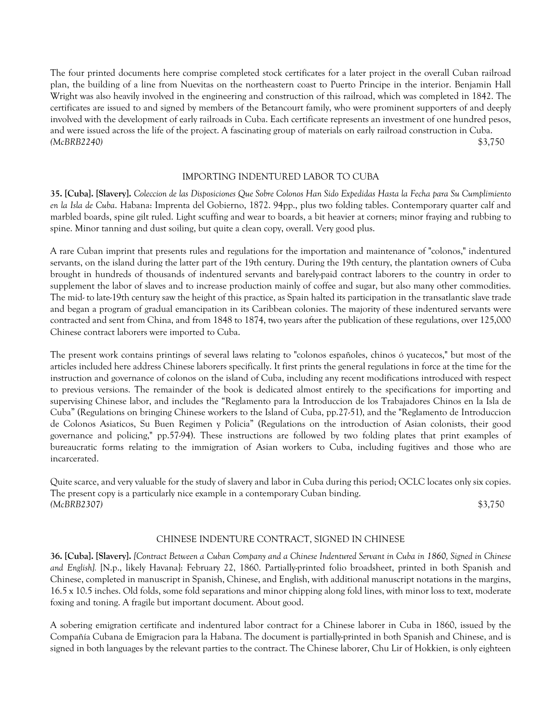The four printed documents here comprise completed stock certificates for a later project in the overall Cuban railroad plan, the building of a line from Nuevitas on the northeastern coast to Puerto Principe in the interior. Benjamin Hall Wright was also heavily involved in the engineering and construction of this railroad, which was completed in 1842. The certificates are issued to and signed by members of the Betancourt family, who were prominent supporters of and deeply involved with the development of early railroads in Cuba. Each certificate represents an investment of one hundred pesos, and were issued across the life of the project. A fascinating group of materials on early railroad construction in Cuba. *(McBRB2240)* \$3,750

# IMPORTING INDENTURED LABOR TO CUBA

**35. [Cuba]. [Slavery].** *Coleccion de las Disposiciones Que Sobre Colonos Han Sido Expedidas Hasta la Fecha para Su Cumplimiento en la Isla de Cuba*. Habana: Imprenta del Gobierno, 1872. 94pp., plus two folding tables. Contemporary quarter calf and marbled boards, spine gilt ruled. Light scuffing and wear to boards, a bit heavier at corners; minor fraying and rubbing to spine. Minor tanning and dust soiling, but quite a clean copy, overall. Very good plus.

A rare Cuban imprint that presents rules and regulations for the importation and maintenance of "colonos," indentured servants, on the island during the latter part of the 19th century. During the 19th century, the plantation owners of Cuba brought in hundreds of thousands of indentured servants and barely-paid contract laborers to the country in order to supplement the labor of slaves and to increase production mainly of coffee and sugar, but also many other commodities. The mid- to late-19th century saw the height of this practice, as Spain halted its participation in the transatlantic slave trade and began a program of gradual emancipation in its Caribbean colonies. The majority of these indentured servants were contracted and sent from China, and from 1848 to 1874, two years after the publication of these regulations, over 125,000 Chinese contract laborers were imported to Cuba.

The present work contains printings of several laws relating to "colonos españoles, chinos ó yucatecos," but most of the articles included here address Chinese laborers specifically. It first prints the general regulations in force at the time for the instruction and governance of colonos on the island of Cuba, including any recent modifications introduced with respect to previous versions. The remainder of the book is dedicated almost entirely to the specifications for importing and supervising Chinese labor, and includes the "Reglamento para la Introduccion de los Trabajadores Chinos en la Isla de Cuba" (Regulations on bringing Chinese workers to the Island of Cuba, pp.27-51), and the "Reglamento de Introduccion de Colonos Asiaticos, Su Buen Regimen y Policia" (Regulations on the introduction of Asian colonists, their good governance and policing," pp.57-94). These instructions are followed by two folding plates that print examples of bureaucratic forms relating to the immigration of Asian workers to Cuba, including fugitives and those who are incarcerated.

Quite scarce, and very valuable for the study of slavery and labor in Cuba during this period; OCLC locates only six copies. The present copy is a particularly nice example in a contemporary Cuban binding. *(McBRB2307)* \$3,750

## CHINESE INDENTURE CONTRACT, SIGNED IN CHINESE

**36. [Cuba]. [Slavery].** *[Contract Between a Cuban Company and a Chinese Indentured Servant in Cuba in 1860, Signed in Chinese and English].* [N.p., likely Havana]: February 22, 1860. Partially-printed folio broadsheet, printed in both Spanish and Chinese, completed in manuscript in Spanish, Chinese, and English, with additional manuscript notations in the margins, 16.5 x 10.5 inches. Old folds, some fold separations and minor chipping along fold lines, with minor loss to text, moderate foxing and toning. A fragile but important document. About good.

A sobering emigration certificate and indentured labor contract for a Chinese laborer in Cuba in 1860, issued by the Compañía Cubana de Emigracion para la Habana. The document is partially-printed in both Spanish and Chinese, and is signed in both languages by the relevant parties to the contract. The Chinese laborer, Chu Lir of Hokkien, is only eighteen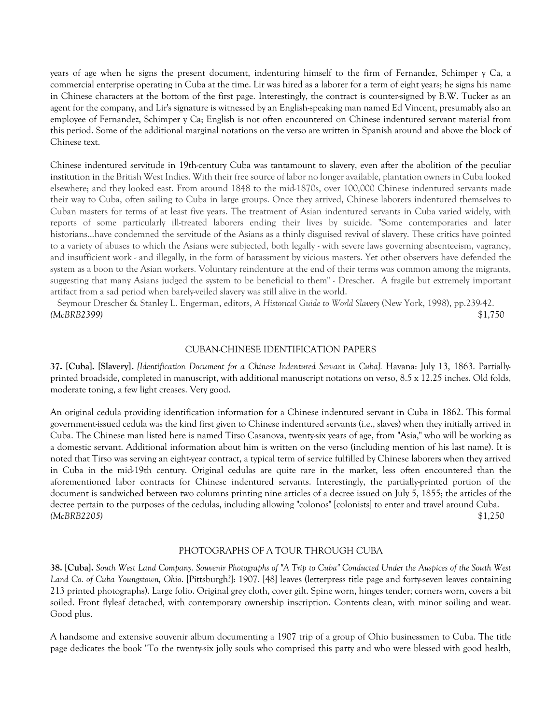years of age when he signs the present document, indenturing himself to the firm of Fernandez, Schimper y Ca, a commercial enterprise operating in Cuba at the time. Lir was hired as a laborer for a term of eight years; he signs his name in Chinese characters at the bottom of the first page. Interestingly, the contract is counter-signed by B.W. Tucker as an agent for the company, and Lir's signature is witnessed by an English-speaking man named Ed Vincent, presumably also an employee of Fernandez, Schimper y Ca; English is not often encountered on Chinese indentured servant material from this period. Some of the additional marginal notations on the verso are written in Spanish around and above the block of Chinese text.

Chinese indentured servitude in 19th-century Cuba was tantamount to slavery, even after the abolition of the peculiar institution in the British West Indies. With their free source of labor no longer available, plantation owners in Cuba looked elsewhere; and they looked east. From around 1848 to the mid-1870s, over 100,000 Chinese indentured servants made their way to Cuba, often sailing to Cuba in large groups. Once they arrived, Chinese laborers indentured themselves to Cuban masters for terms of at least five years. The treatment of Asian indentured servants in Cuba varied widely, with reports of some particularly ill-treated laborers ending their lives by suicide. "Some contemporaries and later historians...have condemned the servitude of the Asians as a thinly disguised revival of slavery. These critics have pointed to a variety of abuses to which the Asians were subjected, both legally - with severe laws governing absenteeism, vagrancy, and insufficient work - and illegally, in the form of harassment by vicious masters. Yet other observers have defended the system as a boon to the Asian workers. Voluntary reindenture at the end of their terms was common among the migrants, suggesting that many Asians judged the system to be beneficial to them" - Drescher. A fragile but extremely important artifact from a sad period when barely-veiled slavery was still alive in the world.

 Seymour Drescher & Stanley L. Engerman, editors, *A Historical Guide to World Slavery* (New York, 1998), pp.239-42. *(McBRB2399)* \$1,750

## CUBAN-CHINESE IDENTIFICATION PAPERS

**37. [Cuba]. [Slavery].** *[Identification Document for a Chinese Indentured Servant in Cuba].* Havana: July 13, 1863. Partiallyprinted broadside, completed in manuscript, with additional manuscript notations on verso, 8.5 x 12.25 inches. Old folds, moderate toning, a few light creases. Very good.

An original cedula providing identification information for a Chinese indentured servant in Cuba in 1862. This formal government-issued cedula was the kind first given to Chinese indentured servants (i.e., slaves) when they initially arrived in Cuba. The Chinese man listed here is named Tirso Casanova, twenty-six years of age, from "Asia," who will be working as a domestic servant. Additional information about him is written on the verso (including mention of his last name). It is noted that Tirso was serving an eight-year contract, a typical term of service fulfilled by Chinese laborers when they arrived in Cuba in the mid-19th century. Original cedulas are quite rare in the market, less often encountered than the aforementioned labor contracts for Chinese indentured servants. Interestingly, the partially-printed portion of the document is sandwiched between two columns printing nine articles of a decree issued on July 5, 1855; the articles of the decree pertain to the purposes of the cedulas, including allowing "colonos" [colonists] to enter and travel around Cuba. *(McBRB2205)* \$1,250

## PHOTOGRAPHS OF A TOUR THROUGH CUBA

**38. [Cuba].** *South West Land Company. Souvenir Photographs of "A Trip to Cuba" Conducted Under the Auspices of the South West Land Co. of Cuba Youngstown, Ohio*. [Pittsburgh?]: 1907. [48] leaves (letterpress title page and forty-seven leaves containing 213 printed photographs). Large folio. Original grey cloth, cover gilt. Spine worn, hinges tender; corners worn, covers a bit soiled. Front flyleaf detached, with contemporary ownership inscription. Contents clean, with minor soiling and wear. Good plus.

A handsome and extensive souvenir album documenting a 1907 trip of a group of Ohio businessmen to Cuba. The title page dedicates the book "To the twenty-six jolly souls who comprised this party and who were blessed with good health,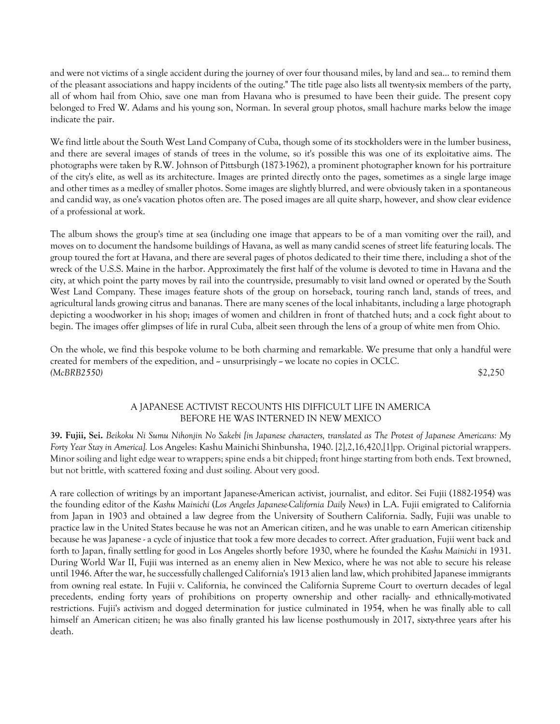and were not victims of a single accident during the journey of over four thousand miles, by land and sea... to remind them of the pleasant associations and happy incidents of the outing." The title page also lists all twenty-six members of the party, all of whom hail from Ohio, save one man from Havana who is presumed to have been their guide. The present copy belonged to Fred W. Adams and his young son, Norman. In several group photos, small hachure marks below the image indicate the pair.

We find little about the South West Land Company of Cuba, though some of its stockholders were in the lumber business, and there are several images of stands of trees in the volume, so it's possible this was one of its exploitative aims. The photographs were taken by R.W. Johnson of Pittsburgh (1873-1962), a prominent photographer known for his portraiture of the city's elite, as well as its architecture. Images are printed directly onto the pages, sometimes as a single large image and other times as a medley of smaller photos. Some images are slightly blurred, and were obviously taken in a spontaneous and candid way, as one's vacation photos often are. The posed images are all quite sharp, however, and show clear evidence of a professional at work.

The album shows the group's time at sea (including one image that appears to be of a man vomiting over the rail), and moves on to document the handsome buildings of Havana, as well as many candid scenes of street life featuring locals. The group toured the fort at Havana, and there are several pages of photos dedicated to their time there, including a shot of the wreck of the U.S.S. Maine in the harbor. Approximately the first half of the volume is devoted to time in Havana and the city, at which point the party moves by rail into the countryside, presumably to visit land owned or operated by the South West Land Company. These images feature shots of the group on horseback, touring ranch land, stands of trees, and agricultural lands growing citrus and bananas. There are many scenes of the local inhabitants, including a large photograph depicting a woodworker in his shop; images of women and children in front of thatched huts; and a cock fight about to begin. The images offer glimpses of life in rural Cuba, albeit seen through the lens of a group of white men from Ohio.

On the whole, we find this bespoke volume to be both charming and remarkable. We presume that only a handful were created for members of the expedition, and  $\sim$  unsurprisingly  $\sim$  we locate no copies in OCLC. *(McBRB2550)* \$2,250

# A JAPANESE ACTIVIST RECOUNTS HIS DIFFICULT LIFE IN AMERICA BEFORE HE WAS INTERNED IN NEW MEXICO

**39. Fujii, Sei.** *Beikoku Ni Sumu Nihonjin No Sakebi [in Japanese characters, translated as The Protest of Japanese Americans: My Forty Year Stay in America].* Los Angeles: Kashu Mainichi Shinbunsha, 1940. [2],2,16,420,[1]pp. Original pictorial wrappers. Minor soiling and light edge wear to wrappers; spine ends a bit chipped; front hinge starting from both ends. Text browned, but not brittle, with scattered foxing and dust soiling. About very good.

A rare collection of writings by an important Japanese-American activist, journalist, and editor. Sei Fujii (1882-1954) was the founding editor of the *Kashu Mainichi* (*Los Angeles Japanese-California Daily News*) in L.A. Fujii emigrated to California from Japan in 1903 and obtained a law degree from the University of Southern California. Sadly, Fujii was unable to practice law in the United States because he was not an American citizen, and he was unable to earn American citizenship because he was Japanese - a cycle of injustice that took a few more decades to correct. After graduation, Fujii went back and forth to Japan, finally settling for good in Los Angeles shortly before 1930, where he founded the *Kashu Mainichi* in 1931. During World War II, Fujii was interned as an enemy alien in New Mexico, where he was not able to secure his release until 1946. After the war, he successfully challenged California's 1913 alien land law, which prohibited Japanese immigrants from owning real estate. In Fujii v. California, he convinced the California Supreme Court to overturn decades of legal precedents, ending forty years of prohibitions on property ownership and other racially- and ethnically-motivated restrictions. Fujii's activism and dogged determination for justice culminated in 1954, when he was finally able to call himself an American citizen; he was also finally granted his law license posthumously in 2017, sixty-three years after his death.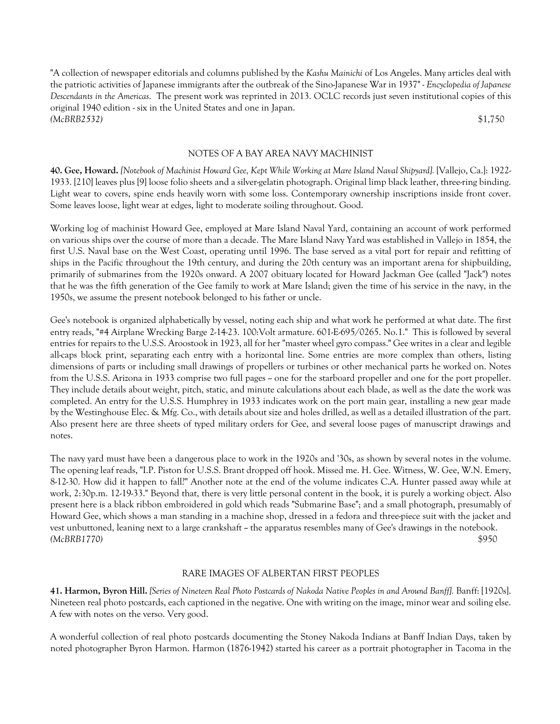"A collection of newspaper editorials and columns published by the *Kashu Mainichi* of Los Angeles. Many articles deal with the patriotic activities of Japanese immigrants after the outbreak of the Sino-Japanese War in 1937" - *Encyclopedia of Japanese Descendants in the Americas*. The present work was reprinted in 2013. OCLC records just seven institutional copies of this original 1940 edition - six in the United States and one in Japan. *(McBRB2532)* \$1,750

## NOTES OF A BAY AREA NAVY MACHINIST

**40. Gee, Howard.** *[Notebook of Machinist Howard Gee, Kept While Working at Mare Island Naval Shipyard].* [Vallejo, Ca.]: 1922- 1933. [210] leaves plus [9] loose folio sheets and a silver-gelatin photograph. Original limp black leather, three-ring binding. Light wear to covers, spine ends heavily worn with some loss. Contemporary ownership inscriptions inside front cover. Some leaves loose, light wear at edges, light to moderate soiling throughout. Good.

Working log of machinist Howard Gee, employed at Mare Island Naval Yard, containing an account of work performed on various ships over the course of more than a decade. The Mare Island Navy Yard was established in Vallejo in 1854, the first U.S. Naval base on the West Coast, operating until 1996. The base served as a vital port for repair and refitting of ships in the Pacific throughout the 19th century, and during the 20th century was an important arena for shipbuilding, primarily of submarines from the 1920s onward. A 2007 obituary located for Howard Jackman Gee (called "Jack") notes that he was the fifth generation of the Gee family to work at Mare Island; given the time of his service in the navy, in the 1950s, we assume the present notebook belonged to his father or uncle.

Gee's notebook is organized alphabetically by vessel, noting each ship and what work he performed at what date. The first entry reads, "#4 Airplane Wrecking Barge 2-14-23. 100:Volt armature. 601-E-695/0265. No.1." This is followed by several entries for repairs to the U.S.S. Aroostook in 1923, all for her "master wheel gyro compass." Gee writes in a clear and legible all-caps block print, separating each entry with a horizontal line. Some entries are more complex than others, listing dimensions of parts or including small drawings of propellers or turbines or other mechanical parts he worked on. Notes from the U.S.S. Arizona in 1933 comprise two full pages  $\sim$  one for the starboard propeller and one for the port propeller. They include details about weight, pitch, static, and minute calculations about each blade, as well as the date the work was completed. An entry for the U.S.S. Humphrey in 1933 indicates work on the port main gear, installing a new gear made by the Westinghouse Elec. & Mfg. Co., with details about size and holes drilled, as well as a detailed illustration of the part. Also present here are three sheets of typed military orders for Gee, and several loose pages of manuscript drawings and notes.

The navy yard must have been a dangerous place to work in the 1920s and '30s, as shown by several notes in the volume. The opening leaf reads, "I.P. Piston for U.S.S. Brant dropped off hook. Missed me. H. Gee. Witness, W. Gee, W.N. Emery, 8-12-30. How did it happen to fall?" Another note at the end of the volume indicates C.A. Hunter passed away while at work, 2:30p.m. 12-19-33." Beyond that, there is very little personal content in the book, it is purely a working object. Also present here is a black ribbon embroidered in gold which reads "Submarine Base"; and a small photograph, presumably of Howard Gee, which shows a man standing in a machine shop, dressed in a fedora and three-piece suit with the jacket and vest unbuttoned, leaning next to a large crankshaft  $\sim$  the apparatus resembles many of Gee's drawings in the notebook. *(McBRB1770)* \$950

## RARE IMAGES OF ALBERTAN FIRST PEOPLES

**41. Harmon, Byron Hill.** *[Series of Nineteen Real Photo Postcards of Nakoda Native Peoples in and Around Banff].* Banff: [1920s]. Nineteen real photo postcards, each captioned in the negative. One with writing on the image, minor wear and soiling else. A few with notes on the verso. Very good.

A wonderful collection of real photo postcards documenting the Stoney Nakoda Indians at Banff Indian Days, taken by noted photographer Byron Harmon. Harmon (1876-1942) started his career as a portrait photographer in Tacoma in the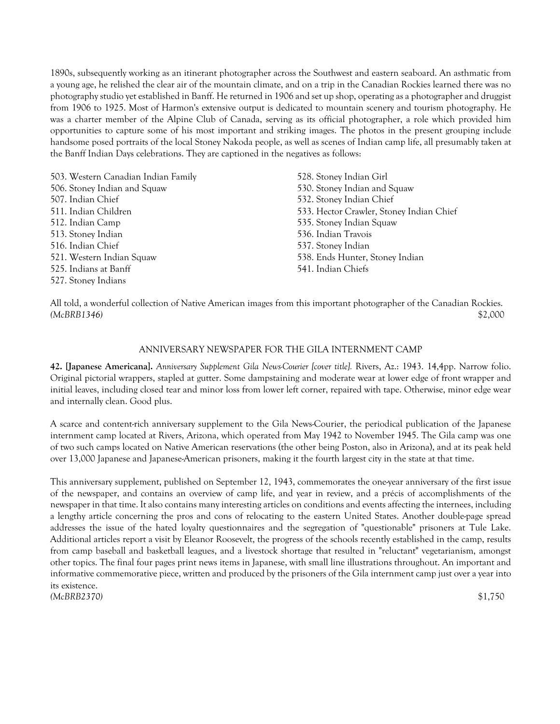1890s, subsequently working as an itinerant photographer across the Southwest and eastern seaboard. An asthmatic from a young age, he relished the clear air of the mountain climate, and on a trip in the Canadian Rockies learned there was no photography studio yet established in Banff. He returned in 1906 and set up shop, operating as a photographer and druggist from 1906 to 1925. Most of Harmon's extensive output is dedicated to mountain scenery and tourism photography. He was a charter member of the Alpine Club of Canada, serving as its official photographer, a role which provided him opportunities to capture some of his most important and striking images. The photos in the present grouping include handsome posed portraits of the local Stoney Nakoda people, as well as scenes of Indian camp life, all presumably taken at the Banff Indian Days celebrations. They are captioned in the negatives as follows:

| 503. Western Canadian Indian Family | 528. Stoney Indian Girl                  |
|-------------------------------------|------------------------------------------|
| 506. Stoney Indian and Squaw        | 530. Stoney Indian and Squaw             |
| 507. Indian Chief                   | 532. Stoney Indian Chief                 |
| 511. Indian Children                | 533. Hector Crawler, Stoney Indian Chief |
| 512. Indian Camp                    | 535. Stoney Indian Squaw                 |
| 513. Stoney Indian                  | 536. Indian Travois                      |
| 516. Indian Chief                   | 537. Stoney Indian                       |
| 521. Western Indian Squaw           | 538. Ends Hunter, Stoney Indian          |
| 525. Indians at Banff               | 541. Indian Chiefs                       |
| 527. Stoney Indians                 |                                          |

All told, a wonderful collection of Native American images from this important photographer of the Canadian Rockies. *(McBRB1346)* \$2,000

## ANNIVERSARY NEWSPAPER FOR THE GILA INTERNMENT CAMP

**42. [Japanese Americana].** *Anniversary Supplement Gila News-Courier [cover title].* Rivers, Az.: 1943. 14,4pp. Narrow folio. Original pictorial wrappers, stapled at gutter. Some dampstaining and moderate wear at lower edge of front wrapper and initial leaves, including closed tear and minor loss from lower left corner, repaired with tape. Otherwise, minor edge wear and internally clean. Good plus.

A scarce and content-rich anniversary supplement to the Gila News-Courier, the periodical publication of the Japanese internment camp located at Rivers, Arizona, which operated from May 1942 to November 1945. The Gila camp was one of two such camps located on Native American reservations (the other being Poston, also in Arizona), and at its peak held over 13,000 Japanese and Japanese-American prisoners, making it the fourth largest city in the state at that time.

This anniversary supplement, published on September 12, 1943, commemorates the one-year anniversary of the first issue of the newspaper, and contains an overview of camp life, and year in review, and a précis of accomplishments of the newspaper in that time. It also contains many interesting articles on conditions and events affecting the internees, including a lengthy article concerning the pros and cons of relocating to the eastern United States. Another double-page spread addresses the issue of the hated loyalty questionnaires and the segregation of "questionable" prisoners at Tule Lake. Additional articles report a visit by Eleanor Roosevelt, the progress of the schools recently established in the camp, results from camp baseball and basketball leagues, and a livestock shortage that resulted in "reluctant" vegetarianism, amongst other topics. The final four pages print news items in Japanese, with small line illustrations throughout. An important and informative commemorative piece, written and produced by the prisoners of the Gila internment camp just over a year into its existence. *(McBRB2370)* \$1,750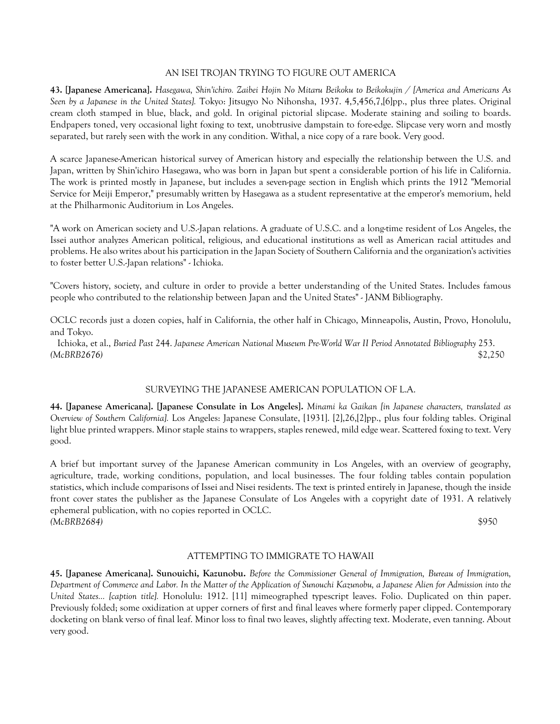## AN ISEI TROJAN TRYING TO FIGURE OUT AMERICA

**43. [Japanese Americana].** *Hasegawa, Shin'ichiro. Zaibei Hojin No Mitaru Beikoku to Beikokujin / [America and Americans As Seen by a Japanese in the United States].* Tokyo: Jitsugyo No Nihonsha, 1937. 4,5,456,7,[6]pp., plus three plates. Original cream cloth stamped in blue, black, and gold. In original pictorial slipcase. Moderate staining and soiling to boards. Endpapers toned, very occasional light foxing to text, unobtrusive dampstain to fore-edge. Slipcase very worn and mostly separated, but rarely seen with the work in any condition. Withal, a nice copy of a rare book. Very good.

A scarce Japanese-American historical survey of American history and especially the relationship between the U.S. and Japan, written by Shin'ichiro Hasegawa, who was born in Japan but spent a considerable portion of his life in California. The work is printed mostly in Japanese, but includes a seven-page section in English which prints the 1912 "Memorial Service for Meiji Emperor," presumably written by Hasegawa as a student representative at the emperor's memorium, held at the Philharmonic Auditorium in Los Angeles.

"A work on American society and U.S.-Japan relations. A graduate of U.S.C. and a long-time resident of Los Angeles, the Issei author analyzes American political, religious, and educational institutions as well as American racial attitudes and problems. He also writes about his participation in the Japan Society of Southern California and the organization's activities to foster better U.S.-Japan relations" - Ichioka.

"Covers history, society, and culture in order to provide a better understanding of the United States. Includes famous people who contributed to the relationship between Japan and the United States" - JANM Bibliography.

OCLC records just a dozen copies, half in California, the other half in Chicago, Minneapolis, Austin, Provo, Honolulu, and Tokyo.

 Ichioka, et al., *Buried Past* 244. *Japanese American National Museum Pre-World War II Period Annotated Bibliography* 253. *(McBRB2676)* \$2,250

## SURVEYING THE JAPANESE AMERICAN POPULATION OF L.A.

**44. [Japanese Americana]. [Japanese Consulate in Los Angeles].** *Minami ka Gaikan [in Japanese characters, translated as Overview of Southern California].* Los Angeles: Japanese Consulate, [1931]. [2],26,[2]pp., plus four folding tables. Original light blue printed wrappers. Minor staple stains to wrappers, staples renewed, mild edge wear. Scattered foxing to text. Very good.

A brief but important survey of the Japanese American community in Los Angeles, with an overview of geography, agriculture, trade, working conditions, population, and local businesses. The four folding tables contain population statistics, which include comparisons of Issei and Nisei residents. The text is printed entirely in Japanese, though the inside front cover states the publisher as the Japanese Consulate of Los Angeles with a copyright date of 1931. A relatively ephemeral publication, with no copies reported in OCLC. *(McBRB2684)* \$950

# ATTEMPTING TO IMMIGRATE TO HAWAII

**45. [Japanese Americana]. Sunouichi, Kazunobu.** *Before the Commissioner General of Immigration, Bureau of Immigration, Department of Commerce and Labor. In the Matter of the Application of Sunouchi Kazunobu, a Japanese Alien for Admission into the United States... [caption title].* Honolulu: 1912. [11] mimeographed typescript leaves. Folio. Duplicated on thin paper. Previously folded; some oxidization at upper corners of first and final leaves where formerly paper clipped. Contemporary docketing on blank verso of final leaf. Minor loss to final two leaves, slightly affecting text. Moderate, even tanning. About very good.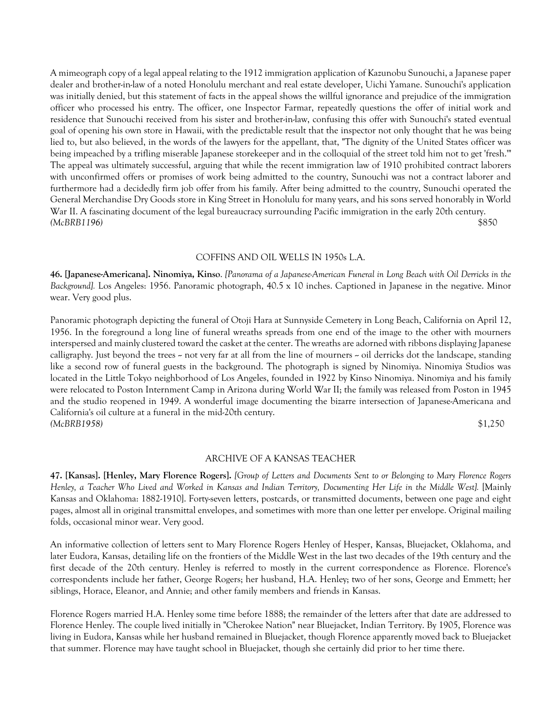A mimeograph copy of a legal appeal relating to the 1912 immigration application of Kazunobu Sunouchi, a Japanese paper dealer and brother-in-law of a noted Honolulu merchant and real estate developer, Uichi Yamane. Sunouchi's application was initially denied, but this statement of facts in the appeal shows the willful ignorance and prejudice of the immigration officer who processed his entry. The officer, one Inspector Farmar, repeatedly questions the offer of initial work and residence that Sunouchi received from his sister and brother-in-law, confusing this offer with Sunouchi's stated eventual goal of opening his own store in Hawaii, with the predictable result that the inspector not only thought that he was being lied to, but also believed, in the words of the lawyers for the appellant, that, "The dignity of the United States officer was being impeached by a trifling miserable Japanese storekeeper and in the colloquial of the street told him not to get 'fresh.'" The appeal was ultimately successful, arguing that while the recent immigration law of 1910 prohibited contract laborers with unconfirmed offers or promises of work being admitted to the country, Sunouchi was not a contract laborer and furthermore had a decidedly firm job offer from his family. After being admitted to the country, Sunouchi operated the General Merchandise Dry Goods store in King Street in Honolulu for many years, and his sons served honorably in World War II. A fascinating document of the legal bureaucracy surrounding Pacific immigration in the early 20th century. *(McBRB1196)* \$850

## COFFINS AND OIL WELLS IN 1950s L.A.

**46. [Japanese-Americana]. Ninomiya, Kinso**. *[Panorama of a Japanese-American Funeral in Long Beach with Oil Derricks in the Background].* Los Angeles: 1956. Panoramic photograph, 40.5 x 10 inches. Captioned in Japanese in the negative. Minor wear. Very good plus.

Panoramic photograph depicting the funeral of Otoji Hara at Sunnyside Cemetery in Long Beach, California on April 12, 1956. In the foreground a long line of funeral wreaths spreads from one end of the image to the other with mourners interspersed and mainly clustered toward the casket at the center. The wreaths are adorned with ribbons displaying Japanese calligraphy. Just beyond the trees  $\sim$  not very far at all from the line of mourners  $\sim$  oil derricks dot the landscape, standing like a second row of funeral guests in the background. The photograph is signed by Ninomiya. Ninomiya Studios was located in the Little Tokyo neighborhood of Los Angeles, founded in 1922 by Kinso Ninomiya. Ninomiya and his family were relocated to Poston Internment Camp in Arizona during World War II; the family was released from Poston in 1945 and the studio reopened in 1949. A wonderful image documenting the bizarre intersection of Japanese-Americana and California's oil culture at a funeral in the mid-20th century. *(McBRB1958)* \$1,250

#### ARCHIVE OF A KANSAS TEACHER

**47. [Kansas]. [Henley, Mary Florence Rogers].** *[Group of Letters and Documents Sent to or Belonging to Mary Florence Rogers Henley, a Teacher Who Lived and Worked in Kansas and Indian Territory, Documenting Her Life in the Middle West].* [Mainly Kansas and Oklahoma: 1882-1910]. Forty-seven letters, postcards, or transmitted documents, between one page and eight pages, almost all in original transmittal envelopes, and sometimes with more than one letter per envelope. Original mailing folds, occasional minor wear. Very good.

An informative collection of letters sent to Mary Florence Rogers Henley of Hesper, Kansas, Bluejacket, Oklahoma, and later Eudora, Kansas, detailing life on the frontiers of the Middle West in the last two decades of the 19th century and the first decade of the 20th century. Henley is referred to mostly in the current correspondence as Florence. Florence's correspondents include her father, George Rogers; her husband, H.A. Henley; two of her sons, George and Emmett; her siblings, Horace, Eleanor, and Annie; and other family members and friends in Kansas.

Florence Rogers married H.A. Henley some time before 1888; the remainder of the letters after that date are addressed to Florence Henley. The couple lived initially in "Cherokee Nation" near Bluejacket, Indian Territory. By 1905, Florence was living in Eudora, Kansas while her husband remained in Bluejacket, though Florence apparently moved back to Bluejacket that summer. Florence may have taught school in Bluejacket, though she certainly did prior to her time there.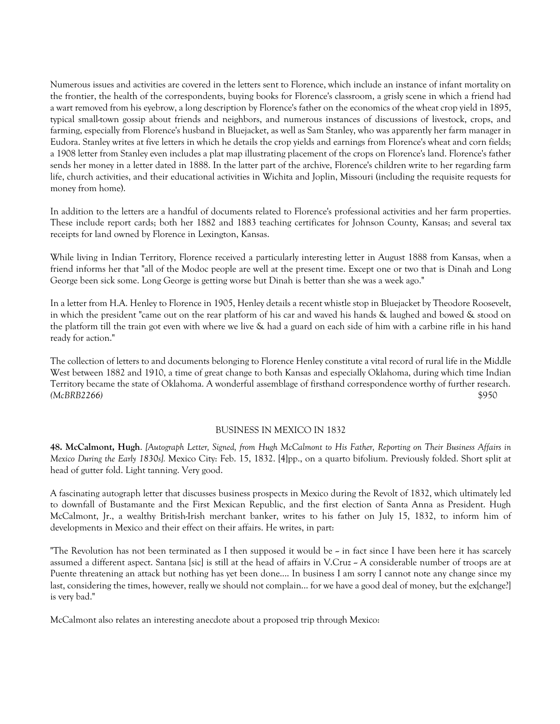Numerous issues and activities are covered in the letters sent to Florence, which include an instance of infant mortality on the frontier, the health of the correspondents, buying books for Florence's classroom, a grisly scene in which a friend had a wart removed from his eyebrow, a long description by Florence's father on the economics of the wheat crop yield in 1895, typical small-town gossip about friends and neighbors, and numerous instances of discussions of livestock, crops, and farming, especially from Florence's husband in Bluejacket, as well as Sam Stanley, who was apparently her farm manager in Eudora. Stanley writes at five letters in which he details the crop yields and earnings from Florence's wheat and corn fields; a 1908 letter from Stanley even includes a plat map illustrating placement of the crops on Florence's land. Florence's father sends her money in a letter dated in 1888. In the latter part of the archive, Florence's children write to her regarding farm life, church activities, and their educational activities in Wichita and Joplin, Missouri (including the requisite requests for money from home).

In addition to the letters are a handful of documents related to Florence's professional activities and her farm properties. These include report cards; both her 1882 and 1883 teaching certificates for Johnson County, Kansas; and several tax receipts for land owned by Florence in Lexington, Kansas.

While living in Indian Territory, Florence received a particularly interesting letter in August 1888 from Kansas, when a friend informs her that "all of the Modoc people are well at the present time. Except one or two that is Dinah and Long George been sick some. Long George is getting worse but Dinah is better than she was a week ago."

In a letter from H.A. Henley to Florence in 1905, Henley details a recent whistle stop in Bluejacket by Theodore Roosevelt, in which the president "came out on the rear platform of his car and waved his hands & laughed and bowed & stood on the platform till the train got even with where we live & had a guard on each side of him with a carbine rifle in his hand ready for action."

The collection of letters to and documents belonging to Florence Henley constitute a vital record of rural life in the Middle West between 1882 and 1910, a time of great change to both Kansas and especially Oklahoma, during which time Indian Territory became the state of Oklahoma. A wonderful assemblage of firsthand correspondence worthy of further research. *(McBRB2266)* \$950

## BUSINESS IN MEXICO IN 1832

**48. McCalmont, Hugh**. *[Autograph Letter, Signed, from Hugh McCalmont to His Father, Reporting on Their Business Affairs in Mexico During the Early 1830s].* Mexico City: Feb. 15, 1832. [4]pp., on a quarto bifolium. Previously folded. Short split at head of gutter fold. Light tanning. Very good.

A fascinating autograph letter that discusses business prospects in Mexico during the Revolt of 1832, which ultimately led to downfall of Bustamante and the First Mexican Republic, and the first election of Santa Anna as President. Hugh McCalmont, Jr., a wealthy British-Irish merchant banker, writes to his father on July 15, 1832, to inform him of developments in Mexico and their effect on their affairs. He writes, in part:

"The Revolution has not been terminated as I then supposed it would be  $\sim$  in fact since I have been here it has scarcely assumed a different aspect. Santana [sic] is still at the head of affairs in V.Cruz ~ A considerable number of troops are at Puente threatening an attack but nothing has yet been done.... In business I am sorry I cannot note any change since my last, considering the times, however, really we should not complain... for we have a good deal of money, but the ex[change?] is very bad."

McCalmont also relates an interesting anecdote about a proposed trip through Mexico: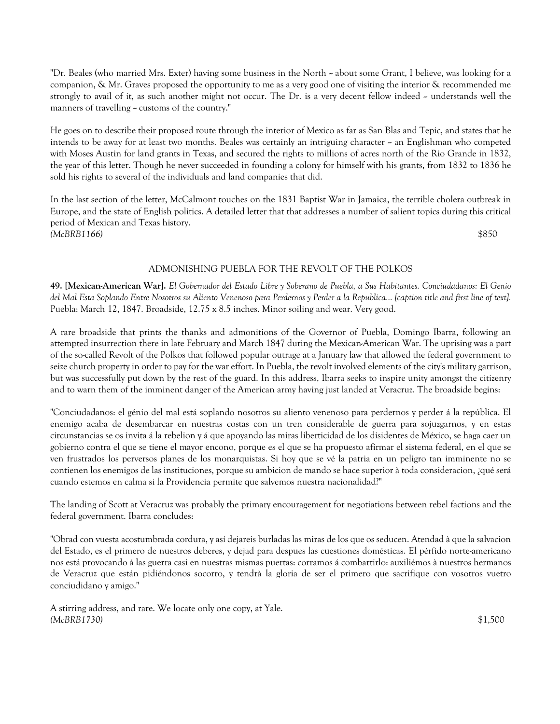"Dr. Beales (who married Mrs. Exter) having some business in the North -- about some Grant, I believe, was looking for a companion, & Mr. Graves proposed the opportunity to me as a very good one of visiting the interior & recommended me strongly to avail of it, as such another might not occur. The Dr. is a very decent fellow indeed  $\sim$  understands well the manners of travelling  $\sim$  customs of the country."

He goes on to describe their proposed route through the interior of Mexico as far as San Blas and Tepic, and states that he intends to be away for at least two months. Beales was certainly an intriguing character - an Englishman who competed with Moses Austin for land grants in Texas, and secured the rights to millions of acres north of the Rio Grande in 1832, the year of this letter. Though he never succeeded in founding a colony for himself with his grants, from 1832 to 1836 he sold his rights to several of the individuals and land companies that did.

In the last section of the letter, McCalmont touches on the 1831 Baptist War in Jamaica, the terrible cholera outbreak in Europe, and the state of English politics. A detailed letter that that addresses a number of salient topics during this critical period of Mexican and Texas history. *(McBRB1166)* \$850

# ADMONISHING PUEBLA FOR THE REVOLT OF THE POLKOS

**49. [Mexican-American War].** *El Gobernador del Estado Libre y Soberano de Puebla, a Sus Habitantes. Conciudadanos: El Genio del Mal Esta Soplando Entre Nosotros su Aliento Venenoso para Perdernos y Perder a la Republica... [caption title and first line of text].* Puebla: March 12, 1847. Broadside, 12.75 x 8.5 inches. Minor soiling and wear. Very good.

A rare broadside that prints the thanks and admonitions of the Governor of Puebla, Domingo Ibarra, following an attempted insurrection there in late February and March 1847 during the Mexican-American War. The uprising was a part of the so-called Revolt of the Polkos that followed popular outrage at a January law that allowed the federal government to seize church property in order to pay for the war effort. In Puebla, the revolt involved elements of the city's military garrison, but was successfully put down by the rest of the guard. In this address, Ibarra seeks to inspire unity amongst the citizenry and to warn them of the imminent danger of the American army having just landed at Veracruz. The broadside begins:

"Conciudadanos: el génio del mal está soplando nosotros su aliento venenoso para perdernos y perder á la república. El enemigo acaba de desembarcar en nuestras costas con un tren considerable de guerra para sojuzgarnos, y en estas circunstancias se os invita á la rebelion y á que apoyando las miras liberticidad de los disidentes de México, se haga caer un gobierno contra el que se tiene el mayor encono, porque es el que se ha propuesto afirmar el sistema federal, en el que se ven frustrados los perversos planes de los monarquistas. Si hoy que se vé la patria en un peligro tan imminente no se contienen los enemigos de las instituciones, porque su ambicion de mando se hace superior à toda consideracion, ¿qué será cuando estemos en calma si la Providencia permite que salvemos nuestra nacionalidad?"

The landing of Scott at Veracruz was probably the primary encouragement for negotiations between rebel factions and the federal government. Ibarra concludes:

"Obrad con vuesta acostumbrada cordura, y así dejareis burladas las miras de los que os seducen. Atendad à que la salvacion del Estado, es el primero de nuestros deberes, y dejad para despues las cuestiones domésticas. El pérfido norte-americano nos está provocando á las guerra casi en nuestras mismas puertas: corramos á combartirlo: auxiliémos à nuestros hermanos de Veracruz que están pidiéndonos socorro, y tendrà la gloria de ser el primero que sacrifique con vosotros vuetro conciudidano y amigo."

A stirring address, and rare. We locate only one copy, at Yale. *(McBRB1730)* \$1,500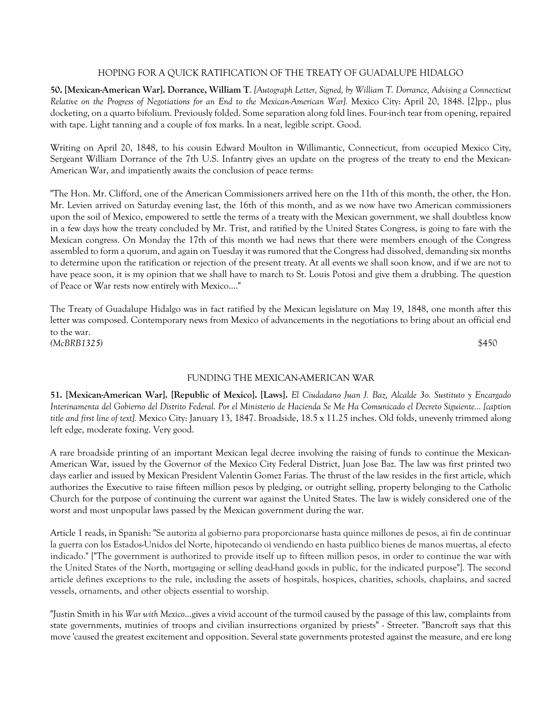# HOPING FOR A QUICK RATIFICATION OF THE TREATY OF GUADALUPE HIDALGO

**50. [Mexican-American War]. Dorrance, William T**. *[Autograph Letter, Signed, by William T. Dorrance, Advising a Connecticut Relative on the Progress of Negotiations for an End to the Mexican-American War].* Mexico City: April 20, 1848. [2]pp., plus docketing, on a quarto bifolium. Previously folded. Some separation along fold lines. Four-inch tear from opening, repaired with tape. Light tanning and a couple of fox marks. In a neat, legible script. Good.

Writing on April 20, 1848, to his cousin Edward Moulton in Willimantic, Connecticut, from occupied Mexico City, Sergeant William Dorrance of the 7th U.S. Infantry gives an update on the progress of the treaty to end the Mexican-American War, and impatiently awaits the conclusion of peace terms:

"The Hon. Mr. Clifford, one of the American Commissioners arrived here on the 11th of this month, the other, the Hon. Mr. Levien arrived on Saturday evening last, the 16th of this month, and as we now have two American commissioners upon the soil of Mexico, empowered to settle the terms of a treaty with the Mexican government, we shall doubtless know in a few days how the treaty concluded by Mr. Trist, and ratified by the United States Congress, is going to fare with the Mexican congress. On Monday the 17th of this month we had news that there were members enough of the Congress assembled to form a quorum, and again on Tuesday it was rumored that the Congress had dissolved, demanding six months to determine upon the ratification or rejection of the present treaty. At all events we shall soon know, and if we are not to have peace soon, it is my opinion that we shall have to march to St. Louis Potosi and give them a drubbing. The question of Peace or War rests now entirely with Mexico...."

The Treaty of Guadalupe Hidalgo was in fact ratified by the Mexican legislature on May 19, 1848, one month after this letter was composed. Contemporary news from Mexico of advancements in the negotiations to bring about an official end to the war. *(McBRB1325)* \$450

## FUNDING THE MEXICAN-AMERICAN WAR

**51. [Mexican-American War]. [Republic of Mexico]. [Laws].** *El Ciudadano Juan J. Baz, Alcalde 3o. Sustituto y Encargado Interinamenta del Gobierno del Distrito Federal. Por el Ministerio de Hacienda Se Me Ha Comunicado el Decreto Siguiente... [caption title and first line of text].* Mexico City: January 13, 1847. Broadside, 18.5 x 11.25 inches. Old folds, unevenly trimmed along left edge, moderate foxing. Very good.

A rare broadside printing of an important Mexican legal decree involving the raising of funds to continue the Mexican-American War, issued by the Governor of the Mexico City Federal District, Juan Jose Baz. The law was first printed two days earlier and issued by Mexican President Valentin Gomez Farias. The thrust of the law resides in the first article, which authorizes the Executive to raise fifteen million pesos by pledging, or outright selling, property belonging to the Catholic Church for the purpose of continuing the current war against the United States. The law is widely considered one of the worst and most unpopular laws passed by the Mexican government during the war.

Article 1 reads, in Spanish: "Se autoriza al gobierno para proporcionarse hasta quince millones de pesos, aì fin de continuar la guerra con los Estados-Unidos del Norte, hipotecando oì vendiendo en hasta puìblico bienes de manos muertas, al efecto indicado." ["The government is authorized to provide itself up to fifteen million pesos, in order to continue the war with the United States of the North, mortgaging or selling dead-hand goods in public, for the indicated purpose"]. The second article defines exceptions to the rule, including the assets of hospitals, hospices, charities, schools, chaplains, and sacred vessels, ornaments, and other objects essential to worship.

"Justin Smith in his *War with Mexico*...gives a vivid account of the turmoil caused by the passage of this law, complaints from state governments, mutinies of troops and civilian insurrections organized by priests" - Streeter. "Bancroft says that this move 'caused the greatest excitement and opposition. Several state governments protested against the measure, and ere long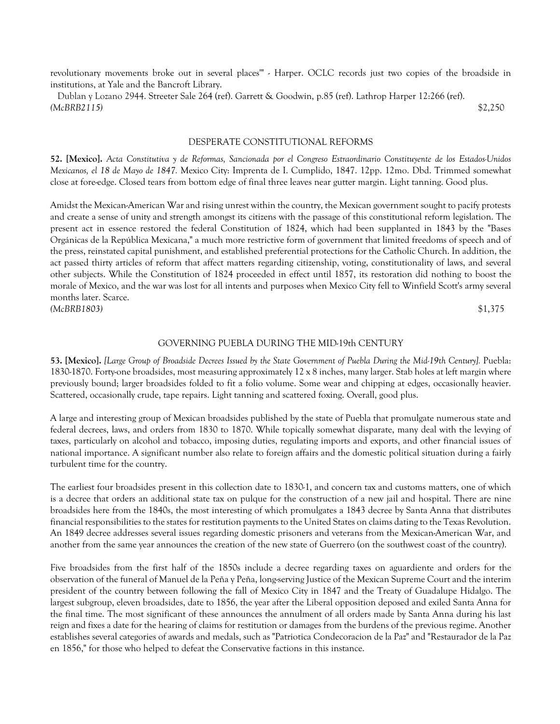revolutionary movements broke out in several places'" - Harper. OCLC records just two copies of the broadside in institutions, at Yale and the Bancroft Library.

 Dublan y Lozano 2944. Streeter Sale 264 (ref). Garrett & Goodwin, p.85 (ref). Lathrop Harper 12:266 (ref). *(McBRB2115)* \$2,250

#### DESPERATE CONSTITUTIONAL REFORMS

**52. [Mexico].** *Acta Constitutiva y de Reformas, Sancionada por el Congreso Estraordinario Constituyente de los Estados-Unidos Mexicanos, el 18 de Mayo de 1847.* Mexico City: Imprenta de I. Cumplido, 1847. 12pp. 12mo. Dbd. Trimmed somewhat close at fore-edge. Closed tears from bottom edge of final three leaves near gutter margin. Light tanning. Good plus.

Amidst the Mexican-American War and rising unrest within the country, the Mexican government sought to pacify protests and create a sense of unity and strength amongst its citizens with the passage of this constitutional reform legislation. The present act in essence restored the federal Constitution of 1824, which had been supplanted in 1843 by the "Bases Orgánicas de la República Mexicana," a much more restrictive form of government that limited freedoms of speech and of the press, reinstated capital punishment, and established preferential protections for the Catholic Church. In addition, the act passed thirty articles of reform that affect matters regarding citizenship, voting, constitutionality of laws, and several other subjects. While the Constitution of 1824 proceeded in effect until 1857, its restoration did nothing to boost the morale of Mexico, and the war was lost for all intents and purposes when Mexico City fell to Winfield Scott's army several months later. Scarce. *(McBRB1803)* \$1,375

### GOVERNING PUEBLA DURING THE MID-19th CENTURY

**53. [Mexico].** *[Large Group of Broadside Decrees Issued by the State Government of Puebla During the Mid-19th Century].* Puebla: 1830-1870. Forty-one broadsides, most measuring approximately 12 x 8 inches, many larger. Stab holes at left margin where previously bound; larger broadsides folded to fit a folio volume. Some wear and chipping at edges, occasionally heavier. Scattered, occasionally crude, tape repairs. Light tanning and scattered foxing. Overall, good plus.

A large and interesting group of Mexican broadsides published by the state of Puebla that promulgate numerous state and federal decrees, laws, and orders from 1830 to 1870. While topically somewhat disparate, many deal with the levying of taxes, particularly on alcohol and tobacco, imposing duties, regulating imports and exports, and other financial issues of national importance. A significant number also relate to foreign affairs and the domestic political situation during a fairly turbulent time for the country.

The earliest four broadsides present in this collection date to 1830-1, and concern tax and customs matters, one of which is a decree that orders an additional state tax on pulque for the construction of a new jail and hospital. There are nine broadsides here from the 1840s, the most interesting of which promulgates a 1843 decree by Santa Anna that distributes financial responsibilities to the states for restitution payments to the United States on claims dating to the Texas Revolution. An 1849 decree addresses several issues regarding domestic prisoners and veterans from the Mexican-American War, and another from the same year announces the creation of the new state of Guerrero (on the southwest coast of the country).

Five broadsides from the first half of the 1850s include a decree regarding taxes on aguardiente and orders for the observation of the funeral of Manuel de la Peña y Peña, long-serving Justice of the Mexican Supreme Court and the interim president of the country between following the fall of Mexico City in 1847 and the Treaty of Guadalupe Hidalgo. The largest subgroup, eleven broadsides, date to 1856, the year after the Liberal opposition deposed and exiled Santa Anna for the final time. The most significant of these announces the annulment of all orders made by Santa Anna during his last reign and fixes a date for the hearing of claims for restitution or damages from the burdens of the previous regime. Another establishes several categories of awards and medals, such as "Patriotica Condecoracion de la Paz" and "Restaurador de la Paz en 1856," for those who helped to defeat the Conservative factions in this instance.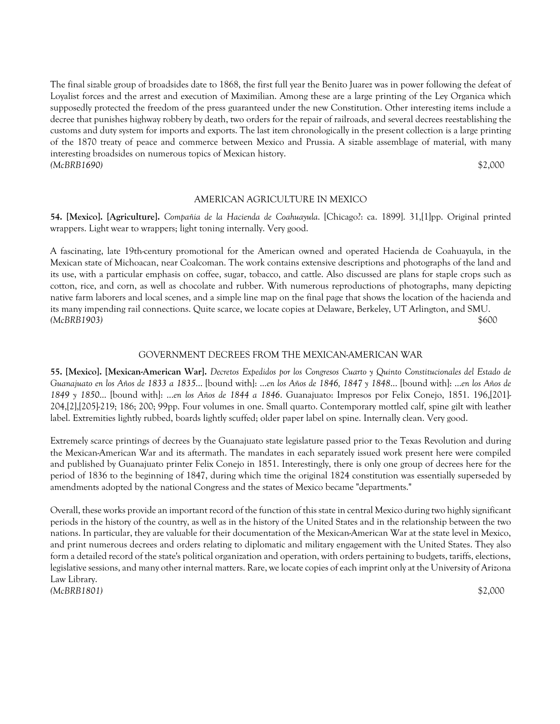The final sizable group of broadsides date to 1868, the first full year the Benito Juarez was in power following the defeat of Loyalist forces and the arrest and execution of Maximilian. Among these are a large printing of the Ley Organica which supposedly protected the freedom of the press guaranteed under the new Constitution. Other interesting items include a decree that punishes highway robbery by death, two orders for the repair of railroads, and several decrees reestablishing the customs and duty system for imports and exports. The last item chronologically in the present collection is a large printing of the 1870 treaty of peace and commerce between Mexico and Prussia. A sizable assemblage of material, with many interesting broadsides on numerous topics of Mexican history. *(McBRB1690)* \$2,000

#### AMERICAN AGRICULTURE IN MEXICO

**54. [Mexico]. [Agriculture].** *Compañia de la Hacienda de Coahuayula*. [Chicago?: ca. 1899]. 31,[1]pp. Original printed wrappers. Light wear to wrappers; light toning internally. Very good.

A fascinating, late 19th-century promotional for the American owned and operated Hacienda de Coahuayula, in the Mexican state of Michoacan, near Coalcoman. The work contains extensive descriptions and photographs of the land and its use, with a particular emphasis on coffee, sugar, tobacco, and cattle. Also discussed are plans for staple crops such as cotton, rice, and corn, as well as chocolate and rubber. With numerous reproductions of photographs, many depicting native farm laborers and local scenes, and a simple line map on the final page that shows the location of the hacienda and its many impending rail connections. Quite scarce, we locate copies at Delaware, Berkeley, UT Arlington, and SMU. *(McBRB1903)* \$600

## GOVERNMENT DECREES FROM THE MEXICAN-AMERICAN WAR

**55. [Mexico]. [Mexican-American War].** *Decretos Expedidos por los Congresos Cuarto y Quinto Constitucionales del Estado de Guanajuato en los Años de 1833 a 1835*... [bound with]: ...*en los Años de 1846, 1847 y 1848*... [bound with]: ...*en los Años de 1849 y 1850*... [bound with]: ...*en los Años de 1844 a 1846*. Guanajuato: Impresos por Felix Conejo, 1851. 196,[201]- 204,[2],[205]-219; 186; 200; 99pp. Four volumes in one. Small quarto. Contemporary mottled calf, spine gilt with leather label. Extremities lightly rubbed, boards lightly scuffed; older paper label on spine. Internally clean. Very good.

Extremely scarce printings of decrees by the Guanajuato state legislature passed prior to the Texas Revolution and during the Mexican-American War and its aftermath. The mandates in each separately issued work present here were compiled and published by Guanajuato printer Felix Conejo in 1851. Interestingly, there is only one group of decrees here for the period of 1836 to the beginning of 1847, during which time the original 1824 constitution was essentially superseded by amendments adopted by the national Congress and the states of Mexico became "departments."

Overall, these works provide an important record of the function of this state in central Mexico during two highly significant periods in the history of the country, as well as in the history of the United States and in the relationship between the two nations. In particular, they are valuable for their documentation of the Mexican-American War at the state level in Mexico, and print numerous decrees and orders relating to diplomatic and military engagement with the United States. They also form a detailed record of the state's political organization and operation, with orders pertaining to budgets, tariffs, elections, legislative sessions, and many other internal matters. Rare, we locate copies of each imprint only at the University of Arizona Law Library. *(McBRB1801)* \$2,000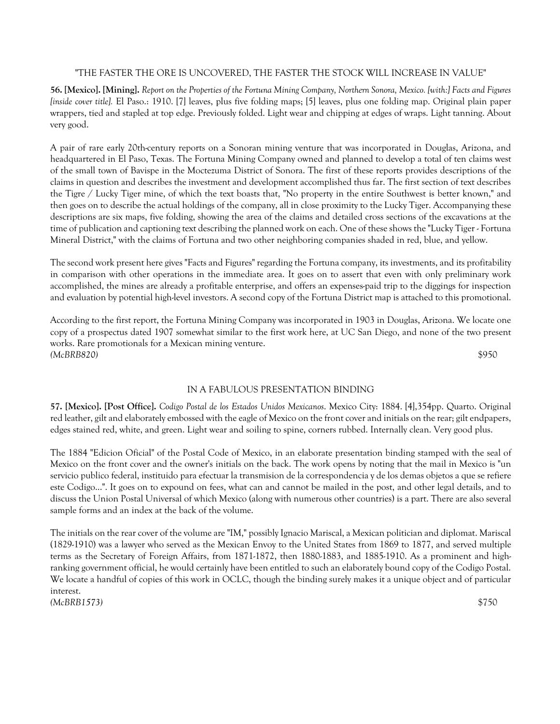# "THE FASTER THE ORE IS UNCOVERED, THE FASTER THE STOCK WILL INCREASE IN VALUE"

**56. [Mexico]. [Mining].** *Report on the Properties of the Fortuna Mining Company, Northern Sonora, Mexico. [with:] Facts and Figures [inside cover title].* El Paso.: 1910. [7] leaves, plus five folding maps; [5] leaves, plus one folding map. Original plain paper wrappers, tied and stapled at top edge. Previously folded. Light wear and chipping at edges of wraps. Light tanning. About very good.

A pair of rare early 20th-century reports on a Sonoran mining venture that was incorporated in Douglas, Arizona, and headquartered in El Paso, Texas. The Fortuna Mining Company owned and planned to develop a total of ten claims west of the small town of Bavispe in the Moctezuma District of Sonora. The first of these reports provides descriptions of the claims in question and describes the investment and development accomplished thus far. The first section of text describes the Tigre / Lucky Tiger mine, of which the text boasts that, "No property in the entire Southwest is better known," and then goes on to describe the actual holdings of the company, all in close proximity to the Lucky Tiger. Accompanying these descriptions are six maps, five folding, showing the area of the claims and detailed cross sections of the excavations at the time of publication and captioning text describing the planned work on each. One of these shows the "Lucky Tiger - Fortuna Mineral District," with the claims of Fortuna and two other neighboring companies shaded in red, blue, and yellow.

The second work present here gives "Facts and Figures" regarding the Fortuna company, its investments, and its profitability in comparison with other operations in the immediate area. It goes on to assert that even with only preliminary work accomplished, the mines are already a profitable enterprise, and offers an expenses-paid trip to the diggings for inspection and evaluation by potential high-level investors. A second copy of the Fortuna District map is attached to this promotional.

According to the first report, the Fortuna Mining Company was incorporated in 1903 in Douglas, Arizona. We locate one copy of a prospectus dated 1907 somewhat similar to the first work here, at UC San Diego, and none of the two present works. Rare promotionals for a Mexican mining venture. *(McBRB820)* \$950

# IN A FABULOUS PRESENTATION BINDING

**57. [Mexico]. [Post Office].** *Codigo Postal de los Estados Unidos Mexicanos*. Mexico City: 1884. [4],354pp. Quarto. Original red leather, gilt and elaborately embossed with the eagle of Mexico on the front cover and initials on the rear; gilt endpapers, edges stained red, white, and green. Light wear and soiling to spine, corners rubbed. Internally clean. Very good plus.

The 1884 "Edicion Oficial" of the Postal Code of Mexico, in an elaborate presentation binding stamped with the seal of Mexico on the front cover and the owner's initials on the back. The work opens by noting that the mail in Mexico is "un servicio publico federal, instituido para efectuar la transmision de la correspondencia y de los demas objetos a que se refiere este Codigo...". It goes on to expound on fees, what can and cannot be mailed in the post, and other legal details, and to discuss the Union Postal Universal of which Mexico (along with numerous other countries) is a part. There are also several sample forms and an index at the back of the volume.

The initials on the rear cover of the volume are "IM," possibly Ignacio Mariscal, a Mexican politician and diplomat. Mariscal (1829-1910) was a lawyer who served as the Mexican Envoy to the United States from 1869 to 1877, and served multiple terms as the Secretary of Foreign Affairs, from 1871-1872, then 1880-1883, and 1885-1910. As a prominent and highranking government official, he would certainly have been entitled to such an elaborately bound copy of the Codigo Postal. We locate a handful of copies of this work in OCLC, though the binding surely makes it a unique object and of particular interest. *(McBRB1573)* \$750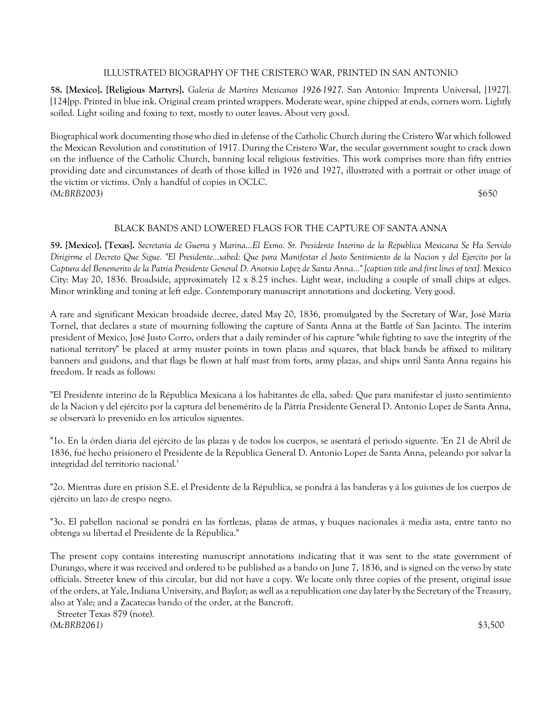# ILLUSTRATED BIOGRAPHY OF THE CRISTERO WAR, PRINTED IN SAN ANTONIO

**58. [Mexico]. [Religious Martyrs].** *Galeria de Martires Mexicanos 1926-1927*. San Antonio: Imprenta Universal, [1927]. [124]pp. Printed in blue ink. Original cream printed wrappers. Moderate wear, spine chipped at ends, corners worn. Lightly soiled. Light soiling and foxing to text, mostly to outer leaves. About very good.

Biographical work documenting those who died in defense of the Catholic Church during the Cristero War which followed the Mexican Revolution and constitution of 1917. During the Cristero War, the secular government sought to crack down on the influence of the Catholic Church, banning local religious festivities. This work comprises more than fifty entries providing date and circumstances of death of those killed in 1926 and 1927, illustrated with a portrait or other image of the victim or victims. Only a handful of copies in OCLC. *(McBRB2003)* \$650

# BLACK BANDS AND LOWERED FLAGS FOR THE CAPTURE OF SANTA ANNA

**59. [Mexico]. [Texas].** *Secretaria de Guerra y Marina...El Exmo. Sr. Presidente Interino de la Republica Mexicana Se Ha Servido Dirigirme el Decreto Que Sigue. "El Presidente...sabed: Que para Manifestar el Justo Sentimiento de la Nacion y del Ejercito por la Captura del Benemerito de la Patria Presidente General D. Anotnio Lopez de Santa Anna..." [caption title and first lines of text].* Mexico City: May 20, 1836. Broadside, approximately 12 x 8.25 inches. Light wear, including a couple of small chips at edges. Minor wrinkling and toning at left edge. Contemporary manuscript annotations and docketing. Very good.

A rare and significant Mexican broadside decree, dated May 20, 1836, promulgated by the Secretary of War, José Maria Tornel, that declares a state of mourning following the capture of Santa Anna at the Battle of San Jacinto. The interim president of Mexico, José Justo Corro, orders that a daily reminder of his capture "while fighting to save the integrity of the national territory" be placed at army muster points in town plazas and squares, that black bands be affixed to military banners and guidons, and that flags be flown at half mast from forts, army plazas, and ships until Santa Anna regains his freedom. It reads as follows:

"El Presidente interino de la Républica Mexicana á los habitantes de ella, sabed: Que para manifestar el justo sentimiento de la Nacion y del ejército por la captura del benemérito de la Pátria Presidente General D. Antonio Lopez de Santa Anna, se observarà lo prevenido en los articulos siguentes.

"1o. En la órden diaria del ejército de las plazas y de todos los cuerpos, se asentará el periodo siguente. 'En 21 de Abril de 1836, fué hecho prisionero el Presidente de la Républica General D. Antonio Lopez de Santa Anna, peleando por salvar la integridad del territorio nacional.'

"2o. Mientras dure en prision S.E. el Presidente de la Républica, se pondrá á las banderas y á los guiones de los cuerpos de ejército un lazo de crespo negro.

"3o. El pabellon nacional se pondrá en las fortlezas, plazas de armas, y buques nacionales á media asta, entre tanto no obtenga su libertad el Presidente de la Républica."

The present copy contains interesting manuscript annotations indicating that it was sent to the state government of Durango, where it was received and ordered to be published as a bando on June 7, 1836, and is signed on the verso by state officials. Streeter knew of this circular, but did not have a copy. We locate only three copies of the present, original issue of the orders, at Yale, Indiana University, and Baylor; as well as a republication one day later by the Secretary of the Treasury, also at Yale; and a Zacatecas bando of the order, at the Bancroft.

 Streeter Texas 879 (note). *(McBRB2061)* \$3,500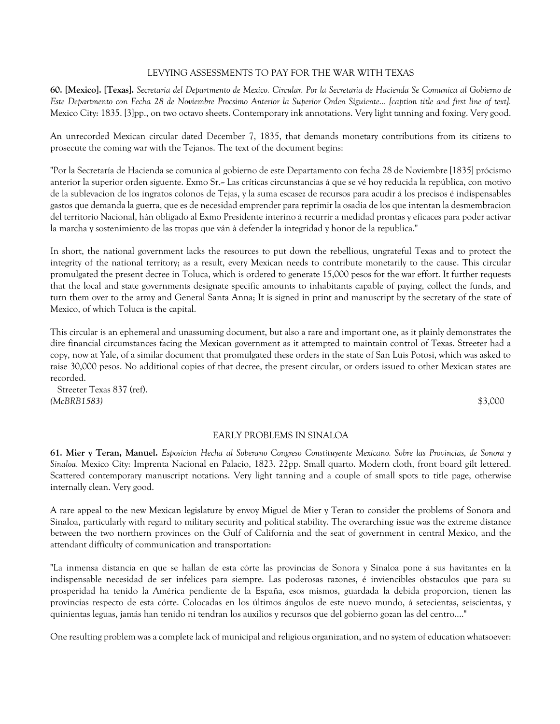## LEVYING ASSESSMENTS TO PAY FOR THE WAR WITH TEXAS

**60. [Mexico]. [Texas].** *Secretaria del Departmento de Mexico. Circular. Por la Secretaria de Hacienda Se Comunica al Gobierno de Este Departmento con Fecha 28 de Noviembre Procsimo Anterior la Superior Orden Siguiente... [caption title and first line of text].* Mexico City: 1835. [3]pp., on two octavo sheets. Contemporary ink annotations. Very light tanning and foxing. Very good.

An unrecorded Mexican circular dated December 7, 1835, that demands monetary contributions from its citizens to prosecute the coming war with the Tejanos. The text of the document begins:

"Por la Secretaría de Hacienda se comunica al gobierno de este Departamento con fecha 28 de Noviembre [1835] prócismo anterior la superior orden siguente. Exmo Sr.-- Las críticas circunstancias á que se vé hoy reducida la república, con motivo de la sublevacion de los ingratos colonos de Tejas, y la suma escasez de recursos para acudir á los precisos é indispensables gastos que demanda la guerra, que es de necesidad emprender para reprimir la osadia de los que intentan la desmembracion del territorio Nacional, hán obligado al Exmo Presidente interino á recurrir a medidad prontas y eficaces para poder activar la marcha y sostenimiento de las tropas que ván à defender la integridad y honor de la republica."

In short, the national government lacks the resources to put down the rebellious, ungrateful Texas and to protect the integrity of the national territory; as a result, every Mexican needs to contribute monetarily to the cause. This circular promulgated the present decree in Toluca, which is ordered to generate 15,000 pesos for the war effort. It further requests that the local and state governments designate specific amounts to inhabitants capable of paying, collect the funds, and turn them over to the army and General Santa Anna; It is signed in print and manuscript by the secretary of the state of Mexico, of which Toluca is the capital.

This circular is an ephemeral and unassuming document, but also a rare and important one, as it plainly demonstrates the dire financial circumstances facing the Mexican government as it attempted to maintain control of Texas. Streeter had a copy, now at Yale, of a similar document that promulgated these orders in the state of San Luis Potosi, which was asked to raise 30,000 pesos. No additional copies of that decree, the present circular, or orders issued to other Mexican states are recorded.

 Streeter Texas 837 (ref). *(McBRB1583)* \$3,000

# EARLY PROBLEMS IN SINALOA

**61. Mier y Teran, Manuel.** *Esposicion Hecha al Soberano Congreso Constituyente Mexicano. Sobre las Provincias, de Sonora y Sinaloa.* Mexico City: Imprenta Nacional en Palacio, 1823. 22pp. Small quarto. Modern cloth, front board gilt lettered. Scattered contemporary manuscript notations. Very light tanning and a couple of small spots to title page, otherwise internally clean. Very good.

A rare appeal to the new Mexican legislature by envoy Miguel de Mier y Teran to consider the problems of Sonora and Sinaloa, particularly with regard to military security and political stability. The overarching issue was the extreme distance between the two northern provinces on the Gulf of California and the seat of government in central Mexico, and the attendant difficulty of communication and transportation:

"La inmensa distancia en que se hallan de esta córte las provincias de Sonora y Sinaloa pone á sus havitantes en la indispensable necesidad de ser infelices para siempre. Las poderosas razones, é inviencibles obstaculos que para su prosperidad ha tenido la América pendiente de la España, esos mismos, guardada la debida proporcion, tienen las provincias respecto de esta córte. Colocadas en los últimos ángulos de este nuevo mundo, á setecientas, seiscientas, y quinientas leguas, jamás han tenido ni tendran los auxilios y recursos que del gobierno gozan las del centro...."

One resulting problem was a complete lack of municipal and religious organization, and no system of education whatsoever: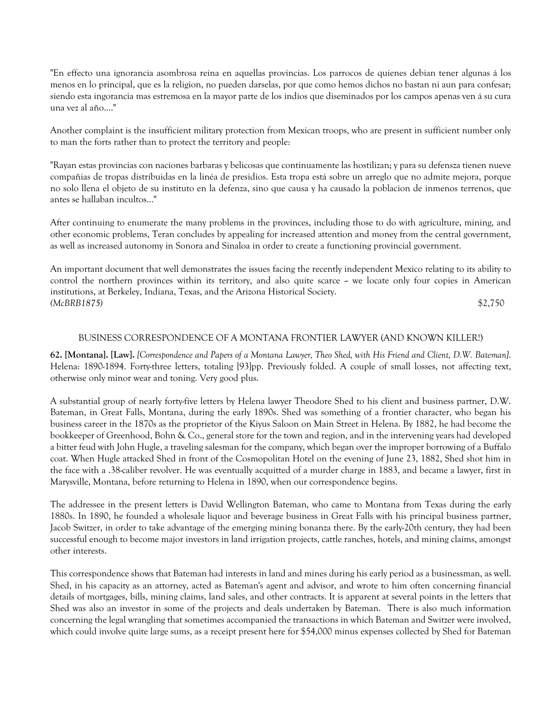"En effecto una ignorancia asombrosa reina en aquellas provincias. Los parrocos de quienes debian tener algunas á los menos en lo principal, que es la religion, no pueden darselas, por que como hemos dichos no bastan ni aun para confesar; siendo esta ingorancia mas estremosa en la mayor parte de los indios que diseminados por los campos apenas ven á su cura una vez al año...."

Another complaint is the insufficient military protection from Mexican troops, who are present in sufficient number only to man the forts rather than to protect the territory and people:

"Rayan estas provincias con naciones barbaras y belicosas que continuamente las hostilizan; y para su defensza tienen nueve compañias de tropas distribuidas en la linéa de presidios. Esta tropa está sobre un arreglo que no admite mejora, porque no solo llena el objeto de su instituto en la defenza, sino que causa y ha causado la poblacion de inmenos terrenos, que antes se hallaban incultos..."

After continuing to enumerate the many problems in the provinces, including those to do with agriculture, mining, and other economic problems, Teran concludes by appealing for increased attention and money from the central government, as well as increased autonomy in Sonora and Sinaloa in order to create a functioning provincial government.

An important document that well demonstrates the issues facing the recently independent Mexico relating to its ability to control the northern provinces within its territory, and also quite scarce - we locate only four copies in American institutions, at Berkeley, Indiana, Texas, and the Arizona Historical Society. *(McBRB1875)* \$2,750

## BUSINESS CORRESPONDENCE OF A MONTANA FRONTIER LAWYER (AND KNOWN KILLER!)

**62. [Montana]. [Law].** *[Correspondence and Papers of a Montana Lawyer, Theo Shed, with His Friend and Client, D.W. Bateman]*. Helena: 1890-1894. Forty-three letters, totaling [93]pp. Previously folded. A couple of small losses, not affecting text, otherwise only minor wear and toning. Very good plus.

A substantial group of nearly forty-five letters by Helena lawyer Theodore Shed to his client and business partner, D.W. Bateman, in Great Falls, Montana, during the early 1890s. Shed was something of a frontier character, who began his business career in the 1870s as the proprietor of the Kiyus Saloon on Main Street in Helena. By 1882, he had become the bookkeeper of Greenhood, Bohn & Co., general store for the town and region, and in the intervening years had developed a bitter feud with John Hugle, a traveling salesman for the company, which began over the improper borrowing of a Buffalo coat. When Hugle attacked Shed in front of the Cosmopolitan Hotel on the evening of June 23, 1882, Shed shot him in the face with a .38-caliber revolver. He was eventually acquitted of a murder charge in 1883, and became a lawyer, first in Marysville, Montana, before returning to Helena in 1890, when our correspondence begins.

The addressee in the present letters is David Wellington Bateman, who came to Montana from Texas during the early 1880s. In 1890, he founded a wholesale liquor and beverage business in Great Falls with his principal business partner, Jacob Switzer, in order to take advantage of the emerging mining bonanza there. By the early-20th century, they had been successful enough to become major investors in land irrigation projects, cattle ranches, hotels, and mining claims, amongst other interests.

This correspondence shows that Bateman had interests in land and mines during his early period as a businessman, as well. Shed, in his capacity as an attorney, acted as Bateman's agent and advisor, and wrote to him often concerning financial details of mortgages, bills, mining claims, land sales, and other contracts. It is apparent at several points in the letters that Shed was also an investor in some of the projects and deals undertaken by Bateman. There is also much information concerning the legal wrangling that sometimes accompanied the transactions in which Bateman and Switzer were involved, which could involve quite large sums, as a receipt present here for \$54,000 minus expenses collected by Shed for Bateman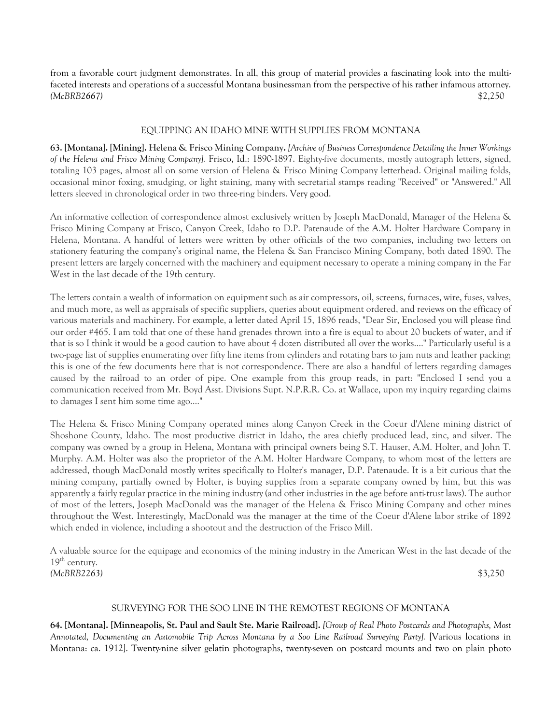from a favorable court judgment demonstrates. In all, this group of material provides a fascinating look into the multifaceted interests and operations of a successful Montana businessman from the perspective of his rather infamous attorney. *(McBRB2667)* \$2,250

# EQUIPPING AN IDAHO MINE WITH SUPPLIES FROM MONTANA

**63. [Montana]. [Mining]. Helena & Frisco Mining Company.** *[Archive of Business Correspondence Detailing the Inner Workings of the Helena and Frisco Mining Company].* Frisco, Id.: 1890-1897. Eighty-five documents, mostly autograph letters, signed, totaling 103 pages, almost all on some version of Helena & Frisco Mining Company letterhead. Original mailing folds, occasional minor foxing, smudging, or light staining, many with secretarial stamps reading "Received" or "Answered." All letters sleeved in chronological order in two three-ring binders. Very good.

An informative collection of correspondence almost exclusively written by Joseph MacDonald, Manager of the Helena & Frisco Mining Company at Frisco, Canyon Creek, Idaho to D.P. Patenaude of the A.M. Holter Hardware Company in Helena, Montana. A handful of letters were written by other officials of the two companies, including two letters on stationery featuring the company's original name, the Helena & San Francisco Mining Company, both dated 1890. The present letters are largely concerned with the machinery and equipment necessary to operate a mining company in the Far West in the last decade of the 19th century.

The letters contain a wealth of information on equipment such as air compressors, oil, screens, furnaces, wire, fuses, valves, and much more, as well as appraisals of specific suppliers, queries about equipment ordered, and reviews on the efficacy of various materials and machinery. For example, a letter dated April 15, 1896 reads, "Dear Sir, Enclosed you will please find our order #465. I am told that one of these hand grenades thrown into a fire is equal to about 20 buckets of water, and if that is so I think it would be a good caution to have about 4 dozen distributed all over the works...." Particularly useful is a two-page list of supplies enumerating over fifty line items from cylinders and rotating bars to jam nuts and leather packing; this is one of the few documents here that is not correspondence. There are also a handful of letters regarding damages caused by the railroad to an order of pipe. One example from this group reads, in part: "Enclosed I send you a communication received from Mr. Boyd Asst. Divisions Supt. N.P.R.R. Co. at Wallace, upon my inquiry regarding claims to damages I sent him some time ago...."

The Helena & Frisco Mining Company operated mines along Canyon Creek in the Coeur d'Alene mining district of Shoshone County, Idaho. The most productive district in Idaho, the area chiefly produced lead, zinc, and silver. The company was owned by a group in Helena, Montana with principal owners being S.T. Hauser, A.M. Holter, and John T. Murphy. A.M. Holter was also the proprietor of the A.M. Holter Hardware Company, to whom most of the letters are addressed, though MacDonald mostly writes specifically to Holter's manager, D.P. Patenaude. It is a bit curious that the mining company, partially owned by Holter, is buying supplies from a separate company owned by him, but this was apparently a fairly regular practice in the mining industry (and other industries in the age before anti-trust laws). The author of most of the letters, Joseph MacDonald was the manager of the Helena & Frisco Mining Company and other mines throughout the West. Interestingly, MacDonald was the manager at the time of the Coeur d'Alene labor strike of 1892 which ended in violence, including a shootout and the destruction of the Frisco Mill.

A valuable source for the equipage and economics of the mining industry in the American West in the last decade of the  $19<sup>th</sup>$  century. *(McBRB2263)* \$3,250

## SURVEYING FOR THE SOO LINE IN THE REMOTEST REGIONS OF MONTANA

**64. [Montana]. [Minneapolis, St. Paul and Sault Ste. Marie Railroad].** *[Group of Real Photo Postcards and Photographs, Most Annotated, Documenting an Automobile Trip Across Montana by a Soo Line Railroad Surveying Party].* [Various locations in Montana: ca. 1912]. Twenty-nine silver gelatin photographs, twenty-seven on postcard mounts and two on plain photo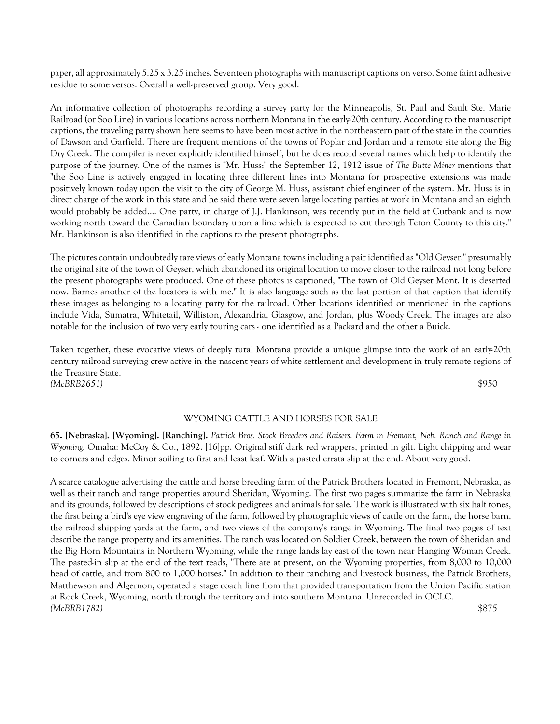paper, all approximately 5.25 x 3.25 inches. Seventeen photographs with manuscript captions on verso. Some faint adhesive residue to some versos. Overall a well-preserved group. Very good.

An informative collection of photographs recording a survey party for the Minneapolis, St. Paul and Sault Ste. Marie Railroad (or Soo Line) in various locations across northern Montana in the early-20th century. According to the manuscript captions, the traveling party shown here seems to have been most active in the northeastern part of the state in the counties of Dawson and Garfield. There are frequent mentions of the towns of Poplar and Jordan and a remote site along the Big Dry Creek. The compiler is never explicitly identified himself, but he does record several names which help to identify the purpose of the journey. One of the names is "Mr. Huss;" the September 12, 1912 issue of *The Butte Miner* mentions that "the Soo Line is actively engaged in locating three different lines into Montana for prospective extensions was made positively known today upon the visit to the city of George M. Huss, assistant chief engineer of the system. Mr. Huss is in direct charge of the work in this state and he said there were seven large locating parties at work in Montana and an eighth would probably be added.... One party, in charge of J.J. Hankinson, was recently put in the field at Cutbank and is now working north toward the Canadian boundary upon a line which is expected to cut through Teton County to this city." Mr. Hankinson is also identified in the captions to the present photographs.

The pictures contain undoubtedly rare views of early Montana towns including a pair identified as "Old Geyser," presumably the original site of the town of Geyser, which abandoned its original location to move closer to the railroad not long before the present photographs were produced. One of these photos is captioned, "The town of Old Geyser Mont. It is deserted now. Barnes another of the locators is with me." It is also language such as the last portion of that caption that identify these images as belonging to a locating party for the railroad. Other locations identified or mentioned in the captions include Vida, Sumatra, Whitetail, Williston, Alexandria, Glasgow, and Jordan, plus Woody Creek. The images are also notable for the inclusion of two very early touring cars - one identified as a Packard and the other a Buick.

Taken together, these evocative views of deeply rural Montana provide a unique glimpse into the work of an early-20th century railroad surveying crew active in the nascent years of white settlement and development in truly remote regions of the Treasure State. *(McBRB2651)* \$950

# WYOMING CATTLE AND HORSES FOR SALE

**65. [Nebraska]. [Wyoming]. [Ranching].** *Patrick Bros. Stock Breeders and Raisers. Farm in Fremont, Neb. Ranch and Range in Wyoming.* Omaha: McCoy & Co., 1892. [16]pp. Original stiff dark red wrappers, printed in gilt. Light chipping and wear to corners and edges. Minor soiling to first and least leaf. With a pasted errata slip at the end. About very good.

A scarce catalogue advertising the cattle and horse breeding farm of the Patrick Brothers located in Fremont, Nebraska, as well as their ranch and range properties around Sheridan, Wyoming. The first two pages summarize the farm in Nebraska and its grounds, followed by descriptions of stock pedigrees and animals for sale. The work is illustrated with six half tones, the first being a bird's eye view engraving of the farm, followed by photographic views of cattle on the farm, the horse barn, the railroad shipping yards at the farm, and two views of the company's range in Wyoming. The final two pages of text describe the range property and its amenities. The ranch was located on Soldier Creek, between the town of Sheridan and the Big Horn Mountains in Northern Wyoming, while the range lands lay east of the town near Hanging Woman Creek. The pasted-in slip at the end of the text reads, "There are at present, on the Wyoming properties, from 8,000 to 10,000 head of cattle, and from 800 to 1,000 horses." In addition to their ranching and livestock business, the Patrick Brothers, Matthewson and Algernon, operated a stage coach line from that provided transportation from the Union Pacific station at Rock Creek, Wyoming, north through the territory and into southern Montana. Unrecorded in OCLC. *(McBRB1782)* \$875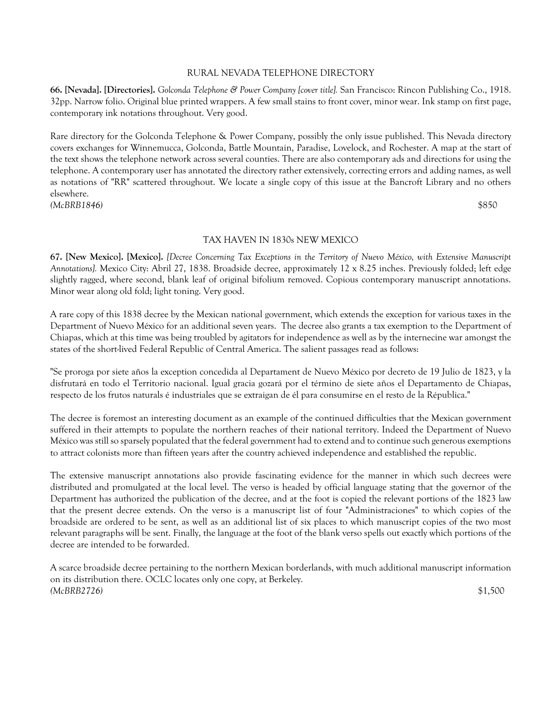## RURAL NEVADA TELEPHONE DIRECTORY

**66. [Nevada]. [Directories].** *Golconda Telephone & Power Company [cover title].* San Francisco: Rincon Publishing Co., 1918. 32pp. Narrow folio. Original blue printed wrappers. A few small stains to front cover, minor wear. Ink stamp on first page, contemporary ink notations throughout. Very good.

Rare directory for the Golconda Telephone & Power Company, possibly the only issue published. This Nevada directory covers exchanges for Winnemucca, Golconda, Battle Mountain, Paradise, Lovelock, and Rochester. A map at the start of the text shows the telephone network across several counties. There are also contemporary ads and directions for using the telephone. A contemporary user has annotated the directory rather extensively, correcting errors and adding names, as well as notations of "RR" scattered throughout. We locate a single copy of this issue at the Bancroft Library and no others elsewhere. *(McBRB1846)* \$850

## TAX HAVEN IN 1830s NEW MEXICO

**67. [New Mexico]. [Mexico].** *[Decree Concerning Tax Exceptions in the Territory of Nuevo México, with Extensive Manuscript Annotations].* Mexico City: Abril 27, 1838. Broadside decree, approximately 12 x 8.25 inches. Previously folded; left edge slightly ragged, where second, blank leaf of original bifolium removed. Copious contemporary manuscript annotations. Minor wear along old fold; light toning. Very good.

A rare copy of this 1838 decree by the Mexican national government, which extends the exception for various taxes in the Department of Nuevo México for an additional seven years. The decree also grants a tax exemption to the Department of Chiapas, which at this time was being troubled by agitators for independence as well as by the internecine war amongst the states of the short-lived Federal Republic of Central America. The salient passages read as follows:

"Se proroga por siete años la exception concedida al Departament de Nuevo México por decreto de 19 Julio de 1823, y la disfrutará en todo el Territorio nacional. Igual gracia gozará por el término de siete años el Departamento de Chiapas, respecto de los frutos naturals é industriales que se extraigan de él para consumirse en el resto de la Républica."

The decree is foremost an interesting document as an example of the continued difficulties that the Mexican government suffered in their attempts to populate the northern reaches of their national territory. Indeed the Department of Nuevo México was still so sparsely populated that the federal government had to extend and to continue such generous exemptions to attract colonists more than fifteen years after the country achieved independence and established the republic.

The extensive manuscript annotations also provide fascinating evidence for the manner in which such decrees were distributed and promulgated at the local level. The verso is headed by official language stating that the governor of the Department has authorized the publication of the decree, and at the foot is copied the relevant portions of the 1823 law that the present decree extends. On the verso is a manuscript list of four "Administraciones" to which copies of the broadside are ordered to be sent, as well as an additional list of six places to which manuscript copies of the two most relevant paragraphs will be sent. Finally, the language at the foot of the blank verso spells out exactly which portions of the decree are intended to be forwarded.

A scarce broadside decree pertaining to the northern Mexican borderlands, with much additional manuscript information on its distribution there. OCLC locates only one copy, at Berkeley. *(McBRB2726)* \$1,500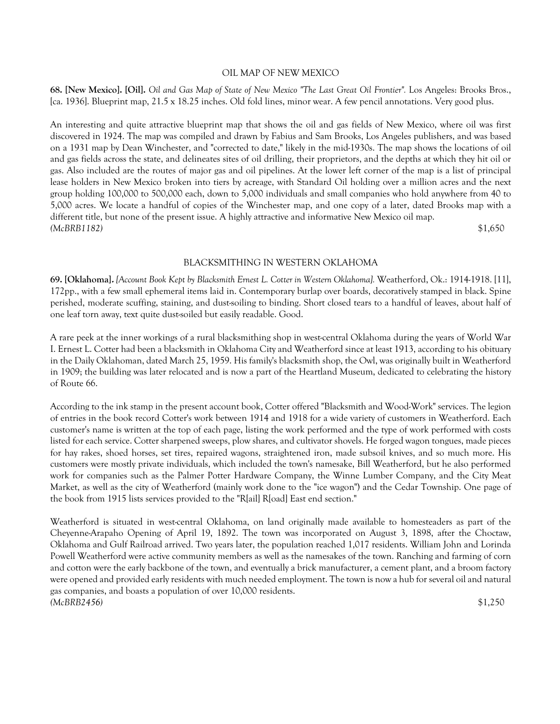#### OIL MAP OF NEW MEXICO

**68. [New Mexico]. [Oil].** *Oil and Gas Map of State of New Mexico "The Last Great Oil Frontier".* Los Angeles: Brooks Bros., [ca. 1936]. Blueprint map, 21.5 x 18.25 inches. Old fold lines, minor wear. A few pencil annotations. Very good plus.

An interesting and quite attractive blueprint map that shows the oil and gas fields of New Mexico, where oil was first discovered in 1924. The map was compiled and drawn by Fabius and Sam Brooks, Los Angeles publishers, and was based on a 1931 map by Dean Winchester, and "corrected to date," likely in the mid-1930s. The map shows the locations of oil and gas fields across the state, and delineates sites of oil drilling, their proprietors, and the depths at which they hit oil or gas. Also included are the routes of major gas and oil pipelines. At the lower left corner of the map is a list of principal lease holders in New Mexico broken into tiers by acreage, with Standard Oil holding over a million acres and the next group holding 100,000 to 500,000 each, down to 5,000 individuals and small companies who hold anywhere from 40 to 5,000 acres. We locate a handful of copies of the Winchester map, and one copy of a later, dated Brooks map with a different title, but none of the present issue. A highly attractive and informative New Mexico oil map. *(McBRB1182)* \$1,650

#### BLACKSMITHING IN WESTERN OKLAHOMA

**69. [Oklahoma].** *[Account Book Kept by Blacksmith Ernest L. Cotter in Western Oklahoma].* Weatherford, Ok.: 1914-1918. [11], 172pp., with a few small ephemeral items laid in. Contemporary burlap over boards, decoratively stamped in black. Spine perished, moderate scuffing, staining, and dust-soiling to binding. Short closed tears to a handful of leaves, about half of one leaf torn away, text quite dust-soiled but easily readable. Good.

A rare peek at the inner workings of a rural blacksmithing shop in west-central Oklahoma during the years of World War I. Ernest L. Cotter had been a blacksmith in Oklahoma City and Weatherford since at least 1913, according to his obituary in the Daily Oklahoman, dated March 25, 1959. His family's blacksmith shop, the Owl, was originally built in Weatherford in 1909; the building was later relocated and is now a part of the Heartland Museum, dedicated to celebrating the history of Route 66.

According to the ink stamp in the present account book, Cotter offered "Blacksmith and Wood-Work" services. The legion of entries in the book record Cotter's work between 1914 and 1918 for a wide variety of customers in Weatherford. Each customer's name is written at the top of each page, listing the work performed and the type of work performed with costs listed for each service. Cotter sharpened sweeps, plow shares, and cultivator shovels. He forged wagon tongues, made pieces for hay rakes, shoed horses, set tires, repaired wagons, straightened iron, made subsoil knives, and so much more. His customers were mostly private individuals, which included the town's namesake, Bill Weatherford, but he also performed work for companies such as the Palmer Potter Hardware Company, the Winne Lumber Company, and the City Meat Market, as well as the city of Weatherford (mainly work done to the "ice wagon") and the Cedar Township. One page of the book from 1915 lists services provided to the "R[ail] R[oad] East end section."

Weatherford is situated in west-central Oklahoma, on land originally made available to homesteaders as part of the Cheyenne-Arapaho Opening of April 19, 1892. The town was incorporated on August 3, 1898, after the Choctaw, Oklahoma and Gulf Railroad arrived. Two years later, the population reached 1,017 residents. William John and Lorinda Powell Weatherford were active community members as well as the namesakes of the town. Ranching and farming of corn and cotton were the early backbone of the town, and eventually a brick manufacturer, a cement plant, and a broom factory were opened and provided early residents with much needed employment. The town is now a hub for several oil and natural gas companies, and boasts a population of over 10,000 residents. *(McBRB2456)* \$1,250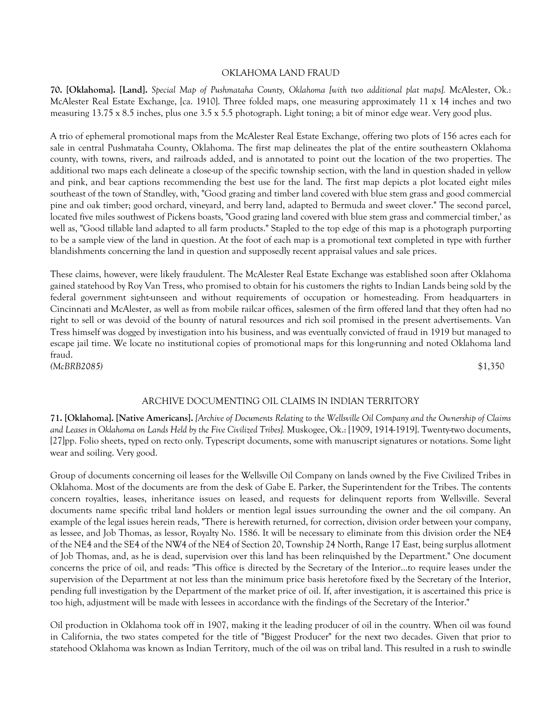#### OKLAHOMA LAND FRAUD

**70. [Oklahoma]. [Land].** *Special Map of Pushmataha County, Oklahoma [with two additional plat maps].* McAlester, Ok.: McAlester Real Estate Exchange, [ca. 1910]. Three folded maps, one measuring approximately 11 x 14 inches and two measuring 13.75 x 8.5 inches, plus one 3.5 x 5.5 photograph. Light toning; a bit of minor edge wear. Very good plus.

A trio of ephemeral promotional maps from the McAlester Real Estate Exchange, offering two plots of 156 acres each for sale in central Pushmataha County, Oklahoma. The first map delineates the plat of the entire southeastern Oklahoma county, with towns, rivers, and railroads added, and is annotated to point out the location of the two properties. The additional two maps each delineate a close-up of the specific township section, with the land in question shaded in yellow and pink, and bear captions recommending the best use for the land. The first map depicts a plot located eight miles southeast of the town of Standley, with, "Good grazing and timber land covered with blue stem grass and good commercial pine and oak timber; good orchard, vineyard, and berry land, adapted to Bermuda and sweet clover." The second parcel, located five miles southwest of Pickens boasts, "Good grazing land covered with blue stem grass and commercial timber,' as well as, "Good tillable land adapted to all farm products." Stapled to the top edge of this map is a photograph purporting to be a sample view of the land in question. At the foot of each map is a promotional text completed in type with further blandishments concerning the land in question and supposedly recent appraisal values and sale prices.

These claims, however, were likely fraudulent. The McAlester Real Estate Exchange was established soon after Oklahoma gained statehood by Roy Van Tress, who promised to obtain for his customers the rights to Indian Lands being sold by the federal government sight-unseen and without requirements of occupation or homesteading. From headquarters in Cincinnati and McAlester, as well as from mobile railcar offices, salesmen of the firm offered land that they often had no right to sell or was devoid of the bounty of natural resources and rich soil promised in the present advertisements. Van Tress himself was dogged by investigation into his business, and was eventually convicted of fraud in 1919 but managed to escape jail time. We locate no institutional copies of promotional maps for this long-running and noted Oklahoma land fraud.

*(McBRB2085)* \$1,350

## ARCHIVE DOCUMENTING OIL CLAIMS IN INDIAN TERRITORY

**71. [Oklahoma]. [Native Americans].** *[Archive of Documents Relating to the Wellsville Oil Company and the Ownership of Claims and Leases in Oklahoma on Lands Held by the Five Civilized Tribes].* Muskogee, Ok.: [1909, 1914-1919]. Twenty-two documents, [27]pp. Folio sheets, typed on recto only. Typescript documents, some with manuscript signatures or notations. Some light wear and soiling. Very good.

Group of documents concerning oil leases for the Wellsville Oil Company on lands owned by the Five Civilized Tribes in Oklahoma. Most of the documents are from the desk of Gabe E. Parker, the Superintendent for the Tribes. The contents concern royalties, leases, inheritance issues on leased, and requests for delinquent reports from Wellsville. Several documents name specific tribal land holders or mention legal issues surrounding the owner and the oil company. An example of the legal issues herein reads, "There is herewith returned, for correction, division order between your company, as lessee, and Job Thomas, as lessor, Royalty No. 1586. It will be necessary to eliminate from this division order the NE4 of the NE4 and the SE4 of the NW4 of the NE4 of Section 20, Township 24 North, Range 17 East, being surplus allotment of Job Thomas, and, as he is dead, supervision over this land has been relinquished by the Department." One document concerns the price of oil, and reads: "This office is directed by the Secretary of the Interior...to require leases under the supervision of the Department at not less than the minimum price basis heretofore fixed by the Secretary of the Interior, pending full investigation by the Department of the market price of oil. If, after investigation, it is ascertained this price is too high, adjustment will be made with lessees in accordance with the findings of the Secretary of the Interior."

Oil production in Oklahoma took off in 1907, making it the leading producer of oil in the country. When oil was found in California, the two states competed for the title of "Biggest Producer" for the next two decades. Given that prior to statehood Oklahoma was known as Indian Territory, much of the oil was on tribal land. This resulted in a rush to swindle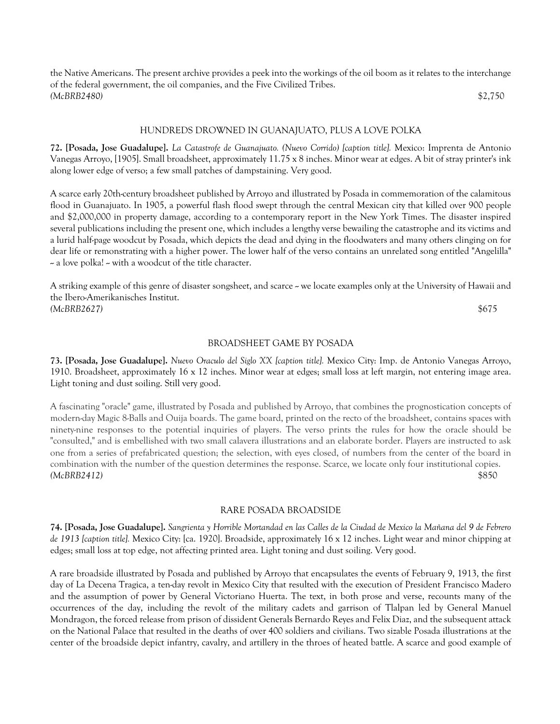the Native Americans. The present archive provides a peek into the workings of the oil boom as it relates to the interchange of the federal government, the oil companies, and the Five Civilized Tribes. *(McBRB2480)* \$2,750

#### HUNDREDS DROWNED IN GUANAJUATO, PLUS A LOVE POLKA

**72. [Posada, Jose Guadalupe].** *La Catastrofe de Guanajuato. (Nuevo Corrido) [caption title].* Mexico: Imprenta de Antonio Vanegas Arroyo, [1905]. Small broadsheet, approximately 11.75 x 8 inches. Minor wear at edges. A bit of stray printer's ink along lower edge of verso; a few small patches of dampstaining. Very good.

A scarce early 20th-century broadsheet published by Arroyo and illustrated by Posada in commemoration of the calamitous flood in Guanajuato. In 1905, a powerful flash flood swept through the central Mexican city that killed over 900 people and \$2,000,000 in property damage, according to a contemporary report in the New York Times. The disaster inspired several publications including the present one, which includes a lengthy verse bewailing the catastrophe and its victims and a lurid half-page woodcut by Posada, which depicts the dead and dying in the floodwaters and many others clinging on for dear life or remonstrating with a higher power. The lower half of the verso contains an unrelated song entitled "Angelilla"  $\sim$  a love polka!  $\sim$  with a woodcut of the title character.

A striking example of this genre of disaster songsheet, and scarce - we locate examples only at the University of Hawaii and the Ibero-Amerikanisches Institut. *(McBRB2627)* \$675

#### BROADSHEET GAME BY POSADA

**73. [Posada, Jose Guadalupe].** *Nuevo Oraculo del Siglo XX [caption title].* Mexico City: Imp. de Antonio Vanegas Arroyo, 1910. Broadsheet, approximately 16 x 12 inches. Minor wear at edges; small loss at left margin, not entering image area. Light toning and dust soiling. Still very good.

A fascinating "oracle" game, illustrated by Posada and published by Arroyo, that combines the prognostication concepts of modern-day Magic 8-Balls and Ouija boards. The game board, printed on the recto of the broadsheet, contains spaces with ninety-nine responses to the potential inquiries of players. The verso prints the rules for how the oracle should be "consulted," and is embellished with two small calavera illustrations and an elaborate border. Players are instructed to ask one from a series of prefabricated question; the selection, with eyes closed, of numbers from the center of the board in combination with the number of the question determines the response. Scarce, we locate only four institutional copies. *(McBRB2412)* \$850

#### RARE POSADA BROADSIDE

**74. [Posada, Jose Guadalupe].** *Sangrienta y Horrible Mortandad en las Calles de la Ciudad de Mexico la Mañana del 9 de Febrero de 1913 [caption title].* Mexico City: [ca. 1920]. Broadside, approximately 16 x 12 inches. Light wear and minor chipping at edges; small loss at top edge, not affecting printed area. Light toning and dust soiling. Very good.

A rare broadside illustrated by Posada and published by Arroyo that encapsulates the events of February 9, 1913, the first day of La Decena Tragica, a ten-day revolt in Mexico City that resulted with the execution of President Francisco Madero and the assumption of power by General Victoriano Huerta. The text, in both prose and verse, recounts many of the occurrences of the day, including the revolt of the military cadets and garrison of Tlalpan led by General Manuel Mondragon, the forced release from prison of dissident Generals Bernardo Reyes and Felix Diaz, and the subsequent attack on the National Palace that resulted in the deaths of over 400 soldiers and civilians. Two sizable Posada illustrations at the center of the broadside depict infantry, cavalry, and artillery in the throes of heated battle. A scarce and good example of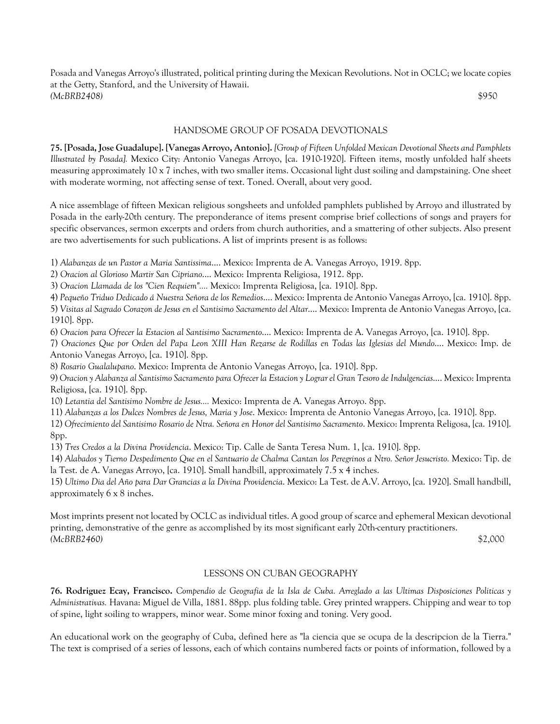Posada and Vanegas Arroyo's illustrated, political printing during the Mexican Revolutions. Not in OCLC; we locate copies at the Getty, Stanford, and the University of Hawaii. *(McBRB2408)* \$950

# HANDSOME GROUP OF POSADA DEVOTIONALS

**75. [Posada, Jose Guadalupe]. [Vanegas Arroyo, Antonio].** *[Group of Fifteen Unfolded Mexican Devotional Sheets and Pamphlets Illustrated by Posada].* Mexico City: Antonio Vanegas Arroyo, [ca. 1910-1920]. Fifteen items, mostly unfolded half sheets measuring approximately 10 x 7 inches, with two smaller items. Occasional light dust soiling and dampstaining. One sheet with moderate worming, not affecting sense of text. Toned. Overall, about very good.

A nice assemblage of fifteen Mexican religious songsheets and unfolded pamphlets published by Arroyo and illustrated by Posada in the early-20th century. The preponderance of items present comprise brief collections of songs and prayers for specific observances, sermon excerpts and orders from church authorities, and a smattering of other subjects. Also present are two advertisements for such publications. A list of imprints present is as follows:

1) *Alabanzas de un Pastor a Maria Santissima*.... Mexico: Imprenta de A. Vanegas Arroyo, 1919. 8pp.

2) *Oracion al Glorioso Martir San Cipriano*.... Mexico: Imprenta Religiosa, 1912. 8pp.

3) *Oracion Llamada de los "Cien Requiem"....* Mexico: Imprenta Religiosa, [ca. 1910]. 8pp.

4) *Pequeño Triduo Dedicado á Nuestra Señora de los Remedios*.... Mexico: Imprenta de Antonio Vanegas Arroyo, [ca. 1910]. 8pp.

5) *Visitas al Sagrado Corazon de Jesus en el Santisimo Sacramento del Altar*.... Mexico: Imprenta de Antonio Vanegas Arroyo, [ca. 1910]. 8pp.

6) *Oracion para Ofrecer la Estacion al Santisimo Sacramento*.... Mexico: Imprenta de A. Vanegas Arroyo, [ca. 1910]. 8pp.

7) *Oraciones Que por Orden del Papa Leon XIII Han Rezarse de Rodillas en Todas las Iglesias del Mundo*.... Mexico: Imp. de Antonio Vanegas Arroyo, [ca. 1910]. 8pp.

8) *Rosario Gualalupano*. Mexico: Imprenta de Antonio Vanegas Arroyo, [ca. 1910]. 8pp.

9) *Oracion y Alabanza al Santisimo Sacramento para Ofrecer la Estacion y Lograr el Gran Tesoro de Indulgencias*.... Mexico: Imprenta Religiosa, [ca. 1910]. 8pp.

10) *Letantia del Santisimo Nombre de Jesus....* Mexico: Imprenta de A. Vanegas Arroyo. 8pp.

11) *Alabanzas a los Dulces Nombres de Jesus, Maria y Jose*. Mexico: Imprenta de Antonio Vanegas Arroyo, [ca. 1910]. 8pp.

12) *Ofrecimiento del Santisimo Rosario de Ntra. Señora en Honor del Santisimo Sacramento*. Mexico: Imprenta Religosa, [ca. 1910]. 8pp.

13) *Tres Credos a la Divina Providencia*. Mexico: Tip. Calle de Santa Teresa Num. 1, [ca. 1910]. 8pp.

14) *Alabados y Tierno Despedimento Que en el Santuario de Chalma Cantan los Peregrinos a Ntro. Señor Jesucristo.* Mexico: Tip. de la Test. de A. Vanegas Arroyo, [ca. 1910]. Small handbill, approximately 7.5 x 4 inches.

15) *Ultimo Dia del Año para Dar Grancias a la Divina Providencia*. Mexico: La Test. de A.V. Arroyo, [ca. 1920]. Small handbill, approximately 6 x 8 inches.

Most imprints present not located by OCLC as individual titles. A good group of scarce and ephemeral Mexican devotional printing, demonstrative of the genre as accomplished by its most significant early 20th-century practitioners. *(McBRB2460)* \$2,000

## LESSONS ON CUBAN GEOGRAPHY

**76. Rodriguez Ecay, Francisco.** *Compendio de Geografia de la Isla de Cuba. Arreglado a las Ultimas Disposiciones Politicas y Administrativas.* Havana: Miguel de Villa, 1881. 88pp. plus folding table. Grey printed wrappers. Chipping and wear to top of spine, light soiling to wrappers, minor wear. Some minor foxing and toning. Very good.

An educational work on the geography of Cuba, defined here as "la ciencia que se ocupa de la descripcion de la Tierra." The text is comprised of a series of lessons, each of which contains numbered facts or points of information, followed by a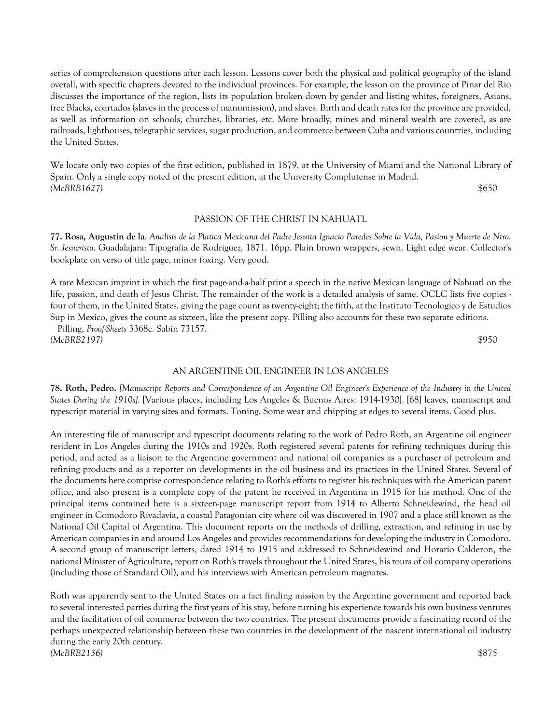series of comprehension questions after each lesson. Lessons cover both the physical and political geography of the island overall, with specific chapters devoted to the individual provinces. For example, the lesson on the province of Pinar del Rio discusses the importance of the region, lists its population broken down by gender and listing whites, foreigners, Asians, free Blacks, coartados (slaves in the process of manumission), and slaves. Birth and death rates for the province are provided, as well as information on schools, churches, libraries, etc. More broadly, mines and mineral wealth are covered, as are railroads, lighthouses, telegraphic services, sugar production, and commerce between Cuba and various countries, including the United States.

We locate only two copies of the first edition, published in 1879, at the University of Miami and the National Library of Spain. Only a single copy noted of the present edition, at the University Complutense in Madrid. *(McBRB1627)* \$650

PASSION OF THE CHRIST IN NAHUATL

**77. Rosa, Augustin de la**. *Analisis de la Platica Mexicana del Padre Jesuita Ignacio Paredes Sobre la Vida, Pasion y Muerte de Ntro. Sr. Jesucristo*. Guadalajara: Tipografia de Rodriguez, 1871. 16pp. Plain brown wrappers, sewn. Light edge wear. Collector's bookplate on verso of title page, minor foxing. Very good.

A rare Mexican imprint in which the first page-and-a-half print a speech in the native Mexican language of Nahuatl on the life, passion, and death of Jesus Christ. The remainder of the work is a detailed analysis of same. OCLC lists five copies four of them, in the United States, giving the page count as twenty-eight; the fifth, at the Instituto Tecnologico y de Estudios Sup in Mexico, gives the count as sixteen, like the present copy. Pilling also accounts for these two separate editions.

 Pilling, *Proof-Sheets* 3368c. Sabin 73157. *(McBRB2197)* \$950

## AN ARGENTINE OIL ENGINEER IN LOS ANGELES

**78. Roth, Pedro.** *[Manuscript Reports and Correspondence of an Argentine Oil Engineer's Experience of the Industry in the United States During the 1910s].* [Various places, including Los Angeles & Buenos Aires: 1914-1930]. [68] leaves, manuscript and typescript material in varying sizes and formats. Toning. Some wear and chipping at edges to several items. Good plus.

An interesting file of manuscript and typescript documents relating to the work of Pedro Roth, an Argentine oil engineer resident in Los Angeles during the 1910s and 1920s. Roth registered several patents for refining techniques during this period, and acted as a liaison to the Argentine government and national oil companies as a purchaser of petroleum and refining products and as a reporter on developments in the oil business and its practices in the United States. Several of the documents here comprise correspondence relating to Roth's efforts to register his techniques with the American patent office, and also present is a complete copy of the patent he received in Argentina in 1918 for his method. One of the principal items contained here is a sixteen-page manuscript report from 1914 to Alberto Schneidewind, the head oil engineer in Comodoro Rivadavia, a coastal Patagonian city where oil was discovered in 1907 and a place still known as the National Oil Capital of Argentina. This document reports on the methods of drilling, extraction, and refining in use by American companies in and around Los Angeles and provides recommendations for developing the industry in Comodoro. A second group of manuscript letters, dated 1914 to 1915 and addressed to Schneidewind and Horario Calderon, the national Minister of Agriculture, report on Roth's travels throughout the United States, his tours of oil company operations (including those of Standard Oil), and his interviews with American petroleum magnates.

Roth was apparently sent to the United States on a fact finding mission by the Argentine government and reported back to several interested parties during the first years of his stay, before turning his experience towards his own business ventures and the facilitation of oil commerce between the two countries. The present documents provide a fascinating record of the perhaps unexpected relationship between these two countries in the development of the nascent international oil industry during the early 20th century. *(McBRB2136)* \$875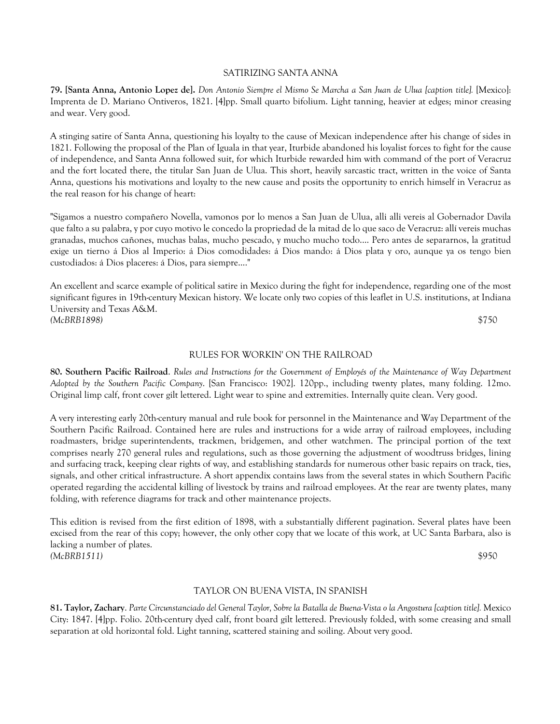#### SATIRIZING SANTA ANNA

**79. [Santa Anna, Antonio Lopez de].** *Don Antonio Siempre el Mismo Se Marcha a San Juan de Ulua [caption title].* [Mexico]: Imprenta de D. Mariano Ontiveros, 1821. [4]pp. Small quarto bifolium. Light tanning, heavier at edges; minor creasing and wear. Very good.

A stinging satire of Santa Anna, questioning his loyalty to the cause of Mexican independence after his change of sides in 1821. Following the proposal of the Plan of Iguala in that year, Iturbide abandoned his loyalist forces to fight for the cause of independence, and Santa Anna followed suit, for which Iturbide rewarded him with command of the port of Veracruz and the fort located there, the titular San Juan de Ulua. This short, heavily sarcastic tract, written in the voice of Santa Anna, questions his motivations and loyalty to the new cause and posits the opportunity to enrich himself in Veracruz as the real reason for his change of heart:

"Sigamos a nuestro compañero Novella, vamonos por lo menos a San Juan de Ulua, alli alli vereis al Gobernador Davila que falto a su palabra, y por cuyo motivo le concedo la propriedad de la mitad de lo que saco de Veracruz: allí vereis muchas granadas, muchos cañones, muchas balas, mucho pescado, y mucho mucho todo.... Pero antes de separarnos, la gratitud exige un tierno á Dios al Imperio: á Dios comodidades: á Dios mando: á Dios plata y oro, aunque ya os tengo bien custodiados: á Dios placeres: á Dios, para siempre...."

An excellent and scarce example of political satire in Mexico during the fight for independence, regarding one of the most significant figures in 19th-century Mexican history. We locate only two copies of this leaflet in U.S. institutions, at Indiana University and Texas A&M. *(McBRB1898)* \$750

## RULES FOR WORKIN' ON THE RAILROAD

**80. Southern Pacific Railroad**. *Rules and Instructions for the Government of Employés of the Maintenance of Way Department Adopted by the Southern Pacific Company*. [San Francisco: 1902]. 120pp., including twenty plates, many folding. 12mo. Original limp calf, front cover gilt lettered. Light wear to spine and extremities. Internally quite clean. Very good.

A very interesting early 20th-century manual and rule book for personnel in the Maintenance and Way Department of the Southern Pacific Railroad. Contained here are rules and instructions for a wide array of railroad employees, including roadmasters, bridge superintendents, trackmen, bridgemen, and other watchmen. The principal portion of the text comprises nearly 270 general rules and regulations, such as those governing the adjustment of woodtruss bridges, lining and surfacing track, keeping clear rights of way, and establishing standards for numerous other basic repairs on track, ties, signals, and other critical infrastructure. A short appendix contains laws from the several states in which Southern Pacific operated regarding the accidental killing of livestock by trains and railroad employees. At the rear are twenty plates, many folding, with reference diagrams for track and other maintenance projects.

This edition is revised from the first edition of 1898, with a substantially different pagination. Several plates have been excised from the rear of this copy; however, the only other copy that we locate of this work, at UC Santa Barbara, also is lacking a number of plates. *(McBRB1511)* \$950

# TAYLOR ON BUENA VISTA, IN SPANISH

**81. Taylor, Zachary**. *Parte Circunstanciado del General Taylor, Sobre la Batalla de Buena-Vista o la Angostura [caption title].* Mexico City: 1847. [4]pp. Folio. 20th-century dyed calf, front board gilt lettered. Previously folded, with some creasing and small separation at old horizontal fold. Light tanning, scattered staining and soiling. About very good.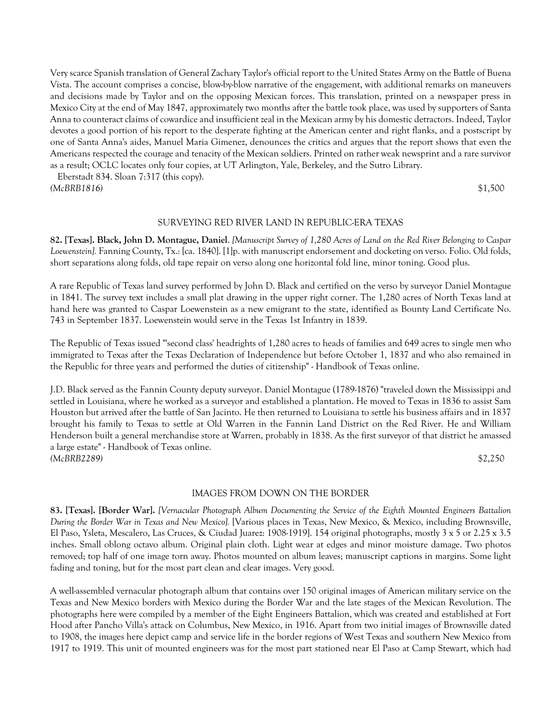Very scarce Spanish translation of General Zachary Taylor's official report to the United States Army on the Battle of Buena Vista. The account comprises a concise, blow-by-blow narrative of the engagement, with additional remarks on maneuvers and decisions made by Taylor and on the opposing Mexican forces. This translation, printed on a newspaper press in Mexico City at the end of May 1847, approximately two months after the battle took place, was used by supporters of Santa Anna to counteract claims of cowardice and insufficient zeal in the Mexican army by his domestic detractors. Indeed, Taylor devotes a good portion of his report to the desperate fighting at the American center and right flanks, and a postscript by one of Santa Anna's aides, Manuel Maria Gimenez, denounces the critics and argues that the report shows that even the Americans respected the courage and tenacity of the Mexican soldiers. Printed on rather weak newsprint and a rare survivor as a result; OCLC locates only four copies, at UT Arlington, Yale, Berkeley, and the Sutro Library.

 Eberstadt 834. Sloan 7:317 (this copy). *(McBRB1816)* \$1,500

## SURVEYING RED RIVER LAND IN REPUBLIC-ERA TEXAS

**82. [Texas]. Black, John D. Montague, Daniel**. *[Manuscript Survey of 1,280 Acres of Land on the Red River Belonging to Caspar Loewenstein].* Fanning County, Tx.: [ca. 1840]. [1]p. with manuscript endorsement and docketing on verso. Folio. Old folds, short separations along folds, old tape repair on verso along one horizontal fold line, minor toning. Good plus.

A rare Republic of Texas land survey performed by John D. Black and certified on the verso by surveyor Daniel Montague in 1841. The survey text includes a small plat drawing in the upper right corner. The 1,280 acres of North Texas land at hand here was granted to Caspar Loewenstein as a new emigrant to the state, identified as Bounty Land Certificate No. 743 in September 1837. Loewenstein would serve in the Texas 1st Infantry in 1839.

The Republic of Texas issued "'second class' headrights of 1,280 acres to heads of families and 649 acres to single men who immigrated to Texas after the Texas Declaration of Independence but before October 1, 1837 and who also remained in the Republic for three years and performed the duties of citizenship" - Handbook of Texas online.

J.D. Black served as the Fannin County deputy surveyor. Daniel Montague (1789-1876) "traveled down the Mississippi and settled in Louisiana, where he worked as a surveyor and established a plantation. He moved to Texas in 1836 to assist Sam Houston but arrived after the battle of San Jacinto. He then returned to Louisiana to settle his business affairs and in 1837 brought his family to Texas to settle at Old Warren in the Fannin Land District on the Red River. He and William Henderson built a general merchandise store at Warren, probably in 1838. As the first surveyor of that district he amassed a large estate" - Handbook of Texas online. *(McBRB2289)* \$2,250

#### IMAGES FROM DOWN ON THE BORDER

**83. [Texas]. [Border War].** *[Vernacular Photograph Album Documenting the Service of the Eighth Mounted Engineers Battalion During the Border War in Texas and New Mexico].* [Various places in Texas, New Mexico, & Mexico, including Brownsville, El Paso, Ysleta, Mescalero, Las Cruces, & Ciudad Juarez: 1908-1919]. 154 original photographs, mostly 3 x 5 or 2.25 x 3.5 inches. Small oblong octavo album. Original plain cloth. Light wear at edges and minor moisture damage. Two photos removed; top half of one image torn away. Photos mounted on album leaves; manuscript captions in margins. Some light fading and toning, but for the most part clean and clear images. Very good.

A well-assembled vernacular photograph album that contains over 150 original images of American military service on the Texas and New Mexico borders with Mexico during the Border War and the late stages of the Mexican Revolution. The photographs here were compiled by a member of the Eight Engineers Battalion, which was created and established at Fort Hood after Pancho Villa's attack on Columbus, New Mexico, in 1916. Apart from two initial images of Brownsville dated to 1908, the images here depict camp and service life in the border regions of West Texas and southern New Mexico from 1917 to 1919. This unit of mounted engineers was for the most part stationed near El Paso at Camp Stewart, which had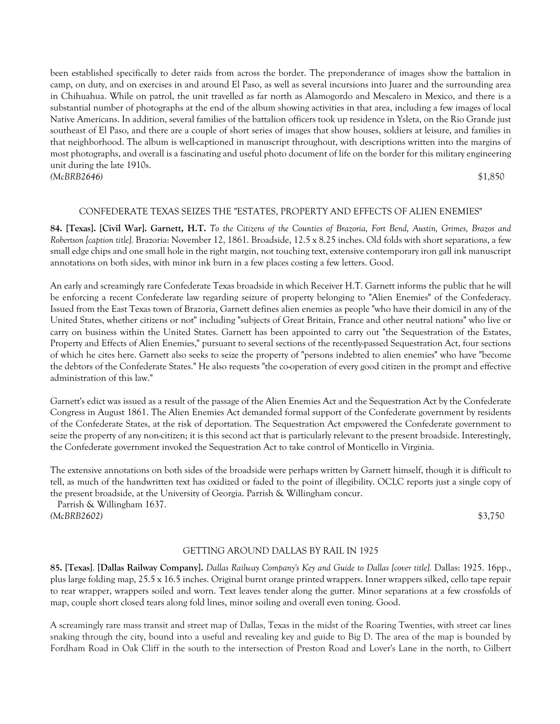been established specifically to deter raids from across the border. The preponderance of images show the battalion in camp, on duty, and on exercises in and around El Paso, as well as several incursions into Juarez and the surrounding area in Chihuahua. While on patrol, the unit travelled as far north as Alamogordo and Mescalero in Mexico, and there is a substantial number of photographs at the end of the album showing activities in that area, including a few images of local Native Americans. In addition, several families of the battalion officers took up residence in Ysleta, on the Rio Grande just southeast of El Paso, and there are a couple of short series of images that show houses, soldiers at leisure, and families in that neighborhood. The album is well-captioned in manuscript throughout, with descriptions written into the margins of most photographs, and overall is a fascinating and useful photo document of life on the border for this military engineering unit during the late 1910s. *(McBRB2646)* \$1,850

## CONFEDERATE TEXAS SEIZES THE "ESTATES, PROPERTY AND EFFECTS OF ALIEN ENEMIES"

**84. [Texas]. [Civil War]. Garnett, H.T.** *To the Citizens of the Counties of Brazoria, Fort Bend, Austin, Grimes, Brazos and Robertson [caption title].* Brazoria: November 12, 1861. Broadside, 12.5 x 8.25 inches. Old folds with short separations, a few small edge chips and one small hole in the right margin, not touching text, extensive contemporary iron gall ink manuscript annotations on both sides, with minor ink burn in a few places costing a few letters. Good.

An early and screamingly rare Confederate Texas broadside in which Receiver H.T. Garnett informs the public that he will be enforcing a recent Confederate law regarding seizure of property belonging to "Alien Enemies" of the Confederacy. Issued from the East Texas town of Brazoria, Garnett defines alien enemies as people "who have their domicil in any of the United States, whether citizens or not" including "subjects of Great Britain, France and other neutral nations" who live or carry on business within the United States. Garnett has been appointed to carry out "the Sequestration of the Estates, Property and Effects of Alien Enemies," pursuant to several sections of the recently-passed Sequestration Act, four sections of which he cites here. Garnett also seeks to seize the property of "persons indebted to alien enemies" who have "become the debtors of the Confederate States." He also requests "the co-operation of every good citizen in the prompt and effective administration of this law."

Garnett's edict was issued as a result of the passage of the Alien Enemies Act and the Sequestration Act by the Confederate Congress in August 1861. The Alien Enemies Act demanded formal support of the Confederate government by residents of the Confederate States, at the risk of deportation. The Sequestration Act empowered the Confederate government to seize the property of any non-citizen; it is this second act that is particularly relevant to the present broadside. Interestingly, the Confederate government invoked the Sequestration Act to take control of Monticello in Virginia.

The extensive annotations on both sides of the broadside were perhaps written by Garnett himself, though it is difficult to tell, as much of the handwritten text has oxidized or faded to the point of illegibility. OCLC reports just a single copy of the present broadside, at the University of Georgia. Parrish & Willingham concur.

 Parrish & Willingham 1637. *(McBRB2602)* \$3,750

## GETTING AROUND DALLAS BY RAIL IN 1925

**85. [Texas]**. **[Dallas Railway Company].** *Dallas Railway Company's Key and Guide to Dallas [cover title].* Dallas: 1925. 16pp., plus large folding map, 25.5 x 16.5 inches. Original burnt orange printed wrappers. Inner wrappers silked, cello tape repair to rear wrapper, wrappers soiled and worn. Text leaves tender along the gutter. Minor separations at a few crossfolds of map, couple short closed tears along fold lines, minor soiling and overall even toning. Good.

A screamingly rare mass transit and street map of Dallas, Texas in the midst of the Roaring Twenties, with street car lines snaking through the city, bound into a useful and revealing key and guide to Big D. The area of the map is bounded by Fordham Road in Oak Cliff in the south to the intersection of Preston Road and Lover's Lane in the north, to Gilbert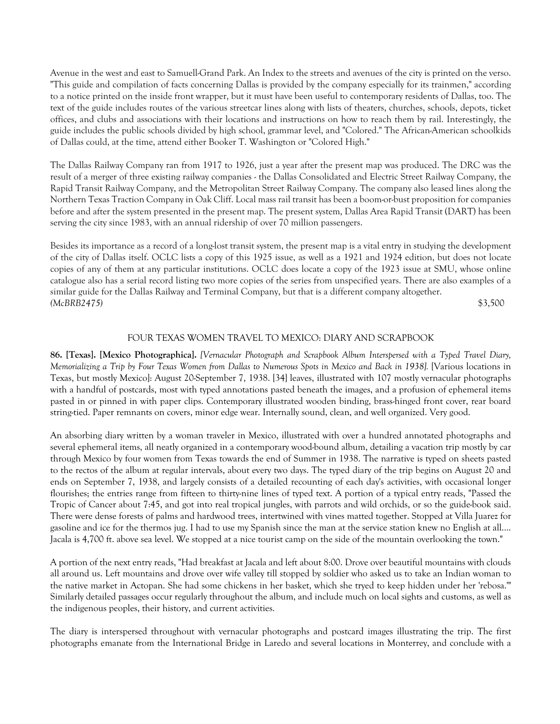Avenue in the west and east to Samuell-Grand Park. An Index to the streets and avenues of the city is printed on the verso. "This guide and compilation of facts concerning Dallas is provided by the company especially for its trainmen," according to a notice printed on the inside front wrapper, but it must have been useful to contemporary residents of Dallas, too. The text of the guide includes routes of the various streetcar lines along with lists of theaters, churches, schools, depots, ticket offices, and clubs and associations with their locations and instructions on how to reach them by rail. Interestingly, the guide includes the public schools divided by high school, grammar level, and "Colored." The African-American schoolkids of Dallas could, at the time, attend either Booker T. Washington or "Colored High."

The Dallas Railway Company ran from 1917 to 1926, just a year after the present map was produced. The DRC was the result of a merger of three existing railway companies - the Dallas Consolidated and Electric Street Railway Company, the Rapid Transit Railway Company, and the Metropolitan Street Railway Company. The company also leased lines along the Northern Texas Traction Company in Oak Cliff. Local mass rail transit has been a boom-or-bust proposition for companies before and after the system presented in the present map. The present system, Dallas Area Rapid Transit (DART) has been serving the city since 1983, with an annual ridership of over 70 million passengers.

Besides its importance as a record of a long-lost transit system, the present map is a vital entry in studying the development of the city of Dallas itself. OCLC lists a copy of this 1925 issue, as well as a 1921 and 1924 edition, but does not locate copies of any of them at any particular institutions. OCLC does locate a copy of the 1923 issue at SMU, whose online catalogue also has a serial record listing two more copies of the series from unspecified years. There are also examples of a similar guide for the Dallas Railway and Terminal Company, but that is a different company altogether. *(McBRB2475)* \$3,500

# FOUR TEXAS WOMEN TRAVEL TO MEXICO: DIARY AND SCRAPBOOK

**86. [Texas]. [Mexico Photographica].** *[Vernacular Photograph and Scrapbook Album Interspersed with a Typed Travel Diary, Memorializing a Trip by Four Texas Women from Dallas to Numerous Spots in Mexico and Back in 1938].* [Various locations in Texas, but mostly Mexico]: August 20-September 7, 1938. [34] leaves, illustrated with 107 mostly vernacular photographs with a handful of postcards, most with typed annotations pasted beneath the images, and a profusion of ephemeral items pasted in or pinned in with paper clips. Contemporary illustrated wooden binding, brass-hinged front cover, rear board string-tied. Paper remnants on covers, minor edge wear. Internally sound, clean, and well organized. Very good.

An absorbing diary written by a woman traveler in Mexico, illustrated with over a hundred annotated photographs and several ephemeral items, all neatly organized in a contemporary wood-bound album, detailing a vacation trip mostly by car through Mexico by four women from Texas towards the end of Summer in 1938. The narrative is typed on sheets pasted to the rectos of the album at regular intervals, about every two days. The typed diary of the trip begins on August 20 and ends on September 7, 1938, and largely consists of a detailed recounting of each day's activities, with occasional longer flourishes; the entries range from fifteen to thirty-nine lines of typed text. A portion of a typical entry reads, "Passed the Tropic of Cancer about 7:45, and got into real tropical jungles, with parrots and wild orchids, or so the guide-book said. There were dense forests of palms and hardwood trees, intertwined with vines matted together. Stopped at Villa Juarez for gasoline and ice for the thermos jug. I had to use my Spanish since the man at the service station knew no English at all.... Jacala is 4,700 ft. above sea level. We stopped at a nice tourist camp on the side of the mountain overlooking the town."

A portion of the next entry reads, "Had breakfast at Jacala and left about 8:00. Drove over beautiful mountains with clouds all around us. Left mountains and drove over wife valley till stopped by soldier who asked us to take an Indian woman to the native market in Actopan. She had some chickens in her basket, which she tryed to keep hidden under her 'rebosa.'" Similarly detailed passages occur regularly throughout the album, and include much on local sights and customs, as well as the indigenous peoples, their history, and current activities.

The diary is interspersed throughout with vernacular photographs and postcard images illustrating the trip. The first photographs emanate from the International Bridge in Laredo and several locations in Monterrey, and conclude with a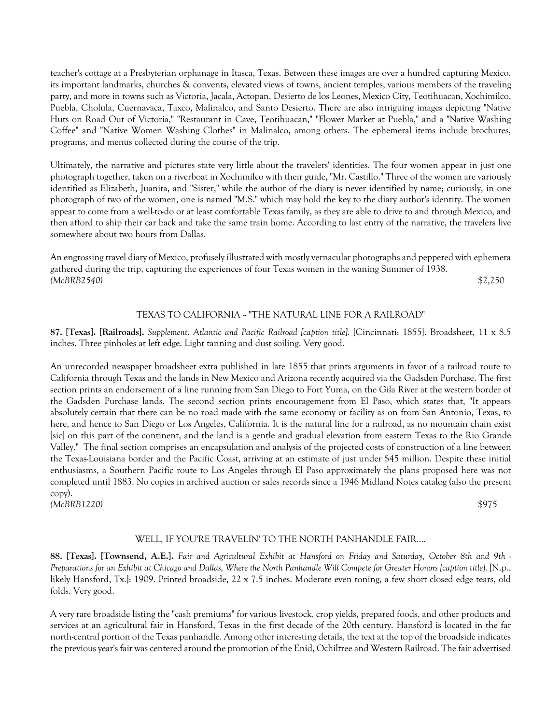teacher's cottage at a Presbyterian orphanage in Itasca, Texas. Between these images are over a hundred capturing Mexico, its important landmarks, churches & convents, elevated views of towns, ancient temples, various members of the traveling party, and more in towns such as Victoria, Jacala, Actopan, Desierto de los Leones, Mexico City, Teotihuacan, Xochimilco, Puebla, Cholula, Cuernavaca, Taxco, Malinalco, and Santo Desierto. There are also intriguing images depicting "Native Huts on Road Out of Victoria," "Restaurant in Cave, Teotihuacan," "Flower Market at Puebla," and a "Native Washing Coffee" and "Native Women Washing Clothes" in Malinalco, among others. The ephemeral items include brochures, programs, and menus collected during the course of the trip.

Ultimately, the narrative and pictures state very little about the travelers' identities. The four women appear in just one photograph together, taken on a riverboat in Xochimilco with their guide, "Mr. Castillo." Three of the women are variously identified as Elizabeth, Juanita, and "Sister," while the author of the diary is never identified by name; curiously, in one photograph of two of the women, one is named "M.S." which may hold the key to the diary author's identity. The women appear to come from a well-to-do or at least comfortable Texas family, as they are able to drive to and through Mexico, and then afford to ship their car back and take the same train home. According to last entry of the narrative, the travelers live somewhere about two hours from Dallas.

An engrossing travel diary of Mexico, profusely illustrated with mostly vernacular photographs and peppered with ephemera gathered during the trip, capturing the experiences of four Texas women in the waning Summer of 1938. *(McBRB2540)* \$2,250

# TEXAS TO CALIFORNIA ~ "THE NATURAL LINE FOR A RAILROAD"

**87. [Texas]. [Railroads].** *Supplement. Atlantic and Pacific Railroad [caption title].* [Cincinnati: 1855]. Broadsheet, 11 x 8.5 inches. Three pinholes at left edge. Light tanning and dust soiling. Very good.

An unrecorded newspaper broadsheet extra published in late 1855 that prints arguments in favor of a railroad route to California through Texas and the lands in New Mexico and Arizona recently acquired via the Gadsden Purchase. The first section prints an endorsement of a line running from San Diego to Fort Yuma, on the Gila River at the western border of the Gadsden Purchase lands. The second section prints encouragement from El Paso, which states that, "It appears absolutely certain that there can be no road made with the same economy or facility as on from San Antonio, Texas, to here, and hence to San Diego or Los Angeles, California. It is the natural line for a railroad, as no mountain chain exist [sic] on this part of the continent, and the land is a gentle and gradual elevation from eastern Texas to the Rio Grande Valley." The final section comprises an encapsulation and analysis of the projected costs of construction of a line between the Texas-Louisiana border and the Pacific Coast, arriving at an estimate of just under \$45 million. Despite these initial enthusiasms, a Southern Pacific route to Los Angeles through El Paso approximately the plans proposed here was not completed until 1883. No copies in archived auction or sales records since a 1946 Midland Notes catalog (also the present copy). *(McBRB1220)* \$975

## WELL, IF YOU'RE TRAVELIN' TO THE NORTH PANHANDLE FAIR....

**88. [Texas]. [Townsend, A.E.].** *Fair and Agricultural Exhibit at Hansford on Friday and Saturday, October 8th and 9th - Preparations for an Exhibit at Chicago and Dallas, Where the North Panhandle Will Compete for Greater Honors [caption title].* [N.p., likely Hansford, Tx.]: 1909. Printed broadside, 22 x 7.5 inches. Moderate even toning, a few short closed edge tears, old folds. Very good.

A very rare broadside listing the "cash premiums" for various livestock, crop yields, prepared foods, and other products and services at an agricultural fair in Hansford, Texas in the first decade of the 20th century. Hansford is located in the far north-central portion of the Texas panhandle. Among other interesting details, the text at the top of the broadside indicates the previous year's fair was centered around the promotion of the Enid, Ochiltree and Western Railroad. The fair advertised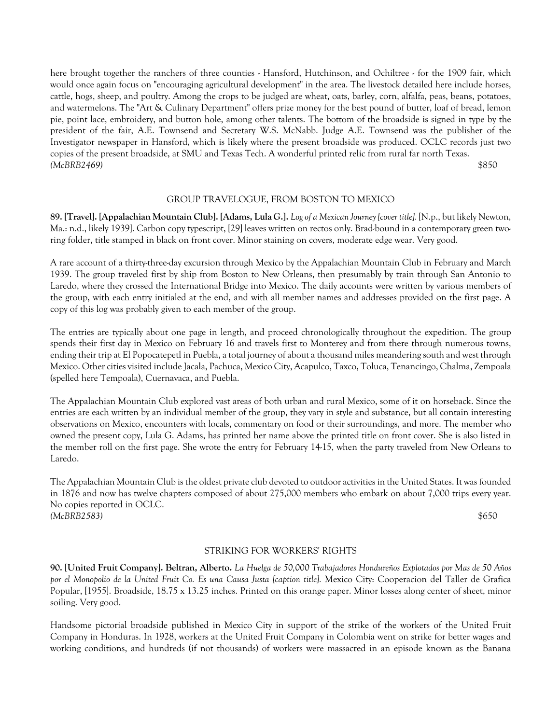here brought together the ranchers of three counties - Hansford, Hutchinson, and Ochiltree - for the 1909 fair, which would once again focus on "encouraging agricultural development" in the area. The livestock detailed here include horses, cattle, hogs, sheep, and poultry. Among the crops to be judged are wheat, oats, barley, corn, alfalfa, peas, beans, potatoes, and watermelons. The "Art & Culinary Department" offers prize money for the best pound of butter, loaf of bread, lemon pie, point lace, embroidery, and button hole, among other talents. The bottom of the broadside is signed in type by the president of the fair, A.E. Townsend and Secretary W.S. McNabb. Judge A.E. Townsend was the publisher of the Investigator newspaper in Hansford, which is likely where the present broadside was produced. OCLC records just two copies of the present broadside, at SMU and Texas Tech. A wonderful printed relic from rural far north Texas. *(McBRB2469)* \$850

## GROUP TRAVELOGUE, FROM BOSTON TO MEXICO

**89. [Travel]. [Appalachian Mountain Club]. [Adams, Lula G.].** *Log of a Mexican Journey [cover title].* [N.p., but likely Newton, Ma.: n.d., likely 1939]. Carbon copy typescript, [29] leaves written on rectos only. Brad-bound in a contemporary green tworing folder, title stamped in black on front cover. Minor staining on covers, moderate edge wear. Very good.

A rare account of a thirty-three-day excursion through Mexico by the Appalachian Mountain Club in February and March 1939. The group traveled first by ship from Boston to New Orleans, then presumably by train through San Antonio to Laredo, where they crossed the International Bridge into Mexico. The daily accounts were written by various members of the group, with each entry initialed at the end, and with all member names and addresses provided on the first page. A copy of this log was probably given to each member of the group.

The entries are typically about one page in length, and proceed chronologically throughout the expedition. The group spends their first day in Mexico on February 16 and travels first to Monterey and from there through numerous towns, ending their trip at El Popocatepetl in Puebla, a total journey of about a thousand miles meandering south and west through Mexico. Other cities visited include Jacala, Pachuca, Mexico City, Acapulco, Taxco, Toluca, Tenancingo, Chalma, Zempoala (spelled here Tempoala), Cuernavaca, and Puebla.

The Appalachian Mountain Club explored vast areas of both urban and rural Mexico, some of it on horseback. Since the entries are each written by an individual member of the group, they vary in style and substance, but all contain interesting observations on Mexico, encounters with locals, commentary on food or their surroundings, and more. The member who owned the present copy, Lula G. Adams, has printed her name above the printed title on front cover. She is also listed in the member roll on the first page. She wrote the entry for February 14-15, when the party traveled from New Orleans to Laredo.

The Appalachian Mountain Club is the oldest private club devoted to outdoor activities in the United States. It was founded in 1876 and now has twelve chapters composed of about 275,000 members who embark on about 7,000 trips every year. No copies reported in OCLC. *(McBRB2583)* \$650

## STRIKING FOR WORKERS' RIGHTS

**90. [United Fruit Company]. Beltran, Alberto.** *La Huelga de 50,000 Trabajadores Hondureños Explotados por Mas de 50 Años por el Monopolio de la United Fruit Co. Es una Causa Justa [caption title].* Mexico City: Cooperacion del Taller de Grafica Popular, [1955]. Broadside, 18.75 x 13.25 inches. Printed on this orange paper. Minor losses along center of sheet, minor soiling. Very good.

Handsome pictorial broadside published in Mexico City in support of the strike of the workers of the United Fruit Company in Honduras. In 1928, workers at the United Fruit Company in Colombia went on strike for better wages and working conditions, and hundreds (if not thousands) of workers were massacred in an episode known as the Banana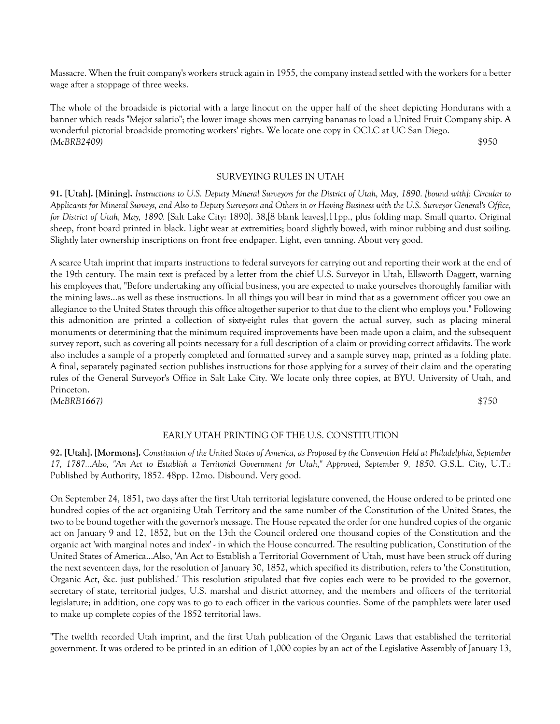Massacre. When the fruit company's workers struck again in 1955, the company instead settled with the workers for a better wage after a stoppage of three weeks.

The whole of the broadside is pictorial with a large linocut on the upper half of the sheet depicting Hondurans with a banner which reads "Mejor salario"; the lower image shows men carrying bananas to load a United Fruit Company ship. A wonderful pictorial broadside promoting workers' rights. We locate one copy in OCLC at UC San Diego. *(McBRB2409)* \$950

## SURVEYING RULES IN UTAH

**91. [Utah]. [Mining].** *Instructions to U.S. Deputy Mineral Surveyors for the District of Utah, May, 1890. [bound with]: Circular to Applicants for Mineral Surveys, and Also to Deputy Surveyors and Others in or Having Business with the U.S. Surveyor General's Office, for District of Utah, May, 1890.* [Salt Lake City: 1890]. 38,[8 blank leaves],11pp., plus folding map. Small quarto. Original sheep, front board printed in black. Light wear at extremities; board slightly bowed, with minor rubbing and dust soiling. Slightly later ownership inscriptions on front free endpaper. Light, even tanning. About very good.

A scarce Utah imprint that imparts instructions to federal surveyors for carrying out and reporting their work at the end of the 19th century. The main text is prefaced by a letter from the chief U.S. Surveyor in Utah, Ellsworth Daggett, warning his employees that, "Before undertaking any official business, you are expected to make yourselves thoroughly familiar with the mining laws...as well as these instructions. In all things you will bear in mind that as a government officer you owe an allegiance to the United States through this office altogether superior to that due to the client who employs you." Following this admonition are printed a collection of sixty-eight rules that govern the actual survey, such as placing mineral monuments or determining that the minimum required improvements have been made upon a claim, and the subsequent survey report, such as covering all points necessary for a full description of a claim or providing correct affidavits. The work also includes a sample of a properly completed and formatted survey and a sample survey map, printed as a folding plate. A final, separately paginated section publishes instructions for those applying for a survey of their claim and the operating rules of the General Surveyor's Office in Salt Lake City. We locate only three copies, at BYU, University of Utah, and Princeton.

*(McBRB1667)* \$750

# EARLY UTAH PRINTING OF THE U.S. CONSTITUTION

**92. [Utah]. [Mormons].** *Constitution of the United States of America, as Proposed by the Convention Held at Philadelphia, September 17, 1787...Also, "An Act to Establish a Territorial Government for Utah," Approved, September 9, 1850*. G.S.L. City, U.T.: Published by Authority, 1852. 48pp. 12mo. Disbound. Very good.

On September 24, 1851, two days after the first Utah territorial legislature convened, the House ordered to be printed one hundred copies of the act organizing Utah Territory and the same number of the Constitution of the United States, the two to be bound together with the governor's message. The House repeated the order for one hundred copies of the organic act on January 9 and 12, 1852, but on the 13th the Council ordered one thousand copies of the Constitution and the organic act 'with marginal notes and index' - in which the House concurred. The resulting publication, Constitution of the United States of America...Also, 'An Act to Establish a Territorial Government of Utah, must have been struck off during the next seventeen days, for the resolution of January 30, 1852, which specified its distribution, refers to 'the Constitution, Organic Act, &c. just published.' This resolution stipulated that five copies each were to be provided to the governor, secretary of state, territorial judges, U.S. marshal and district attorney, and the members and officers of the territorial legislature; in addition, one copy was to go to each officer in the various counties. Some of the pamphlets were later used to make up complete copies of the 1852 territorial laws.

"The twelfth recorded Utah imprint, and the first Utah publication of the Organic Laws that established the territorial government. It was ordered to be printed in an edition of 1,000 copies by an act of the Legislative Assembly of January 13,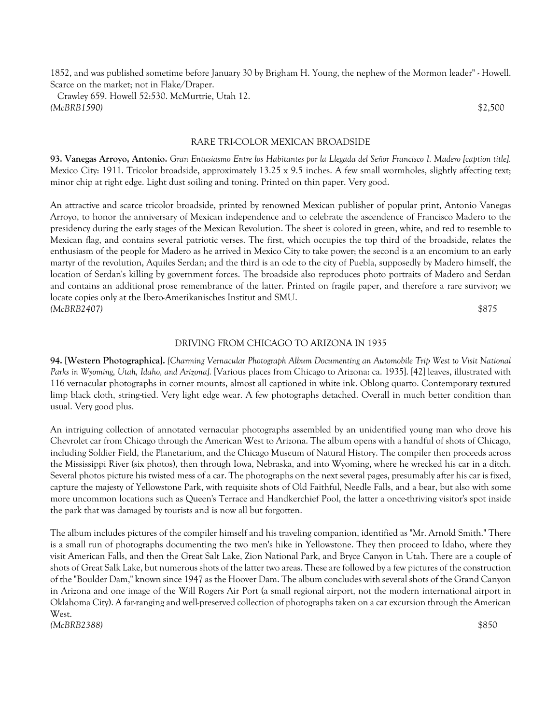1852, and was published sometime before January 30 by Brigham H. Young, the nephew of the Mormon leader" - Howell. Scarce on the market; not in Flake/Draper.

 Crawley 659. Howell 52:530. McMurtrie, Utah 12. *(McBRB1590)* \$2,500

RARE TRI-COLOR MEXICAN BROADSIDE

**93. Vanegas Arroyo, Antonio.** *Gran Entusiasmo Entre los Habitantes por la Llegada del Señor Francisco I. Madero [caption title].* Mexico City: 1911. Tricolor broadside, approximately 13.25 x 9.5 inches. A few small wormholes, slightly affecting text; minor chip at right edge. Light dust soiling and toning. Printed on thin paper. Very good.

An attractive and scarce tricolor broadside, printed by renowned Mexican publisher of popular print, Antonio Vanegas Arroyo, to honor the anniversary of Mexican independence and to celebrate the ascendence of Francisco Madero to the presidency during the early stages of the Mexican Revolution. The sheet is colored in green, white, and red to resemble to Mexican flag, and contains several patriotic verses. The first, which occupies the top third of the broadside, relates the enthusiasm of the people for Madero as he arrived in Mexico City to take power; the second is a an encomium to an early martyr of the revolution, Aquiles Serdan; and the third is an ode to the city of Puebla, supposedly by Madero himself, the location of Serdan's killing by government forces. The broadside also reproduces photo portraits of Madero and Serdan and contains an additional prose remembrance of the latter. Printed on fragile paper, and therefore a rare survivor; we locate copies only at the Ibero-Amerikanisches Institut and SMU. *(McBRB2407)* \$875

#### DRIVING FROM CHICAGO TO ARIZONA IN 1935

**94. [Western Photographica].** *[Charming Vernacular Photograph Album Documenting an Automobile Trip West to Visit National Parks in Wyoming, Utah, Idaho, and Arizona].* [Various places from Chicago to Arizona: ca. 1935]. [42] leaves, illustrated with 116 vernacular photographs in corner mounts, almost all captioned in white ink. Oblong quarto. Contemporary textured limp black cloth, string-tied. Very light edge wear. A few photographs detached. Overall in much better condition than usual. Very good plus.

An intriguing collection of annotated vernacular photographs assembled by an unidentified young man who drove his Chevrolet car from Chicago through the American West to Arizona. The album opens with a handful of shots of Chicago, including Soldier Field, the Planetarium, and the Chicago Museum of Natural History. The compiler then proceeds across the Mississippi River (six photos), then through Iowa, Nebraska, and into Wyoming, where he wrecked his car in a ditch. Several photos picture his twisted mess of a car. The photographs on the next several pages, presumably after his car is fixed, capture the majesty of Yellowstone Park, with requisite shots of Old Faithful, Needle Falls, and a bear, but also with some more uncommon locations such as Queen's Terrace and Handkerchief Pool, the latter a once-thriving visitor's spot inside the park that was damaged by tourists and is now all but forgotten.

The album includes pictures of the compiler himself and his traveling companion, identified as "Mr. Arnold Smith." There is a small run of photographs documenting the two men's hike in Yellowstone. They then proceed to Idaho, where they visit American Falls, and then the Great Salt Lake, Zion National Park, and Bryce Canyon in Utah. There are a couple of shots of Great Salk Lake, but numerous shots of the latter two areas. These are followed by a few pictures of the construction of the "Boulder Dam," known since 1947 as the Hoover Dam. The album concludes with several shots of the Grand Canyon in Arizona and one image of the Will Rogers Air Port (a small regional airport, not the modern international airport in Oklahoma City). A far-ranging and well-preserved collection of photographs taken on a car excursion through the American West.

*(McBRB2388)* \$850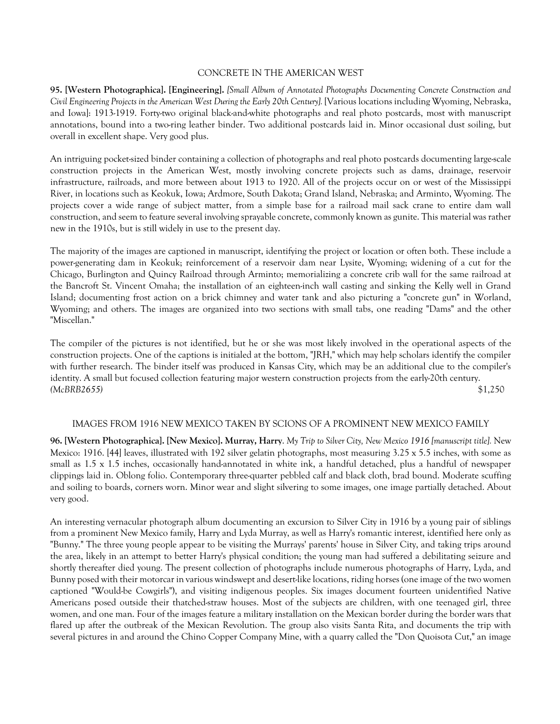## CONCRETE IN THE AMERICAN WEST

**95. [Western Photographica]. [Engineering].** *[Small Album of Annotated Photographs Documenting Concrete Construction and Civil Engineering Projects in the American West During the Early 20th Century].* [Various locations including Wyoming, Nebraska, and Iowa]: 1913-1919. Forty-two original black-and-white photographs and real photo postcards, most with manuscript annotations, bound into a two-ring leather binder. Two additional postcards laid in. Minor occasional dust soiling, but overall in excellent shape. Very good plus.

An intriguing pocket-sized binder containing a collection of photographs and real photo postcards documenting large-scale construction projects in the American West, mostly involving concrete projects such as dams, drainage, reservoir infrastructure, railroads, and more between about 1913 to 1920. All of the projects occur on or west of the Mississippi River, in locations such as Keokuk, Iowa; Ardmore, South Dakota; Grand Island, Nebraska; and Arminto, Wyoming. The projects cover a wide range of subject matter, from a simple base for a railroad mail sack crane to entire dam wall construction, and seem to feature several involving sprayable concrete, commonly known as gunite. This material was rather new in the 1910s, but is still widely in use to the present day.

The majority of the images are captioned in manuscript, identifying the project or location or often both. These include a power-generating dam in Keokuk; reinforcement of a reservoir dam near Lysite, Wyoming; widening of a cut for the Chicago, Burlington and Quincy Railroad through Arminto; memorializing a concrete crib wall for the same railroad at the Bancroft St. Vincent Omaha; the installation of an eighteen-inch wall casting and sinking the Kelly well in Grand Island; documenting frost action on a brick chimney and water tank and also picturing a "concrete gun" in Worland, Wyoming; and others. The images are organized into two sections with small tabs, one reading "Dams" and the other "Miscellan."

The compiler of the pictures is not identified, but he or she was most likely involved in the operational aspects of the construction projects. One of the captions is initialed at the bottom, "JRH," which may help scholars identify the compiler with further research. The binder itself was produced in Kansas City, which may be an additional clue to the compiler's identity. A small but focused collection featuring major western construction projects from the early-20th century. *(McBRB2655)* \$1,250

## IMAGES FROM 1916 NEW MEXICO TAKEN BY SCIONS OF A PROMINENT NEW MEXICO FAMILY

**96. [Western Photographica]. [New Mexico]. Murray, Harry**. *My Trip to Silver City, New Mexico 1916 [manuscript title].* New Mexico: 1916. [44] leaves, illustrated with 192 silver gelatin photographs, most measuring 3.25 x 5.5 inches, with some as small as 1.5 x 1.5 inches, occasionally hand-annotated in white ink, a handful detached, plus a handful of newspaper clippings laid in. Oblong folio. Contemporary three-quarter pebbled calf and black cloth, brad bound. Moderate scuffing and soiling to boards, corners worn. Minor wear and slight silvering to some images, one image partially detached. About very good.

An interesting vernacular photograph album documenting an excursion to Silver City in 1916 by a young pair of siblings from a prominent New Mexico family, Harry and Lyda Murray, as well as Harry's romantic interest, identified here only as "Bunny." The three young people appear to be visiting the Murrays' parents' house in Silver City, and taking trips around the area, likely in an attempt to better Harry's physical condition; the young man had suffered a debilitating seizure and shortly thereafter died young. The present collection of photographs include numerous photographs of Harry, Lyda, and Bunny posed with their motorcar in various windswept and desert-like locations, riding horses (one image of the two women captioned "Would-be Cowgirls"), and visiting indigenous peoples. Six images document fourteen unidentified Native Americans posed outside their thatched-straw houses. Most of the subjects are children, with one teenaged girl, three women, and one man. Four of the images feature a military installation on the Mexican border during the border wars that flared up after the outbreak of the Mexican Revolution. The group also visits Santa Rita, and documents the trip with several pictures in and around the Chino Copper Company Mine, with a quarry called the "Don Quoisota Cut," an image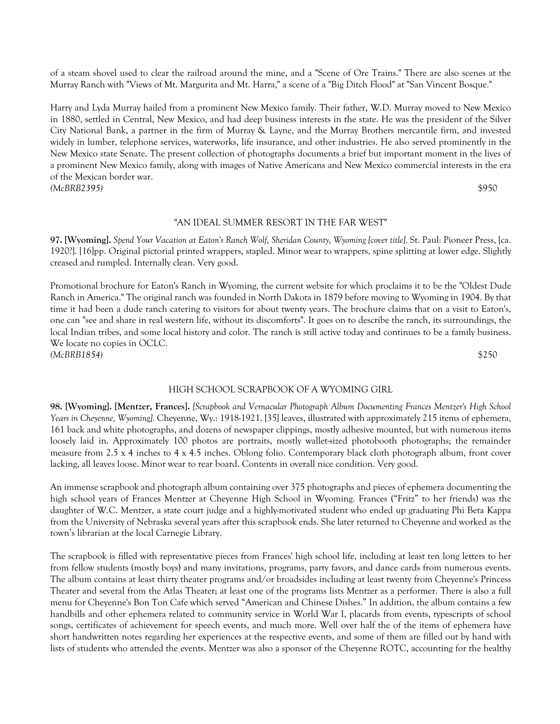of a steam shovel used to clear the railroad around the mine, and a "Scene of Ore Trains." There are also scenes at the Murray Ranch with "Views of Mt. Margurita and Mt. Harra," a scene of a "Big Ditch Flood" at "San Vincent Bosque."

Harry and Lyda Murray hailed from a prominent New Mexico family. Their father, W.D. Murray moved to New Mexico in 1880, settled in Central, New Mexico, and had deep business interests in the state. He was the president of the Silver City National Bank, a partner in the firm of Murray & Layne, and the Murray Brothers mercantile firm, and invested widely in lumber, telephone services, waterworks, life insurance, and other industries. He also served prominently in the New Mexico state Senate. The present collection of photographs documents a brief but important moment in the lives of a prominent New Mexico family, along with images of Native Americans and New Mexico commercial interests in the era of the Mexican border war. *(McBRB2395)* \$950

#### "AN IDEAL SUMMER RESORT IN THE FAR WEST"

**97. [Wyoming].** *Spend Your Vacation at Eaton's Ranch Wolf, Sheridan County, Wyoming [cover title].* St. Paul: Pioneer Press, [ca. 1920?]. [16]pp. Original pictorial printed wrappers, stapled. Minor wear to wrappers, spine splitting at lower edge. Slightly creased and rumpled. Internally clean. Very good.

Promotional brochure for Eaton's Ranch in Wyoming, the current website for which proclaims it to be the "Oldest Dude Ranch in America." The original ranch was founded in North Dakota in 1879 before moving to Wyoming in 1904. By that time it had been a dude ranch catering to visitors for about twenty years. The brochure claims that on a visit to Eaton's, one can "see and share in real western life, without its discomforts". It goes on to describe the ranch, its surroundings, the local Indian tribes, and some local history and color. The ranch is still active today and continues to be a family business. We locate no copies in OCLC. *(McBRB1854)* \$250

#### HIGH SCHOOL SCRAPBOOK OF A WYOMING GIRL

**98. [Wyoming]. [Mentzer, Frances].** *[Scrapbook and Vernacular Photograph Album Documenting Frances Mentzer's High School Years in Cheyenne, Wyoming].* Cheyenne, Wy.: 1918-1921. [35] leaves, illustrated with approximately 215 items of ephemera, 161 back and white photographs, and dozens of newspaper clippings, mostly adhesive mounted, but with numerous items loosely laid in. Approximately 100 photos are portraits, mostly wallet-sized photobooth photographs; the remainder measure from 2.5 x 4 inches to 4 x 4.5 inches. Oblong folio. Contemporary black cloth photograph album, front cover lacking, all leaves loose. Minor wear to rear board. Contents in overall nice condition. Very good.

An immense scrapbook and photograph album containing over 375 photographs and pieces of ephemera documenting the high school years of Frances Mentzer at Cheyenne High School in Wyoming. Frances ("Fritz" to her friends) was the daughter of W.C. Mentzer, a state court judge and a highly-motivated student who ended up graduating Phi Beta Kappa from the University of Nebraska several years after this scrapbook ends. She later returned to Cheyenne and worked as the town's librarian at the local Carnegie Library.

The scrapbook is filled with representative pieces from Frances' high school life, including at least ten long letters to her from fellow students (mostly boys) and many invitations, programs, party favors, and dance cards from numerous events. The album contains at least thirty theater programs and/or broadsides including at least twenty from Cheyenne's Princess Theater and several from the Atlas Theater; at least one of the programs lists Mentzer as a performer. There is also a full menu for Cheyenne's Bon Ton Cafe which served "American and Chinese Dishes." In addition, the album contains a few handbills and other ephemera related to community service in World War I, placards from events, typescripts of school songs, certificates of achievement for speech events, and much more. Well over half the of the items of ephemera have short handwritten notes regarding her experiences at the respective events, and some of them are filled out by hand with lists of students who attended the events. Mentzer was also a sponsor of the Cheyenne ROTC, accounting for the healthy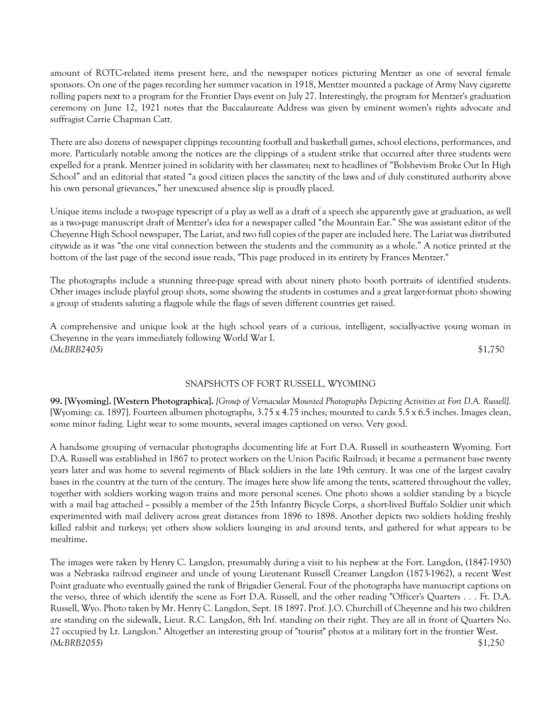amount of ROTC-related items present here, and the newspaper notices picturing Mentzer as one of several female sponsors. On one of the pages recording her summer vacation in 1918, Mentzer mounted a package of Army Navy cigarette rolling papers next to a program for the Frontier Days event on July 27. Interestingly, the program for Mentzer's graduation ceremony on June 12, 1921 notes that the Baccalaureate Address was given by eminent women's rights advocate and suffragist Carrie Chapman Catt.

There are also dozens of newspaper clippings recounting football and basketball games, school elections, performances, and more. Particularly notable among the notices are the clippings of a student strike that occurred after three students were expelled for a prank. Mentzer joined in solidarity with her classmates; next to headlines of "Bolshevism Broke Out In High School" and an editorial that stated "a good citizen places the sanctity of the laws and of duly constituted authority above his own personal grievances," her unexcused absence slip is proudly placed.

Unique items include a two-page typescript of a play as well as a draft of a speech she apparently gave at graduation, as well as a two-page manuscript draft of Mentzer's idea for a newspaper called "the Mountain Ear." She was assistant editor of the Cheyenne High School newspaper, The Lariat, and two full copies of the paper are included here. The Lariat was distributed citywide as it was "the one vital connection between the students and the community as a whole." A notice printed at the bottom of the last page of the second issue reads, "This page produced in its entirety by Frances Mentzer."

The photographs include a stunning three-page spread with about ninety photo booth portraits of identified students. Other images include playful group shots, some showing the students in costumes and a great larger-format photo showing a group of students saluting a flagpole while the flags of seven different countries get raised.

A comprehensive and unique look at the high school years of a curious, intelligent, socially-active young woman in Cheyenne in the years immediately following World War I. *(McBRB2405)* \$1,750

# SNAPSHOTS OF FORT RUSSELL, WYOMING

**99. [Wyoming]. [Western Photographica].** *[Group of Vernacular Mounted Photographs Depicting Activities at Fort D.A. Russell].* [Wyoming: ca. 1897]. Fourteen albumen photographs, 3.75 x 4.75 inches; mounted to cards 5.5 x 6.5 inches. Images clean, some minor fading. Light wear to some mounts, several images captioned on verso. Very good.

A handsome grouping of vernacular photographs documenting life at Fort D.A. Russell in southeastern Wyoming. Fort D.A. Russell was established in 1867 to protect workers on the Union Pacific Railroad; it became a permanent base twenty years later and was home to several regiments of Black soldiers in the late 19th century. It was one of the largest cavalry bases in the country at the turn of the century. The images here show life among the tents, scattered throughout the valley, together with soldiers working wagon trains and more personal scenes. One photo shows a soldier standing by a bicycle with a mail bag attached -- possibly a member of the 25th Infantry Bicycle Corps, a short-lived Buffalo Soldier unit which experimented with mail delivery across great distances from 1896 to 1898. Another depicts two soldiers holding freshly killed rabbit and turkeys; yet others show soldiers lounging in and around tents, and gathered for what appears to be mealtime.

The images were taken by Henry C. Langdon, presumably during a visit to his nephew at the Fort. Langdon, (1847-1930) was a Nebraska railroad engineer and uncle of young Lieutenant Russell Creamer Langdon (1873-1962), a recent West Point graduate who eventually gained the rank of Brigadier General. Four of the photographs have manuscript captions on the verso, three of which identify the scene as Fort D.A. Russell, and the other reading "Officer's Quarters . . . Ft. D.A. Russell, Wyo. Photo taken by Mr. Henry C. Langdon, Sept. 18 1897. Prof. J.O. Churchill of Cheyenne and his two children are standing on the sidewalk, Lieut. R.C. Langdon, 8th Inf. standing on their right. They are all in front of Quarters No. 27 occupied by Lt. Langdon." Altogether an interesting group of "tourist" photos at a military fort in the frontier West. *(McBRB2055)* \$1,250